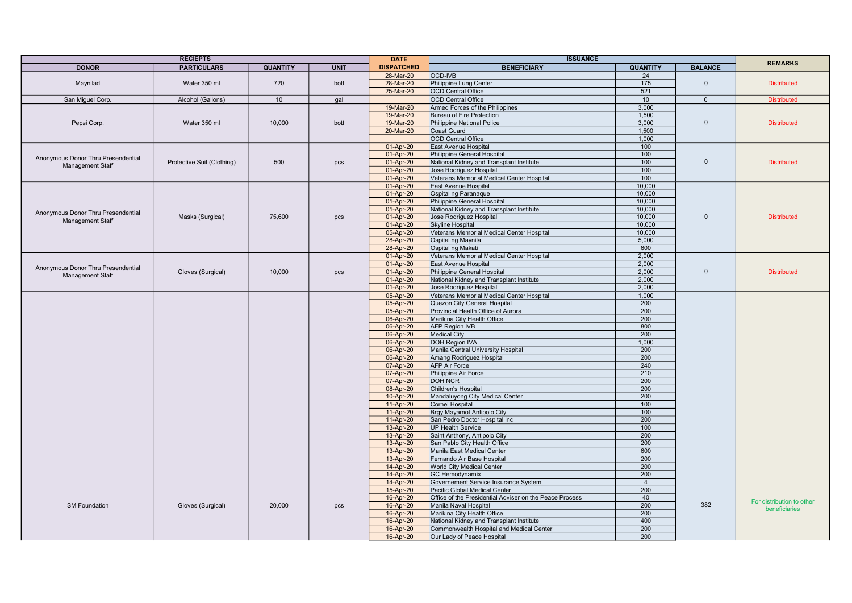|                                    | <b>RECIEPTS</b>            |                 |             | <b>DATE</b>            | <b>ISSUANCE</b>                                            |                  |                | <b>REMARKS</b>            |
|------------------------------------|----------------------------|-----------------|-------------|------------------------|------------------------------------------------------------|------------------|----------------|---------------------------|
| <b>DONOR</b>                       | <b>PARTICULARS</b>         | <b>QUANTITY</b> | <b>UNIT</b> | <b>DISPATCHED</b>      | <b>BENEFICIARY</b>                                         | <b>QUANTITY</b>  | <b>BALANCE</b> |                           |
|                                    |                            |                 |             | 28-Mar-20              | <b>OCD-IVB</b>                                             | 24               |                |                           |
| Maynilad                           | Water 350 ml               | 720             | bott        | 28-Mar-20              | Philippine Lung Center                                     | 175              | $\Omega$       | <b>Distributed</b>        |
|                                    |                            |                 |             | 25-Mar-20              | <b>OCD Central Office</b>                                  | 521              |                |                           |
| San Miguel Corp.                   | Alcohol (Gallons)          | 10              | gal         |                        | <b>OCD Central Office</b>                                  | 10 <sup>1</sup>  | $\Omega$       | <b>Distributed</b>        |
|                                    |                            |                 |             | 19-Mar-20              | Armed Forces of the Philippines                            | 3.000            |                |                           |
|                                    |                            |                 |             | 19-Mar-20              | <b>Bureau of Fire Protection</b>                           | 1,500            |                |                           |
| Pepsi Corp.                        | Water 350 ml               | 10,000          | bott        | 19-Mar-20              | <b>Philippine National Police</b>                          | 3,000            | $\Omega$       | <b>Distributed</b>        |
|                                    |                            |                 |             | 20-Mar-20              | Coast Guard                                                | 1,500            |                |                           |
|                                    |                            |                 |             |                        | <b>OCD Central Office</b>                                  | 1,000            |                |                           |
|                                    |                            |                 |             | 01-Apr-20              | East Avenue Hospital                                       | 100              |                |                           |
|                                    |                            |                 |             | 01-Apr-20              | <b>Philippine General Hospital</b>                         | 100              |                |                           |
| Anonymous Donor Thru Presendential | Protective Suit (Clothing) | 500             | pcs         | 01-Apr-20              | National Kidney and Transplant Institute                   | 100              | $\mathbf 0$    | <b>Distributed</b>        |
| <b>Management Staff</b>            |                            |                 |             | 01-Apr-20              | Jose Rodriguez Hospital                                    | 100              |                |                           |
|                                    |                            |                 |             | 01-Apr-20              | Veterans Memorial Medical Center Hospital                  | 100              |                |                           |
|                                    |                            |                 |             | 01-Apr-20              | East Avenue Hospital                                       | 10,000           |                |                           |
|                                    |                            |                 |             | 01-Apr-20              | Ospital ng Paranaque                                       | 10,000           |                |                           |
|                                    |                            |                 |             | 01-Apr-20              | Philippine General Hospital                                | 10,000           |                |                           |
| Anonymous Donor Thru Presendential |                            |                 |             | 01-Apr-20              | National Kidney and Transplant Institute                   | 10,000           |                |                           |
| Management Staff                   | Masks (Surgical)           | 75,600          | pcs         | 01-Apr-20              | Jose Rodriguez Hospital                                    | 10.000           | $\Omega$       | <b>Distributed</b>        |
|                                    |                            |                 |             | 01-Apr-20              | Skyline Hospital                                           | 10,000           |                |                           |
|                                    |                            |                 |             | 05-Apr-20              | Veterans Memorial Medical Center Hospital                  | 10.000           |                |                           |
|                                    |                            |                 |             | 28-Apr-20              | Ospital ng Maynila                                         | 5.000            |                |                           |
|                                    |                            |                 |             | 28-Apr-20              | Ospital ng Makati                                          | 600              |                |                           |
|                                    |                            |                 |             | 01-Apr-20              | Veterans Memorial Medical Center Hospital                  | 2,000            |                |                           |
| Anonymous Donor Thru Presendential |                            |                 |             | 01-Apr-20              | East Avenue Hospital                                       | 2,000            |                |                           |
| <b>Management Staff</b>            | Gloves (Surgical)          | 10.000          | pcs         | 01-Apr-20              | Philippine General Hospital                                | 2.000            | $\Omega$       | <b>Distributed</b>        |
|                                    |                            |                 |             | 01-Apr-20              | National Kidney and Transplant Institute                   | 2.000            |                |                           |
|                                    |                            |                 |             | 01-Apr-20              | Jose Rodriguez Hospital                                    | 2,000            |                |                           |
|                                    |                            |                 |             | 05-Apr-20              | Veterans Memorial Medical Center Hospital                  | 1,000            |                |                           |
|                                    |                            |                 |             | 05-Apr-20              | <b>Quezon City General Hospital</b>                        | 200              |                |                           |
|                                    |                            |                 |             | 05-Apr-20              | Provincial Health Office of Aurora                         | 200              |                |                           |
|                                    |                            |                 |             | 06-Apr-20              | Marikina City Health Office                                | 200              |                |                           |
|                                    |                            |                 |             | 06-Apr-20              | <b>AFP Region IVB</b>                                      | 800              |                |                           |
|                                    |                            |                 |             | 06-Apr-20              | <b>Medical City</b>                                        | 200              |                |                           |
|                                    |                            |                 |             | 06-Apr-20              | <b>DOH Region IVA</b>                                      | 1.000            |                |                           |
|                                    |                            |                 |             | 06-Apr-20              | Manila Central University Hospital                         | 200              |                |                           |
|                                    |                            |                 |             | 06-Apr-20              | Amang Rodriguez Hospital                                   | 200              |                |                           |
|                                    |                            |                 |             | 07-Apr-20              | <b>AFP Air Force</b>                                       | 240              |                |                           |
|                                    |                            |                 |             | 07-Apr-20              | Philippine Air Force                                       | 210              |                |                           |
|                                    |                            |                 |             | 07-Apr-20              | <b>DOH NCR</b>                                             | 200              |                |                           |
|                                    |                            |                 |             | 08-Apr-20              | Children's Hospital                                        | $\overline{200}$ |                |                           |
|                                    |                            |                 |             | 10-Apr-20              | Mandaluyong City Medical Center                            | 200              |                |                           |
|                                    |                            |                 |             | 11-Apr-20              | <b>Cornel Hospital</b>                                     | 100              |                |                           |
|                                    |                            |                 |             | 11-Apr-20              | Brgy Mayamot Antipolo City                                 | 100              |                |                           |
|                                    |                            |                 |             | 11-Apr-20              | San Pedro Doctor Hospital Inc                              | 200<br>100       |                |                           |
|                                    |                            |                 |             | 13-Apr-20              | <b>UP Health Service</b><br>Saint Anthony, Antipolo City   | 200              |                |                           |
|                                    |                            |                 |             | 13-Apr-20              |                                                            |                  |                |                           |
|                                    |                            |                 |             | 13-Apr-20<br>13-Apr-20 | San Pablo City Health Office<br>Manila East Medical Center | 200<br>600       |                |                           |
|                                    |                            |                 |             |                        |                                                            | 200              |                |                           |
|                                    |                            |                 |             | 13-Apr-20<br>14-Apr-20 | Fernando Air Base Hospital<br>World City Medical Center    | 200              |                |                           |
|                                    |                            |                 |             | 14-Apr-20              | <b>GC Hemodynamix</b>                                      | 200              |                |                           |
|                                    |                            |                 |             | 14-Apr-20              | Governement Service Insurance System                       | $\overline{4}$   |                |                           |
|                                    |                            |                 |             | 15-Apr-20              | Pacific Global Medical Center                              | 200              |                |                           |
|                                    |                            |                 |             | 16-Apr-20              | Office of the Presidential Adviser on the Peace Process    | 40               |                |                           |
| <b>SM Foundation</b>               | Gloves (Surgical)          | 20,000          | pcs         | 16-Apr-20              | Manila Naval Hospital                                      | 200              | 382            | For distribution to other |
|                                    |                            |                 |             | 16-Apr-20              | Marikina City Health Office                                | 200              |                | beneficiaries             |
|                                    |                            |                 |             | 16-Apr-20              | National Kidney and Transplant Institute                   | 400              |                |                           |
|                                    |                            |                 |             | 16-Apr-20              | Commonwealth Hospital and Medical Center                   | 200              |                |                           |
|                                    |                            |                 |             | 16-Apr-20              | Our Lady of Peace Hospital                                 | 200              |                |                           |
|                                    |                            |                 |             |                        |                                                            |                  |                |                           |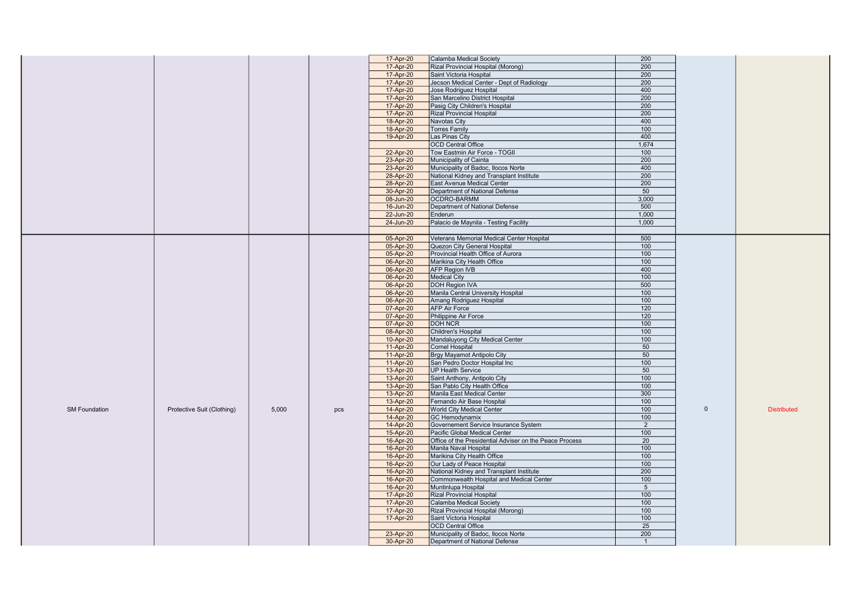| 17-Apr-20<br>Rizal Provincial Hospital (Morong)<br>200<br>17-Apr-20<br>200<br>Saint Victoria Hospital<br>17-Apr-20<br>Jecson Medical Center - Dept of Radiology<br>200<br>400<br>17-Apr-20<br>Jose Rodriguez Hospital<br>17-Apr-20<br>San Marcelino District Hospital<br>200<br>200<br>17-Apr-20<br>Pasig City Children's Hospital<br>17-Apr-20<br><b>Rizal Provincial Hospital</b><br>200<br>18-Apr-20<br>Navotas City<br>400<br>18-Apr-20<br>100<br><b>Torres Family</b><br>400<br>Las Pinas City<br>19-Apr-20<br><b>OCD</b> Central Office<br>1,674<br>22-Apr-20<br>Tow Eastmin Air Force - TOGII<br>100<br>200<br>23-Apr-20<br>Municipality of Cainta<br>400<br>23-Apr-20<br>Municipality of Badoc, Ilocos Norte<br>200<br>28-Apr-20<br>National Kidney and Transplant Institute<br>200<br>28-Apr-20<br>East Avenue Medical Center<br>Department of National Defense<br>50<br>30-Apr-20<br>08-Jun-20<br>OCDRO-BARMM<br>3,000<br>500<br>16-Jun-20<br>Department of National Defense<br>22-Jun-20<br>1,000<br>Enderun<br>Palacio de Maynila - Testing Facility<br>1,000<br>24-Jun-20<br>500<br>05-Apr-20<br>Veterans Memorial Medical Center Hospital<br>100<br>05-Apr-20<br>Quezon City General Hospital<br>05-Apr-20<br>Provincial Health Office of Aurora<br>100<br>06-Apr-20<br>Marikina City Health Office<br>100<br>400<br><b>AFP Region IVB</b><br>06-Apr-20<br>100<br>06-Apr-20<br><b>Medical City</b><br>500<br>06-Apr-20<br>DOH Region IVA<br>06-Apr-20<br>Manila Central University Hospital<br>100<br>100<br>06-Apr-20<br>Amang Rodriguez Hospital<br><b>AFP Air Force</b><br>07-Apr-20<br>120<br>07-Apr-20<br>Philippine Air Force<br>120<br>100<br>07-Apr-20<br><b>DOH NCR</b><br>100<br>08-Apr-20<br>Children's Hospital<br>10-Apr-20<br>Mandaluyong City Medical Center<br>100<br>50<br>11-Apr-20<br>Cornel Hospital<br>Brgy Mayamot Antipolo City<br>50<br>11-Apr-20<br>11-Apr-20<br>San Pedro Doctor Hospital Inc<br>100<br>13-Apr-20<br><b>UP Health Service</b><br>50<br>100<br>13-Apr-20<br>Saint Anthony, Antipolo City<br>13-Apr-20<br>San Pablo City Health Office<br>100<br>Manila East Medical Center<br>300<br>13-Apr-20<br>Fernando Air Base Hospital<br>100<br>13-Apr-20<br>14-Apr-20<br><b>World City Medical Center</b><br>100<br>$\Omega$<br>Protective Suit (Clothing)<br>5,000<br><b>Distributed</b><br><b>SM Foundation</b><br>pcs<br>100<br>14-Apr-20<br>GC Hemodynamix<br>14-Apr-20<br>Governement Service Insurance System<br>$\overline{2}$<br>100<br>15-Apr-20<br>Pacific Global Medical Center<br>Office of the Presidential Adviser on the Peace Process<br>16-Apr-20<br>20<br>16-Apr-20<br>Manila Naval Hospital<br>100<br>100<br>16-Apr-20<br>Marikina City Health Office<br>Our Lady of Peace Hospital<br>100<br>16-Apr-20<br>16-Apr-20<br>National Kidney and Transplant Institute<br>200<br>100<br>16-Apr-20<br>Commonwealth Hospital and Medical Center<br>Muntinlupa Hospital<br>$5\overline{)}$<br>16-Apr-20<br>17-Apr-20<br><b>Rizal Provincial Hospital</b><br>100<br>17-Apr-20<br>Calamba Medical Society<br>100<br>100<br>17-Apr-20<br>Rizal Provincial Hospital (Morong)<br>17-Apr-20<br>Saint Victoria Hospital<br>100<br>OCD Central Office<br>25<br>Municipality of Badoc, Ilocos Norte<br>200<br>23-Apr-20<br>30-Apr-20<br>Department of National Defense |  |  | 17-Apr-20 | Calamba Medical Society | 200 |  |
|------------------------------------------------------------------------------------------------------------------------------------------------------------------------------------------------------------------------------------------------------------------------------------------------------------------------------------------------------------------------------------------------------------------------------------------------------------------------------------------------------------------------------------------------------------------------------------------------------------------------------------------------------------------------------------------------------------------------------------------------------------------------------------------------------------------------------------------------------------------------------------------------------------------------------------------------------------------------------------------------------------------------------------------------------------------------------------------------------------------------------------------------------------------------------------------------------------------------------------------------------------------------------------------------------------------------------------------------------------------------------------------------------------------------------------------------------------------------------------------------------------------------------------------------------------------------------------------------------------------------------------------------------------------------------------------------------------------------------------------------------------------------------------------------------------------------------------------------------------------------------------------------------------------------------------------------------------------------------------------------------------------------------------------------------------------------------------------------------------------------------------------------------------------------------------------------------------------------------------------------------------------------------------------------------------------------------------------------------------------------------------------------------------------------------------------------------------------------------------------------------------------------------------------------------------------------------------------------------------------------------------------------------------------------------------------------------------------------------------------------------------------------------------------------------------------------------------------------------------------------------------------------------------------------------------------------------------------------------------------------------------------------------------------------------------------------------------------------------------------------------------------------------------------------------------------------------------------------------------------------------------------------------------------------------------------------|--|--|-----------|-------------------------|-----|--|
|                                                                                                                                                                                                                                                                                                                                                                                                                                                                                                                                                                                                                                                                                                                                                                                                                                                                                                                                                                                                                                                                                                                                                                                                                                                                                                                                                                                                                                                                                                                                                                                                                                                                                                                                                                                                                                                                                                                                                                                                                                                                                                                                                                                                                                                                                                                                                                                                                                                                                                                                                                                                                                                                                                                                                                                                                                                                                                                                                                                                                                                                                                                                                                                                                                                                                                                        |  |  |           |                         |     |  |
|                                                                                                                                                                                                                                                                                                                                                                                                                                                                                                                                                                                                                                                                                                                                                                                                                                                                                                                                                                                                                                                                                                                                                                                                                                                                                                                                                                                                                                                                                                                                                                                                                                                                                                                                                                                                                                                                                                                                                                                                                                                                                                                                                                                                                                                                                                                                                                                                                                                                                                                                                                                                                                                                                                                                                                                                                                                                                                                                                                                                                                                                                                                                                                                                                                                                                                                        |  |  |           |                         |     |  |
|                                                                                                                                                                                                                                                                                                                                                                                                                                                                                                                                                                                                                                                                                                                                                                                                                                                                                                                                                                                                                                                                                                                                                                                                                                                                                                                                                                                                                                                                                                                                                                                                                                                                                                                                                                                                                                                                                                                                                                                                                                                                                                                                                                                                                                                                                                                                                                                                                                                                                                                                                                                                                                                                                                                                                                                                                                                                                                                                                                                                                                                                                                                                                                                                                                                                                                                        |  |  |           |                         |     |  |
|                                                                                                                                                                                                                                                                                                                                                                                                                                                                                                                                                                                                                                                                                                                                                                                                                                                                                                                                                                                                                                                                                                                                                                                                                                                                                                                                                                                                                                                                                                                                                                                                                                                                                                                                                                                                                                                                                                                                                                                                                                                                                                                                                                                                                                                                                                                                                                                                                                                                                                                                                                                                                                                                                                                                                                                                                                                                                                                                                                                                                                                                                                                                                                                                                                                                                                                        |  |  |           |                         |     |  |
|                                                                                                                                                                                                                                                                                                                                                                                                                                                                                                                                                                                                                                                                                                                                                                                                                                                                                                                                                                                                                                                                                                                                                                                                                                                                                                                                                                                                                                                                                                                                                                                                                                                                                                                                                                                                                                                                                                                                                                                                                                                                                                                                                                                                                                                                                                                                                                                                                                                                                                                                                                                                                                                                                                                                                                                                                                                                                                                                                                                                                                                                                                                                                                                                                                                                                                                        |  |  |           |                         |     |  |
|                                                                                                                                                                                                                                                                                                                                                                                                                                                                                                                                                                                                                                                                                                                                                                                                                                                                                                                                                                                                                                                                                                                                                                                                                                                                                                                                                                                                                                                                                                                                                                                                                                                                                                                                                                                                                                                                                                                                                                                                                                                                                                                                                                                                                                                                                                                                                                                                                                                                                                                                                                                                                                                                                                                                                                                                                                                                                                                                                                                                                                                                                                                                                                                                                                                                                                                        |  |  |           |                         |     |  |
|                                                                                                                                                                                                                                                                                                                                                                                                                                                                                                                                                                                                                                                                                                                                                                                                                                                                                                                                                                                                                                                                                                                                                                                                                                                                                                                                                                                                                                                                                                                                                                                                                                                                                                                                                                                                                                                                                                                                                                                                                                                                                                                                                                                                                                                                                                                                                                                                                                                                                                                                                                                                                                                                                                                                                                                                                                                                                                                                                                                                                                                                                                                                                                                                                                                                                                                        |  |  |           |                         |     |  |
|                                                                                                                                                                                                                                                                                                                                                                                                                                                                                                                                                                                                                                                                                                                                                                                                                                                                                                                                                                                                                                                                                                                                                                                                                                                                                                                                                                                                                                                                                                                                                                                                                                                                                                                                                                                                                                                                                                                                                                                                                                                                                                                                                                                                                                                                                                                                                                                                                                                                                                                                                                                                                                                                                                                                                                                                                                                                                                                                                                                                                                                                                                                                                                                                                                                                                                                        |  |  |           |                         |     |  |
|                                                                                                                                                                                                                                                                                                                                                                                                                                                                                                                                                                                                                                                                                                                                                                                                                                                                                                                                                                                                                                                                                                                                                                                                                                                                                                                                                                                                                                                                                                                                                                                                                                                                                                                                                                                                                                                                                                                                                                                                                                                                                                                                                                                                                                                                                                                                                                                                                                                                                                                                                                                                                                                                                                                                                                                                                                                                                                                                                                                                                                                                                                                                                                                                                                                                                                                        |  |  |           |                         |     |  |
|                                                                                                                                                                                                                                                                                                                                                                                                                                                                                                                                                                                                                                                                                                                                                                                                                                                                                                                                                                                                                                                                                                                                                                                                                                                                                                                                                                                                                                                                                                                                                                                                                                                                                                                                                                                                                                                                                                                                                                                                                                                                                                                                                                                                                                                                                                                                                                                                                                                                                                                                                                                                                                                                                                                                                                                                                                                                                                                                                                                                                                                                                                                                                                                                                                                                                                                        |  |  |           |                         |     |  |
|                                                                                                                                                                                                                                                                                                                                                                                                                                                                                                                                                                                                                                                                                                                                                                                                                                                                                                                                                                                                                                                                                                                                                                                                                                                                                                                                                                                                                                                                                                                                                                                                                                                                                                                                                                                                                                                                                                                                                                                                                                                                                                                                                                                                                                                                                                                                                                                                                                                                                                                                                                                                                                                                                                                                                                                                                                                                                                                                                                                                                                                                                                                                                                                                                                                                                                                        |  |  |           |                         |     |  |
|                                                                                                                                                                                                                                                                                                                                                                                                                                                                                                                                                                                                                                                                                                                                                                                                                                                                                                                                                                                                                                                                                                                                                                                                                                                                                                                                                                                                                                                                                                                                                                                                                                                                                                                                                                                                                                                                                                                                                                                                                                                                                                                                                                                                                                                                                                                                                                                                                                                                                                                                                                                                                                                                                                                                                                                                                                                                                                                                                                                                                                                                                                                                                                                                                                                                                                                        |  |  |           |                         |     |  |
|                                                                                                                                                                                                                                                                                                                                                                                                                                                                                                                                                                                                                                                                                                                                                                                                                                                                                                                                                                                                                                                                                                                                                                                                                                                                                                                                                                                                                                                                                                                                                                                                                                                                                                                                                                                                                                                                                                                                                                                                                                                                                                                                                                                                                                                                                                                                                                                                                                                                                                                                                                                                                                                                                                                                                                                                                                                                                                                                                                                                                                                                                                                                                                                                                                                                                                                        |  |  |           |                         |     |  |
|                                                                                                                                                                                                                                                                                                                                                                                                                                                                                                                                                                                                                                                                                                                                                                                                                                                                                                                                                                                                                                                                                                                                                                                                                                                                                                                                                                                                                                                                                                                                                                                                                                                                                                                                                                                                                                                                                                                                                                                                                                                                                                                                                                                                                                                                                                                                                                                                                                                                                                                                                                                                                                                                                                                                                                                                                                                                                                                                                                                                                                                                                                                                                                                                                                                                                                                        |  |  |           |                         |     |  |
|                                                                                                                                                                                                                                                                                                                                                                                                                                                                                                                                                                                                                                                                                                                                                                                                                                                                                                                                                                                                                                                                                                                                                                                                                                                                                                                                                                                                                                                                                                                                                                                                                                                                                                                                                                                                                                                                                                                                                                                                                                                                                                                                                                                                                                                                                                                                                                                                                                                                                                                                                                                                                                                                                                                                                                                                                                                                                                                                                                                                                                                                                                                                                                                                                                                                                                                        |  |  |           |                         |     |  |
|                                                                                                                                                                                                                                                                                                                                                                                                                                                                                                                                                                                                                                                                                                                                                                                                                                                                                                                                                                                                                                                                                                                                                                                                                                                                                                                                                                                                                                                                                                                                                                                                                                                                                                                                                                                                                                                                                                                                                                                                                                                                                                                                                                                                                                                                                                                                                                                                                                                                                                                                                                                                                                                                                                                                                                                                                                                                                                                                                                                                                                                                                                                                                                                                                                                                                                                        |  |  |           |                         |     |  |
|                                                                                                                                                                                                                                                                                                                                                                                                                                                                                                                                                                                                                                                                                                                                                                                                                                                                                                                                                                                                                                                                                                                                                                                                                                                                                                                                                                                                                                                                                                                                                                                                                                                                                                                                                                                                                                                                                                                                                                                                                                                                                                                                                                                                                                                                                                                                                                                                                                                                                                                                                                                                                                                                                                                                                                                                                                                                                                                                                                                                                                                                                                                                                                                                                                                                                                                        |  |  |           |                         |     |  |
|                                                                                                                                                                                                                                                                                                                                                                                                                                                                                                                                                                                                                                                                                                                                                                                                                                                                                                                                                                                                                                                                                                                                                                                                                                                                                                                                                                                                                                                                                                                                                                                                                                                                                                                                                                                                                                                                                                                                                                                                                                                                                                                                                                                                                                                                                                                                                                                                                                                                                                                                                                                                                                                                                                                                                                                                                                                                                                                                                                                                                                                                                                                                                                                                                                                                                                                        |  |  |           |                         |     |  |
|                                                                                                                                                                                                                                                                                                                                                                                                                                                                                                                                                                                                                                                                                                                                                                                                                                                                                                                                                                                                                                                                                                                                                                                                                                                                                                                                                                                                                                                                                                                                                                                                                                                                                                                                                                                                                                                                                                                                                                                                                                                                                                                                                                                                                                                                                                                                                                                                                                                                                                                                                                                                                                                                                                                                                                                                                                                                                                                                                                                                                                                                                                                                                                                                                                                                                                                        |  |  |           |                         |     |  |
|                                                                                                                                                                                                                                                                                                                                                                                                                                                                                                                                                                                                                                                                                                                                                                                                                                                                                                                                                                                                                                                                                                                                                                                                                                                                                                                                                                                                                                                                                                                                                                                                                                                                                                                                                                                                                                                                                                                                                                                                                                                                                                                                                                                                                                                                                                                                                                                                                                                                                                                                                                                                                                                                                                                                                                                                                                                                                                                                                                                                                                                                                                                                                                                                                                                                                                                        |  |  |           |                         |     |  |
|                                                                                                                                                                                                                                                                                                                                                                                                                                                                                                                                                                                                                                                                                                                                                                                                                                                                                                                                                                                                                                                                                                                                                                                                                                                                                                                                                                                                                                                                                                                                                                                                                                                                                                                                                                                                                                                                                                                                                                                                                                                                                                                                                                                                                                                                                                                                                                                                                                                                                                                                                                                                                                                                                                                                                                                                                                                                                                                                                                                                                                                                                                                                                                                                                                                                                                                        |  |  |           |                         |     |  |
|                                                                                                                                                                                                                                                                                                                                                                                                                                                                                                                                                                                                                                                                                                                                                                                                                                                                                                                                                                                                                                                                                                                                                                                                                                                                                                                                                                                                                                                                                                                                                                                                                                                                                                                                                                                                                                                                                                                                                                                                                                                                                                                                                                                                                                                                                                                                                                                                                                                                                                                                                                                                                                                                                                                                                                                                                                                                                                                                                                                                                                                                                                                                                                                                                                                                                                                        |  |  |           |                         |     |  |
|                                                                                                                                                                                                                                                                                                                                                                                                                                                                                                                                                                                                                                                                                                                                                                                                                                                                                                                                                                                                                                                                                                                                                                                                                                                                                                                                                                                                                                                                                                                                                                                                                                                                                                                                                                                                                                                                                                                                                                                                                                                                                                                                                                                                                                                                                                                                                                                                                                                                                                                                                                                                                                                                                                                                                                                                                                                                                                                                                                                                                                                                                                                                                                                                                                                                                                                        |  |  |           |                         |     |  |
|                                                                                                                                                                                                                                                                                                                                                                                                                                                                                                                                                                                                                                                                                                                                                                                                                                                                                                                                                                                                                                                                                                                                                                                                                                                                                                                                                                                                                                                                                                                                                                                                                                                                                                                                                                                                                                                                                                                                                                                                                                                                                                                                                                                                                                                                                                                                                                                                                                                                                                                                                                                                                                                                                                                                                                                                                                                                                                                                                                                                                                                                                                                                                                                                                                                                                                                        |  |  |           |                         |     |  |
|                                                                                                                                                                                                                                                                                                                                                                                                                                                                                                                                                                                                                                                                                                                                                                                                                                                                                                                                                                                                                                                                                                                                                                                                                                                                                                                                                                                                                                                                                                                                                                                                                                                                                                                                                                                                                                                                                                                                                                                                                                                                                                                                                                                                                                                                                                                                                                                                                                                                                                                                                                                                                                                                                                                                                                                                                                                                                                                                                                                                                                                                                                                                                                                                                                                                                                                        |  |  |           |                         |     |  |
|                                                                                                                                                                                                                                                                                                                                                                                                                                                                                                                                                                                                                                                                                                                                                                                                                                                                                                                                                                                                                                                                                                                                                                                                                                                                                                                                                                                                                                                                                                                                                                                                                                                                                                                                                                                                                                                                                                                                                                                                                                                                                                                                                                                                                                                                                                                                                                                                                                                                                                                                                                                                                                                                                                                                                                                                                                                                                                                                                                                                                                                                                                                                                                                                                                                                                                                        |  |  |           |                         |     |  |
|                                                                                                                                                                                                                                                                                                                                                                                                                                                                                                                                                                                                                                                                                                                                                                                                                                                                                                                                                                                                                                                                                                                                                                                                                                                                                                                                                                                                                                                                                                                                                                                                                                                                                                                                                                                                                                                                                                                                                                                                                                                                                                                                                                                                                                                                                                                                                                                                                                                                                                                                                                                                                                                                                                                                                                                                                                                                                                                                                                                                                                                                                                                                                                                                                                                                                                                        |  |  |           |                         |     |  |
|                                                                                                                                                                                                                                                                                                                                                                                                                                                                                                                                                                                                                                                                                                                                                                                                                                                                                                                                                                                                                                                                                                                                                                                                                                                                                                                                                                                                                                                                                                                                                                                                                                                                                                                                                                                                                                                                                                                                                                                                                                                                                                                                                                                                                                                                                                                                                                                                                                                                                                                                                                                                                                                                                                                                                                                                                                                                                                                                                                                                                                                                                                                                                                                                                                                                                                                        |  |  |           |                         |     |  |
|                                                                                                                                                                                                                                                                                                                                                                                                                                                                                                                                                                                                                                                                                                                                                                                                                                                                                                                                                                                                                                                                                                                                                                                                                                                                                                                                                                                                                                                                                                                                                                                                                                                                                                                                                                                                                                                                                                                                                                                                                                                                                                                                                                                                                                                                                                                                                                                                                                                                                                                                                                                                                                                                                                                                                                                                                                                                                                                                                                                                                                                                                                                                                                                                                                                                                                                        |  |  |           |                         |     |  |
|                                                                                                                                                                                                                                                                                                                                                                                                                                                                                                                                                                                                                                                                                                                                                                                                                                                                                                                                                                                                                                                                                                                                                                                                                                                                                                                                                                                                                                                                                                                                                                                                                                                                                                                                                                                                                                                                                                                                                                                                                                                                                                                                                                                                                                                                                                                                                                                                                                                                                                                                                                                                                                                                                                                                                                                                                                                                                                                                                                                                                                                                                                                                                                                                                                                                                                                        |  |  |           |                         |     |  |
|                                                                                                                                                                                                                                                                                                                                                                                                                                                                                                                                                                                                                                                                                                                                                                                                                                                                                                                                                                                                                                                                                                                                                                                                                                                                                                                                                                                                                                                                                                                                                                                                                                                                                                                                                                                                                                                                                                                                                                                                                                                                                                                                                                                                                                                                                                                                                                                                                                                                                                                                                                                                                                                                                                                                                                                                                                                                                                                                                                                                                                                                                                                                                                                                                                                                                                                        |  |  |           |                         |     |  |
|                                                                                                                                                                                                                                                                                                                                                                                                                                                                                                                                                                                                                                                                                                                                                                                                                                                                                                                                                                                                                                                                                                                                                                                                                                                                                                                                                                                                                                                                                                                                                                                                                                                                                                                                                                                                                                                                                                                                                                                                                                                                                                                                                                                                                                                                                                                                                                                                                                                                                                                                                                                                                                                                                                                                                                                                                                                                                                                                                                                                                                                                                                                                                                                                                                                                                                                        |  |  |           |                         |     |  |
|                                                                                                                                                                                                                                                                                                                                                                                                                                                                                                                                                                                                                                                                                                                                                                                                                                                                                                                                                                                                                                                                                                                                                                                                                                                                                                                                                                                                                                                                                                                                                                                                                                                                                                                                                                                                                                                                                                                                                                                                                                                                                                                                                                                                                                                                                                                                                                                                                                                                                                                                                                                                                                                                                                                                                                                                                                                                                                                                                                                                                                                                                                                                                                                                                                                                                                                        |  |  |           |                         |     |  |
|                                                                                                                                                                                                                                                                                                                                                                                                                                                                                                                                                                                                                                                                                                                                                                                                                                                                                                                                                                                                                                                                                                                                                                                                                                                                                                                                                                                                                                                                                                                                                                                                                                                                                                                                                                                                                                                                                                                                                                                                                                                                                                                                                                                                                                                                                                                                                                                                                                                                                                                                                                                                                                                                                                                                                                                                                                                                                                                                                                                                                                                                                                                                                                                                                                                                                                                        |  |  |           |                         |     |  |
|                                                                                                                                                                                                                                                                                                                                                                                                                                                                                                                                                                                                                                                                                                                                                                                                                                                                                                                                                                                                                                                                                                                                                                                                                                                                                                                                                                                                                                                                                                                                                                                                                                                                                                                                                                                                                                                                                                                                                                                                                                                                                                                                                                                                                                                                                                                                                                                                                                                                                                                                                                                                                                                                                                                                                                                                                                                                                                                                                                                                                                                                                                                                                                                                                                                                                                                        |  |  |           |                         |     |  |
|                                                                                                                                                                                                                                                                                                                                                                                                                                                                                                                                                                                                                                                                                                                                                                                                                                                                                                                                                                                                                                                                                                                                                                                                                                                                                                                                                                                                                                                                                                                                                                                                                                                                                                                                                                                                                                                                                                                                                                                                                                                                                                                                                                                                                                                                                                                                                                                                                                                                                                                                                                                                                                                                                                                                                                                                                                                                                                                                                                                                                                                                                                                                                                                                                                                                                                                        |  |  |           |                         |     |  |
|                                                                                                                                                                                                                                                                                                                                                                                                                                                                                                                                                                                                                                                                                                                                                                                                                                                                                                                                                                                                                                                                                                                                                                                                                                                                                                                                                                                                                                                                                                                                                                                                                                                                                                                                                                                                                                                                                                                                                                                                                                                                                                                                                                                                                                                                                                                                                                                                                                                                                                                                                                                                                                                                                                                                                                                                                                                                                                                                                                                                                                                                                                                                                                                                                                                                                                                        |  |  |           |                         |     |  |
|                                                                                                                                                                                                                                                                                                                                                                                                                                                                                                                                                                                                                                                                                                                                                                                                                                                                                                                                                                                                                                                                                                                                                                                                                                                                                                                                                                                                                                                                                                                                                                                                                                                                                                                                                                                                                                                                                                                                                                                                                                                                                                                                                                                                                                                                                                                                                                                                                                                                                                                                                                                                                                                                                                                                                                                                                                                                                                                                                                                                                                                                                                                                                                                                                                                                                                                        |  |  |           |                         |     |  |
|                                                                                                                                                                                                                                                                                                                                                                                                                                                                                                                                                                                                                                                                                                                                                                                                                                                                                                                                                                                                                                                                                                                                                                                                                                                                                                                                                                                                                                                                                                                                                                                                                                                                                                                                                                                                                                                                                                                                                                                                                                                                                                                                                                                                                                                                                                                                                                                                                                                                                                                                                                                                                                                                                                                                                                                                                                                                                                                                                                                                                                                                                                                                                                                                                                                                                                                        |  |  |           |                         |     |  |
|                                                                                                                                                                                                                                                                                                                                                                                                                                                                                                                                                                                                                                                                                                                                                                                                                                                                                                                                                                                                                                                                                                                                                                                                                                                                                                                                                                                                                                                                                                                                                                                                                                                                                                                                                                                                                                                                                                                                                                                                                                                                                                                                                                                                                                                                                                                                                                                                                                                                                                                                                                                                                                                                                                                                                                                                                                                                                                                                                                                                                                                                                                                                                                                                                                                                                                                        |  |  |           |                         |     |  |
|                                                                                                                                                                                                                                                                                                                                                                                                                                                                                                                                                                                                                                                                                                                                                                                                                                                                                                                                                                                                                                                                                                                                                                                                                                                                                                                                                                                                                                                                                                                                                                                                                                                                                                                                                                                                                                                                                                                                                                                                                                                                                                                                                                                                                                                                                                                                                                                                                                                                                                                                                                                                                                                                                                                                                                                                                                                                                                                                                                                                                                                                                                                                                                                                                                                                                                                        |  |  |           |                         |     |  |
|                                                                                                                                                                                                                                                                                                                                                                                                                                                                                                                                                                                                                                                                                                                                                                                                                                                                                                                                                                                                                                                                                                                                                                                                                                                                                                                                                                                                                                                                                                                                                                                                                                                                                                                                                                                                                                                                                                                                                                                                                                                                                                                                                                                                                                                                                                                                                                                                                                                                                                                                                                                                                                                                                                                                                                                                                                                                                                                                                                                                                                                                                                                                                                                                                                                                                                                        |  |  |           |                         |     |  |
|                                                                                                                                                                                                                                                                                                                                                                                                                                                                                                                                                                                                                                                                                                                                                                                                                                                                                                                                                                                                                                                                                                                                                                                                                                                                                                                                                                                                                                                                                                                                                                                                                                                                                                                                                                                                                                                                                                                                                                                                                                                                                                                                                                                                                                                                                                                                                                                                                                                                                                                                                                                                                                                                                                                                                                                                                                                                                                                                                                                                                                                                                                                                                                                                                                                                                                                        |  |  |           |                         |     |  |
|                                                                                                                                                                                                                                                                                                                                                                                                                                                                                                                                                                                                                                                                                                                                                                                                                                                                                                                                                                                                                                                                                                                                                                                                                                                                                                                                                                                                                                                                                                                                                                                                                                                                                                                                                                                                                                                                                                                                                                                                                                                                                                                                                                                                                                                                                                                                                                                                                                                                                                                                                                                                                                                                                                                                                                                                                                                                                                                                                                                                                                                                                                                                                                                                                                                                                                                        |  |  |           |                         |     |  |
|                                                                                                                                                                                                                                                                                                                                                                                                                                                                                                                                                                                                                                                                                                                                                                                                                                                                                                                                                                                                                                                                                                                                                                                                                                                                                                                                                                                                                                                                                                                                                                                                                                                                                                                                                                                                                                                                                                                                                                                                                                                                                                                                                                                                                                                                                                                                                                                                                                                                                                                                                                                                                                                                                                                                                                                                                                                                                                                                                                                                                                                                                                                                                                                                                                                                                                                        |  |  |           |                         |     |  |
|                                                                                                                                                                                                                                                                                                                                                                                                                                                                                                                                                                                                                                                                                                                                                                                                                                                                                                                                                                                                                                                                                                                                                                                                                                                                                                                                                                                                                                                                                                                                                                                                                                                                                                                                                                                                                                                                                                                                                                                                                                                                                                                                                                                                                                                                                                                                                                                                                                                                                                                                                                                                                                                                                                                                                                                                                                                                                                                                                                                                                                                                                                                                                                                                                                                                                                                        |  |  |           |                         |     |  |
|                                                                                                                                                                                                                                                                                                                                                                                                                                                                                                                                                                                                                                                                                                                                                                                                                                                                                                                                                                                                                                                                                                                                                                                                                                                                                                                                                                                                                                                                                                                                                                                                                                                                                                                                                                                                                                                                                                                                                                                                                                                                                                                                                                                                                                                                                                                                                                                                                                                                                                                                                                                                                                                                                                                                                                                                                                                                                                                                                                                                                                                                                                                                                                                                                                                                                                                        |  |  |           |                         |     |  |
|                                                                                                                                                                                                                                                                                                                                                                                                                                                                                                                                                                                                                                                                                                                                                                                                                                                                                                                                                                                                                                                                                                                                                                                                                                                                                                                                                                                                                                                                                                                                                                                                                                                                                                                                                                                                                                                                                                                                                                                                                                                                                                                                                                                                                                                                                                                                                                                                                                                                                                                                                                                                                                                                                                                                                                                                                                                                                                                                                                                                                                                                                                                                                                                                                                                                                                                        |  |  |           |                         |     |  |
|                                                                                                                                                                                                                                                                                                                                                                                                                                                                                                                                                                                                                                                                                                                                                                                                                                                                                                                                                                                                                                                                                                                                                                                                                                                                                                                                                                                                                                                                                                                                                                                                                                                                                                                                                                                                                                                                                                                                                                                                                                                                                                                                                                                                                                                                                                                                                                                                                                                                                                                                                                                                                                                                                                                                                                                                                                                                                                                                                                                                                                                                                                                                                                                                                                                                                                                        |  |  |           |                         |     |  |
|                                                                                                                                                                                                                                                                                                                                                                                                                                                                                                                                                                                                                                                                                                                                                                                                                                                                                                                                                                                                                                                                                                                                                                                                                                                                                                                                                                                                                                                                                                                                                                                                                                                                                                                                                                                                                                                                                                                                                                                                                                                                                                                                                                                                                                                                                                                                                                                                                                                                                                                                                                                                                                                                                                                                                                                                                                                                                                                                                                                                                                                                                                                                                                                                                                                                                                                        |  |  |           |                         |     |  |
|                                                                                                                                                                                                                                                                                                                                                                                                                                                                                                                                                                                                                                                                                                                                                                                                                                                                                                                                                                                                                                                                                                                                                                                                                                                                                                                                                                                                                                                                                                                                                                                                                                                                                                                                                                                                                                                                                                                                                                                                                                                                                                                                                                                                                                                                                                                                                                                                                                                                                                                                                                                                                                                                                                                                                                                                                                                                                                                                                                                                                                                                                                                                                                                                                                                                                                                        |  |  |           |                         |     |  |
|                                                                                                                                                                                                                                                                                                                                                                                                                                                                                                                                                                                                                                                                                                                                                                                                                                                                                                                                                                                                                                                                                                                                                                                                                                                                                                                                                                                                                                                                                                                                                                                                                                                                                                                                                                                                                                                                                                                                                                                                                                                                                                                                                                                                                                                                                                                                                                                                                                                                                                                                                                                                                                                                                                                                                                                                                                                                                                                                                                                                                                                                                                                                                                                                                                                                                                                        |  |  |           |                         |     |  |
|                                                                                                                                                                                                                                                                                                                                                                                                                                                                                                                                                                                                                                                                                                                                                                                                                                                                                                                                                                                                                                                                                                                                                                                                                                                                                                                                                                                                                                                                                                                                                                                                                                                                                                                                                                                                                                                                                                                                                                                                                                                                                                                                                                                                                                                                                                                                                                                                                                                                                                                                                                                                                                                                                                                                                                                                                                                                                                                                                                                                                                                                                                                                                                                                                                                                                                                        |  |  |           |                         |     |  |
|                                                                                                                                                                                                                                                                                                                                                                                                                                                                                                                                                                                                                                                                                                                                                                                                                                                                                                                                                                                                                                                                                                                                                                                                                                                                                                                                                                                                                                                                                                                                                                                                                                                                                                                                                                                                                                                                                                                                                                                                                                                                                                                                                                                                                                                                                                                                                                                                                                                                                                                                                                                                                                                                                                                                                                                                                                                                                                                                                                                                                                                                                                                                                                                                                                                                                                                        |  |  |           |                         |     |  |
|                                                                                                                                                                                                                                                                                                                                                                                                                                                                                                                                                                                                                                                                                                                                                                                                                                                                                                                                                                                                                                                                                                                                                                                                                                                                                                                                                                                                                                                                                                                                                                                                                                                                                                                                                                                                                                                                                                                                                                                                                                                                                                                                                                                                                                                                                                                                                                                                                                                                                                                                                                                                                                                                                                                                                                                                                                                                                                                                                                                                                                                                                                                                                                                                                                                                                                                        |  |  |           |                         |     |  |
|                                                                                                                                                                                                                                                                                                                                                                                                                                                                                                                                                                                                                                                                                                                                                                                                                                                                                                                                                                                                                                                                                                                                                                                                                                                                                                                                                                                                                                                                                                                                                                                                                                                                                                                                                                                                                                                                                                                                                                                                                                                                                                                                                                                                                                                                                                                                                                                                                                                                                                                                                                                                                                                                                                                                                                                                                                                                                                                                                                                                                                                                                                                                                                                                                                                                                                                        |  |  |           |                         |     |  |
|                                                                                                                                                                                                                                                                                                                                                                                                                                                                                                                                                                                                                                                                                                                                                                                                                                                                                                                                                                                                                                                                                                                                                                                                                                                                                                                                                                                                                                                                                                                                                                                                                                                                                                                                                                                                                                                                                                                                                                                                                                                                                                                                                                                                                                                                                                                                                                                                                                                                                                                                                                                                                                                                                                                                                                                                                                                                                                                                                                                                                                                                                                                                                                                                                                                                                                                        |  |  |           |                         |     |  |
|                                                                                                                                                                                                                                                                                                                                                                                                                                                                                                                                                                                                                                                                                                                                                                                                                                                                                                                                                                                                                                                                                                                                                                                                                                                                                                                                                                                                                                                                                                                                                                                                                                                                                                                                                                                                                                                                                                                                                                                                                                                                                                                                                                                                                                                                                                                                                                                                                                                                                                                                                                                                                                                                                                                                                                                                                                                                                                                                                                                                                                                                                                                                                                                                                                                                                                                        |  |  |           |                         |     |  |
|                                                                                                                                                                                                                                                                                                                                                                                                                                                                                                                                                                                                                                                                                                                                                                                                                                                                                                                                                                                                                                                                                                                                                                                                                                                                                                                                                                                                                                                                                                                                                                                                                                                                                                                                                                                                                                                                                                                                                                                                                                                                                                                                                                                                                                                                                                                                                                                                                                                                                                                                                                                                                                                                                                                                                                                                                                                                                                                                                                                                                                                                                                                                                                                                                                                                                                                        |  |  |           |                         |     |  |
|                                                                                                                                                                                                                                                                                                                                                                                                                                                                                                                                                                                                                                                                                                                                                                                                                                                                                                                                                                                                                                                                                                                                                                                                                                                                                                                                                                                                                                                                                                                                                                                                                                                                                                                                                                                                                                                                                                                                                                                                                                                                                                                                                                                                                                                                                                                                                                                                                                                                                                                                                                                                                                                                                                                                                                                                                                                                                                                                                                                                                                                                                                                                                                                                                                                                                                                        |  |  |           |                         |     |  |
|                                                                                                                                                                                                                                                                                                                                                                                                                                                                                                                                                                                                                                                                                                                                                                                                                                                                                                                                                                                                                                                                                                                                                                                                                                                                                                                                                                                                                                                                                                                                                                                                                                                                                                                                                                                                                                                                                                                                                                                                                                                                                                                                                                                                                                                                                                                                                                                                                                                                                                                                                                                                                                                                                                                                                                                                                                                                                                                                                                                                                                                                                                                                                                                                                                                                                                                        |  |  |           |                         |     |  |
|                                                                                                                                                                                                                                                                                                                                                                                                                                                                                                                                                                                                                                                                                                                                                                                                                                                                                                                                                                                                                                                                                                                                                                                                                                                                                                                                                                                                                                                                                                                                                                                                                                                                                                                                                                                                                                                                                                                                                                                                                                                                                                                                                                                                                                                                                                                                                                                                                                                                                                                                                                                                                                                                                                                                                                                                                                                                                                                                                                                                                                                                                                                                                                                                                                                                                                                        |  |  |           |                         |     |  |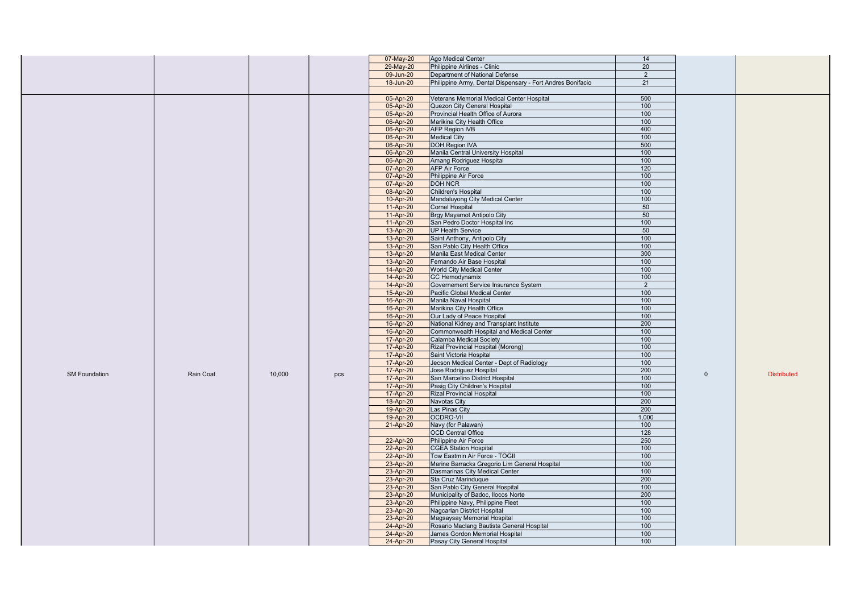|                      |           |        |     | 07-May-20 | Ago Medical Center                                            | 14         |              |                    |
|----------------------|-----------|--------|-----|-----------|---------------------------------------------------------------|------------|--------------|--------------------|
|                      |           |        |     | 29-May-20 | Philippine Airlines - Clinic                                  | 20         |              |                    |
|                      |           |        |     | 09-Jun-20 | Department of National Defense                                | 2          |              |                    |
|                      |           |        |     | 18-Jun-20 | Philippine Army, Dental Dispensary - Fort Andres Bonifacio    | 21         |              |                    |
|                      |           |        |     |           |                                                               |            |              |                    |
|                      |           |        |     | 05-Apr-20 | Veterans Memorial Medical Center Hospital                     | 500        |              |                    |
|                      |           |        |     | 05-Apr-20 | Quezon City General Hospital                                  | 100        |              |                    |
|                      |           |        |     | 05-Apr-20 | Provincial Health Office of Aurora                            | 100        |              |                    |
|                      |           |        |     |           | Marikina City Health Office                                   | 100        |              |                    |
|                      |           |        |     | 06-Apr-20 |                                                               | 400        |              |                    |
|                      |           |        |     | 06-Apr-20 | <b>AFP Region IVB</b>                                         |            |              |                    |
|                      |           |        |     | 06-Apr-20 | <b>Medical City</b>                                           | 100        |              |                    |
|                      |           |        |     | 06-Apr-20 | <b>DOH Region IVA</b>                                         | 500        |              |                    |
|                      |           |        |     | 06-Apr-20 | Manila Central University Hospital                            | 100        |              |                    |
|                      |           |        |     | 06-Apr-20 | Amang Rodriguez Hospital                                      | 100        |              |                    |
|                      |           |        |     | 07-Apr-20 | <b>AFP Air Force</b>                                          | 120        |              |                    |
|                      |           |        |     | 07-Apr-20 | Philippine Air Force                                          | 100        |              |                    |
|                      |           |        |     | 07-Apr-20 | <b>DOH NCR</b>                                                | 100        |              |                    |
|                      |           |        |     | 08-Apr-20 | Children's Hospital                                           | 100        |              |                    |
|                      |           |        |     | 10-Apr-20 | Mandaluyong City Medical Center                               | 100        |              |                    |
|                      |           |        |     | 11-Apr-20 | <b>Cornel Hospital</b>                                        | 50         |              |                    |
|                      |           |        |     | 11-Apr-20 | Brgy Mayamot Antipolo City                                    | 50         |              |                    |
|                      |           |        |     | 11-Apr-20 | San Pedro Doctor Hospital Inc                                 | 100        |              |                    |
|                      |           |        |     | 13-Apr-20 | <b>UP Health Service</b>                                      | 50         |              |                    |
|                      |           |        |     | 13-Apr-20 | Saint Anthony, Antipolo City                                  | 100        |              |                    |
|                      |           |        |     | 13-Apr-20 | San Pablo City Health Office                                  | 100        |              |                    |
|                      |           |        |     | 13-Apr-20 | Manila East Medical Center                                    | 300        |              |                    |
|                      |           |        |     | 13-Apr-20 | Fernando Air Base Hospital                                    | 100        |              |                    |
|                      |           |        |     | 14-Apr-20 | World City Medical Center                                     | 100        |              |                    |
|                      |           |        |     | 14-Apr-20 | GC Hemodynamix                                                | 100        |              |                    |
|                      |           |        |     | 14-Apr-20 | Governement Service Insurance System                          | 2          |              |                    |
|                      |           |        |     | 15-Apr-20 | Pacific Global Medical Center                                 | 100        |              |                    |
|                      |           |        |     | 16-Apr-20 | Manila Naval Hospital                                         | 100        |              |                    |
|                      |           |        |     | 16-Apr-20 | Marikina City Health Office                                   | 100        |              |                    |
|                      |           |        |     | 16-Apr-20 | Our Lady of Peace Hospital                                    | 100        |              |                    |
|                      |           |        |     | 16-Apr-20 | National Kidney and Transplant Institute                      | 200        |              |                    |
|                      |           |        |     | 16-Apr-20 | Commonwealth Hospital and Medical Center                      | 100        |              |                    |
|                      |           |        |     | 17-Apr-20 | Calamba Medical Society                                       | 100        |              |                    |
|                      |           |        |     | 17-Apr-20 | Rizal Provincial Hospital (Morong)                            | 100        |              |                    |
|                      |           |        |     | 17-Apr-20 | Saint Victoria Hospital                                       | 100        |              |                    |
|                      |           |        |     | 17-Apr-20 | Jecson Medical Center - Dept of Radiology                     | 100        |              |                    |
|                      |           |        |     | 17-Apr-20 | Jose Rodriguez Hospital                                       | 200        |              |                    |
| <b>SM Foundation</b> | Rain Coat | 10,000 | pcs | 17-Apr-20 | San Marcelino District Hospital                               | 100        | $\mathbf{0}$ | <b>Distributed</b> |
|                      |           |        |     | 17-Apr-20 | Pasig City Children's Hospital                                | 100        |              |                    |
|                      |           |        |     | 17-Apr-20 | <b>Rizal Provincial Hospital</b>                              | 100        |              |                    |
|                      |           |        |     | 18-Apr-20 | Navotas City                                                  | 200        |              |                    |
|                      |           |        |     | 19-Apr-20 | Las Pinas City                                                | 200        |              |                    |
|                      |           |        |     | 19-Apr-20 | <b>OCDRO-VII</b>                                              | 1,000      |              |                    |
|                      |           |        |     | 21-Apr-20 | Navy (for Palawan)                                            | 100        |              |                    |
|                      |           |        |     |           | <b>OCD Central Office</b>                                     | 128        |              |                    |
|                      |           |        |     |           | Philippine Air Force                                          | 250        |              |                    |
|                      |           |        |     | 22-Apr-20 |                                                               | 100        |              |                    |
|                      |           |        |     | 22-Apr-20 | <b>CGEA Station Hospital</b><br>Tow Eastmin Air Force - TOGII | 100        |              |                    |
|                      |           |        |     | 22-Apr-20 |                                                               |            |              |                    |
|                      |           |        |     | 23-Apr-20 | Marine Barracks Gregorio Lim General Hospital                 | 100        |              |                    |
|                      |           |        |     | 23-Apr-20 | Dasmarinas City Medical Center                                | 100<br>200 |              |                    |
|                      |           |        |     | 23-Apr-20 | Sta Cruz Marinduque                                           |            |              |                    |
|                      |           |        |     | 23-Apr-20 | San Pablo City General Hospital                               | 100        |              |                    |
|                      |           |        |     | 23-Apr-20 | Municipality of Badoc, Ilocos Norte                           | 200        |              |                    |
|                      |           |        |     | 23-Apr-20 | Philippine Navy, Philippine Fleet                             | 100        |              |                    |
|                      |           |        |     | 23-Apr-20 | Nagcarlan District Hospital                                   | 100        |              |                    |
|                      |           |        |     | 23-Apr-20 | Magsaysay Memorial Hospital                                   | 100        |              |                    |
|                      |           |        |     | 24-Apr-20 | Rosario Maclang Bautista General Hospital                     | 100        |              |                    |
|                      |           |        |     | 24-Apr-20 | James Gordon Memorial Hospital                                | 100        |              |                    |
|                      |           |        |     | 24-Apr-20 | Pasay City General Hospital                                   | 100        |              |                    |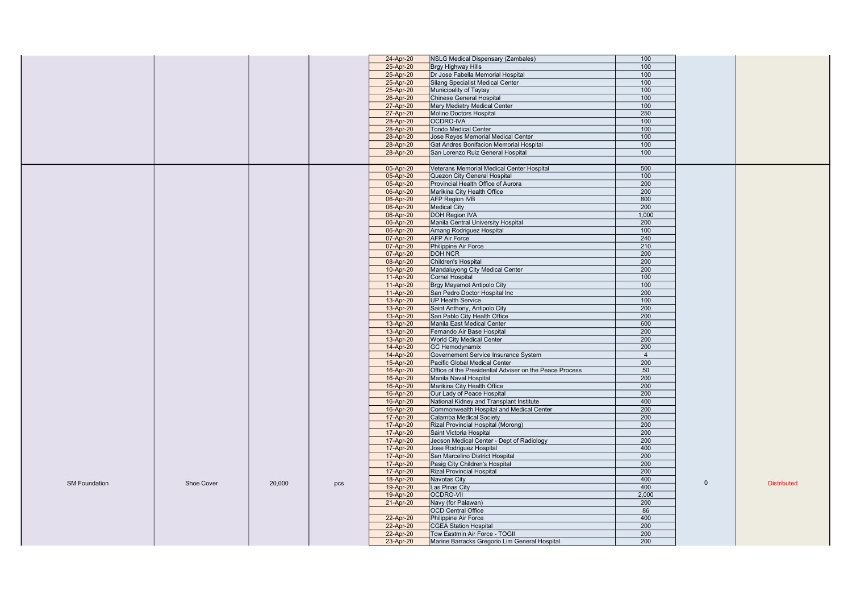|                      |            |        |     | 24-Apr-20 | NSLG Medical Dispensary (Zambales)                      | 100            |              |                    |
|----------------------|------------|--------|-----|-----------|---------------------------------------------------------|----------------|--------------|--------------------|
|                      |            |        |     | 25-Apr-20 | Brgy Highway Hills                                      | 100            |              |                    |
|                      |            |        |     | 25-Apr-20 | Dr Jose Fabella Memorial Hospital                       | 100            |              |                    |
|                      |            |        |     | 25-Apr-20 | Silang Specialist Medical Center                        | 100            |              |                    |
|                      |            |        |     | 25-Apr-20 | Municipality of Taytay                                  | 100            |              |                    |
|                      |            |        |     | 26-Apr-20 | Chinese General Hospital                                | 100            |              |                    |
|                      |            |        |     |           |                                                         | 100            |              |                    |
|                      |            |        |     | 27-Apr-20 | Mary Mediatry Medical Center                            |                |              |                    |
|                      |            |        |     | 27-Apr-20 | Molino Doctors Hospital                                 | 250            |              |                    |
|                      |            |        |     | 28-Apr-20 | OCDRO-IVA                                               | 100            |              |                    |
|                      |            |        |     | 28-Apr-20 | Tondo Medical Center                                    | 100            |              |                    |
|                      |            |        |     | 28-Apr-20 | Jose Reyes Memorial Medical Center                      | 100            |              |                    |
|                      |            |        |     | 28-Apr-20 | Gat Andres Bonifacion Memorial Hospital                 | 100            |              |                    |
|                      |            |        |     | 28-Apr-20 | San Lorenzo Ruiz General Hospital                       | 100            |              |                    |
|                      |            |        |     |           |                                                         |                |              |                    |
|                      |            |        |     | 05-Apr-20 | Veterans Memorial Medical Center Hospital               | 500            |              |                    |
|                      |            |        |     | 05-Apr-20 | Quezon City General Hospital                            | 100            |              |                    |
|                      |            |        |     | 05-Apr-20 | Provincial Health Office of Aurora                      | 200            |              |                    |
|                      |            |        |     | 06-Apr-20 | Marikina City Health Office                             | 200            |              |                    |
|                      |            |        |     | 06-Apr-20 | <b>AFP Region IVB</b>                                   | 800            |              |                    |
|                      |            |        |     | 06-Apr-20 | <b>Medical City</b>                                     | 200            |              |                    |
|                      |            |        |     | 06-Apr-20 | <b>DOH Region IVA</b>                                   | 1,000          |              |                    |
|                      |            |        |     | 06-Apr-20 | Manila Central University Hospital                      | 200            |              |                    |
|                      |            |        |     | 06-Apr-20 | Amang Rodriguez Hospital                                | 100            |              |                    |
|                      |            |        |     | 07-Apr-20 | <b>AFP Air Force</b>                                    | 240            |              |                    |
|                      |            |        |     | 07-Apr-20 | Philippine Air Force                                    | 210            |              |                    |
|                      |            |        |     | 07-Apr-20 | <b>DOH NCR</b>                                          | 200            |              |                    |
|                      |            |        |     | 08-Apr-20 | Children's Hospital                                     | 200            |              |                    |
|                      |            |        |     | 10-Apr-20 | Mandaluyong City Medical Center                         | 200            |              |                    |
|                      |            |        |     |           |                                                         | 100            |              |                    |
|                      |            |        |     | 11-Apr-20 | Cornel Hospital                                         | 100            |              |                    |
|                      |            |        |     | 11-Apr-20 | Brgy Mayamot Antipolo City                              | 200            |              |                    |
|                      |            |        |     | 11-Apr-20 | San Pedro Doctor Hospital Inc                           |                |              |                    |
|                      |            |        |     | 13-Apr-20 | <b>UP Health Service</b>                                | 100            |              |                    |
|                      |            |        |     | 13-Apr-20 | Saint Anthony, Antipolo City                            | 200            |              |                    |
|                      |            |        |     | 13-Apr-20 | San Pablo City Health Office                            | 200            |              |                    |
|                      |            |        |     | 13-Apr-20 | Manila East Medical Center                              | 600            |              |                    |
|                      |            |        |     | 13-Apr-20 | Fernando Air Base Hospital                              | 200            |              |                    |
|                      |            |        |     | 13-Apr-20 | World City Medical Center                               | 200            |              |                    |
|                      |            |        |     | 14-Apr-20 | <b>GC Hemodynamix</b>                                   | 200            |              |                    |
|                      |            |        |     | 14-Apr-20 | Governement Service Insurance System                    | $\overline{4}$ |              |                    |
|                      |            |        |     | 15-Apr-20 | Pacific Global Medical Center                           | 200            |              |                    |
|                      |            |        |     | 16-Apr-20 | Office of the Presidential Adviser on the Peace Process | 50             |              |                    |
|                      |            |        |     | 16-Apr-20 | Manila Naval Hospital                                   | 200            |              |                    |
|                      |            |        |     | 16-Apr-20 | Marikina City Health Office                             | 200            |              |                    |
|                      |            |        |     | 16-Apr-20 | Our Lady of Peace Hospital                              | 200            |              |                    |
|                      |            |        |     | 16-Apr-20 | National Kidney and Transplant Institute                | 400            |              |                    |
|                      |            |        |     | 16-Apr-20 | Commonwealth Hospital and Medical Center                | 200            |              |                    |
|                      |            |        |     | 17-Apr-20 | Calamba Medical Society                                 | 200            |              |                    |
|                      |            |        |     | 17-Apr-20 | Rizal Provincial Hospital (Morong)                      | 200            |              |                    |
|                      |            |        |     | 17-Apr-20 | Saint Victoria Hospital                                 | 200            |              |                    |
|                      |            |        |     | 17-Apr-20 | Jecson Medical Center - Dept of Radiology               | 200            |              |                    |
|                      |            |        |     | 17-Apr-20 | Jose Rodriguez Hospital                                 | 400            |              |                    |
|                      |            |        |     | 17-Apr-20 | San Marcelino District Hospital                         | 200            |              |                    |
|                      |            |        |     |           |                                                         |                |              |                    |
|                      |            |        |     | 17-Apr-20 | Pasig City Children's Hospital                          | 200<br>200     |              |                    |
|                      |            |        |     | 17-Apr-20 | <b>Rizal Provincial Hospital</b>                        |                |              |                    |
| <b>SM Foundation</b> | Shoe Cover | 20,000 | pcs | 18-Apr-20 | Navotas City                                            | 400            | $\mathbf{0}$ | <b>Distributed</b> |
|                      |            |        |     | 19-Apr-20 | Las Pinas City                                          | 400            |              |                    |
|                      |            |        |     | 19-Apr-20 | <b>OCDRO-VII</b>                                        | 2,000          |              |                    |
|                      |            |        |     | 21-Apr-20 | Navy (for Palawan)                                      | 200            |              |                    |
|                      |            |        |     |           | OCD Central Office                                      | 86             |              |                    |
|                      |            |        |     | 22-Apr-20 | Philippine Air Force                                    | 400            |              |                    |
|                      |            |        |     | 22-Apr-20 | <b>CGEA Station Hospital</b>                            | 200            |              |                    |
|                      |            |        |     | 22-Apr-20 | Tow Eastmin Air Force - TOGII                           | 200            |              |                    |
|                      |            |        |     | 23-Apr-20 | Marine Barracks Gregorio Lim General Hospital           | 200            |              |                    |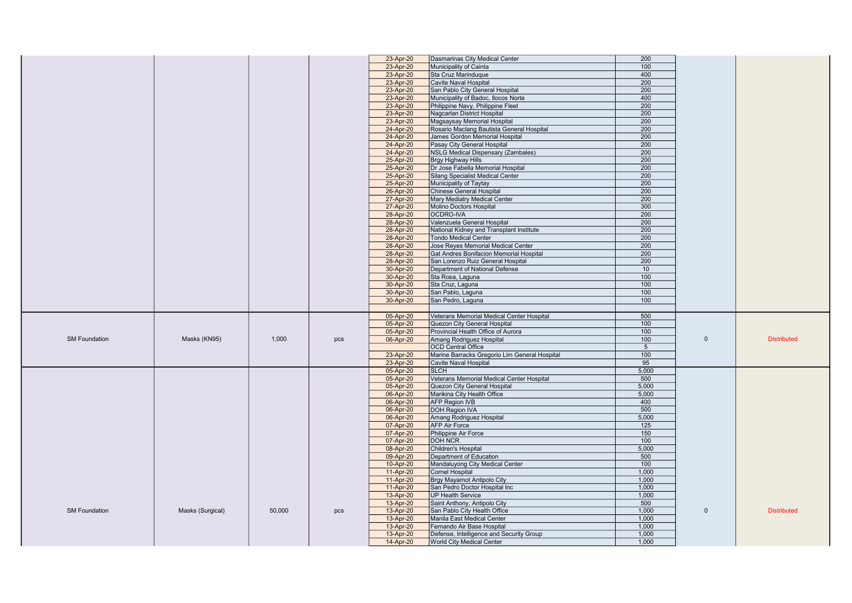|                      |                  |        |     | 23-Apr-20              | Dasmarinas City Medical Center                                        | 200             |              |                    |
|----------------------|------------------|--------|-----|------------------------|-----------------------------------------------------------------------|-----------------|--------------|--------------------|
|                      |                  |        |     | 23-Apr-20              | Municipality of Cainta                                                | 100             |              |                    |
|                      |                  |        |     | 23-Apr-20              | Sta Cruz Marinduque                                                   | 400             |              |                    |
|                      |                  |        |     | 23-Apr-20              | Cavite Naval Hospital                                                 | 200             |              |                    |
|                      |                  |        |     | 23-Apr-20              | San Pablo City General Hospital                                       | 200             |              |                    |
|                      |                  |        |     | 23-Apr-20              | Municipality of Badoc, Ilocos Norte                                   | 400             |              |                    |
|                      |                  |        |     |                        |                                                                       | 200             |              |                    |
|                      |                  |        |     | 23-Apr-20              | Philippine Navy, Philippine Fleet                                     |                 |              |                    |
|                      |                  |        |     | 23-Apr-20              | Nagcarlan District Hospital                                           | 200             |              |                    |
|                      |                  |        |     | 23-Apr-20              | Magsaysay Memorial Hospital                                           | 200             |              |                    |
|                      |                  |        |     | 24-Apr-20              | Rosario Maclang Bautista General Hospital                             | 200             |              |                    |
|                      |                  |        |     | 24-Apr-20              | James Gordon Memorial Hospital                                        | 200             |              |                    |
|                      |                  |        |     | 24-Apr-20              | Pasay City General Hospital                                           | 200             |              |                    |
|                      |                  |        |     | 24-Apr-20              | NSLG Medical Dispensary (Zambales)                                    | 200             |              |                    |
|                      |                  |        |     | 25-Apr-20              | Brgy Highway Hills                                                    | 200             |              |                    |
|                      |                  |        |     | 25-Apr-20              | Dr Jose Fabella Memorial Hospital                                     | 200             |              |                    |
|                      |                  |        |     |                        |                                                                       |                 |              |                    |
|                      |                  |        |     | 25-Apr-20              | Silang Specialist Medical Center                                      | 200             |              |                    |
|                      |                  |        |     | 25-Apr-20              | Municipality of Taytay                                                | 200             |              |                    |
|                      |                  |        |     | 26-Apr-20              | <b>Chinese General Hospital</b>                                       | 200             |              |                    |
|                      |                  |        |     | 27-Apr-20              | Mary Mediatry Medical Center                                          | 200             |              |                    |
|                      |                  |        |     | 27-Apr-20              | Molino Doctors Hospital                                               | 300             |              |                    |
|                      |                  |        |     | 28-Apr-20              | OCDRO-IVA                                                             | 200             |              |                    |
|                      |                  |        |     | 28-Apr-20              | Valenzuela General Hospital                                           | 200             |              |                    |
|                      |                  |        |     | 28-Apr-20              | National Kidney and Transplant Institute                              | 200             |              |                    |
|                      |                  |        |     | 28-Apr-20              | <b>Tondo Medical Center</b>                                           | 200             |              |                    |
|                      |                  |        |     | 28-Apr-20              | Jose Reyes Memorial Medical Center                                    | 200             |              |                    |
|                      |                  |        |     | 28-Apr-20              | Gat Andres Bonifacion Memorial Hospital                               | 200             |              |                    |
|                      |                  |        |     |                        |                                                                       |                 |              |                    |
|                      |                  |        |     | 28-Apr-20              | San Lorenzo Ruiz General Hospital                                     | 200             |              |                    |
|                      |                  |        |     | 30-Apr-20              | Department of National Defense                                        | 10              |              |                    |
|                      |                  |        |     | 30-Apr-20              | Sta Rosa, Laguna                                                      | 100             |              |                    |
|                      |                  |        |     | 30-Apr-20              | Sta Cruz, Laguna                                                      | 100             |              |                    |
|                      |                  |        |     | 30-Apr-20              | San Pablo, Laguna                                                     | 100             |              |                    |
|                      |                  |        |     | 30-Apr-20              | San Pedro, Laguna                                                     | 100             |              |                    |
|                      |                  |        |     |                        |                                                                       |                 |              |                    |
|                      |                  |        |     | 05-Apr-20              | Veterans Memorial Medical Center Hospital                             | 500             |              |                    |
|                      |                  |        |     |                        |                                                                       |                 |              |                    |
|                      |                  |        |     |                        |                                                                       |                 |              |                    |
|                      |                  |        |     | 05-Apr-20              | Quezon City General Hospital                                          | 100             |              |                    |
|                      |                  |        |     | 05-Apr-20              | Provincial Health Office of Aurora                                    | 100             |              |                    |
| <b>SM Foundation</b> | Masks (KN95)     | 1.000  | pcs | 06-Apr-20              | Amang Rodriguez Hospital                                              | 100             | $\mathbf{0}$ | <b>Distributed</b> |
|                      |                  |        |     |                        | <b>OCD Central Office</b>                                             | $5\overline{)}$ |              |                    |
|                      |                  |        |     | 23-Apr-20              | Marine Barracks Gregorio Lim General Hospital                         | 100             |              |                    |
|                      |                  |        |     | 23-Apr-20              | Cavite Naval Hospital                                                 | 95              |              |                    |
|                      |                  |        |     | 05-Apr-20              | <b>SLCH</b>                                                           | 5,000           |              |                    |
|                      |                  |        |     | 05-Apr-20              | Veterans Memorial Medical Center Hospital                             | 500             |              |                    |
|                      |                  |        |     | 05-Apr-20              | <b>Quezon City General Hospital</b>                                   | 5,000           |              |                    |
|                      |                  |        |     | 06-Apr-20              | Marikina City Health Office                                           | 5,000           |              |                    |
|                      |                  |        |     |                        |                                                                       |                 |              |                    |
|                      |                  |        |     | 06-Apr-20              | <b>AFP Region IVB</b>                                                 | 400             |              |                    |
|                      |                  |        |     | 06-Apr-20              | <b>DOH Region IVA</b>                                                 | 500             |              |                    |
|                      |                  |        |     | 06-Apr-20              | Amang Rodriguez Hospital                                              | 5,000           |              |                    |
|                      |                  |        |     | 07-Apr-20              | <b>AFP Air Force</b>                                                  | 125             |              |                    |
|                      |                  |        |     | 07-Apr-20              | Philippine Air Force                                                  | 150             |              |                    |
|                      |                  |        |     | 07-Apr-20              | <b>DOH NCR</b>                                                        | 100             |              |                    |
|                      |                  |        |     | 08-Apr-20              | Children's Hospital                                                   | 5,000           |              |                    |
|                      |                  |        |     | 09-Apr-20              | Department of Education                                               | 500             |              |                    |
|                      |                  |        |     | 10-Apr-20              | Mandaluyong City Medical Center                                       | 100             |              |                    |
|                      |                  |        |     | 11-Apr-20              | <b>Cornel Hospital</b>                                                | 1.000           |              |                    |
|                      |                  |        |     | 11-Apr-20              | Brgy Mayamot Antipolo City                                            | 1,000           |              |                    |
|                      |                  |        |     | 11-Apr-20              | San Pedro Doctor Hospital Inc                                         | 1.000           |              |                    |
|                      |                  |        |     | 13-Apr-20              | <b>UP Health Service</b>                                              | 1,000           |              |                    |
|                      |                  |        |     | 13-Apr-20              |                                                                       | 500             |              |                    |
| <b>SM Foundation</b> |                  | 50,000 |     |                        | Saint Anthony, Antipolo City<br>San Pablo City Health Office          | 1.000           | $\mathbf{0}$ | <b>Distributed</b> |
|                      | Masks (Surgical) |        | pcs | 13-Apr-20              |                                                                       |                 |              |                    |
|                      |                  |        |     | 13-Apr-20              | Manila East Medical Center                                            | 1,000           |              |                    |
|                      |                  |        |     | 13-Apr-20              | Fernando Air Base Hospital                                            | 1,000           |              |                    |
|                      |                  |        |     | 13-Apr-20<br>14-Apr-20 | Defense, Intelligence and Security Group<br>World City Medical Center | 1.000<br>1,000  |              |                    |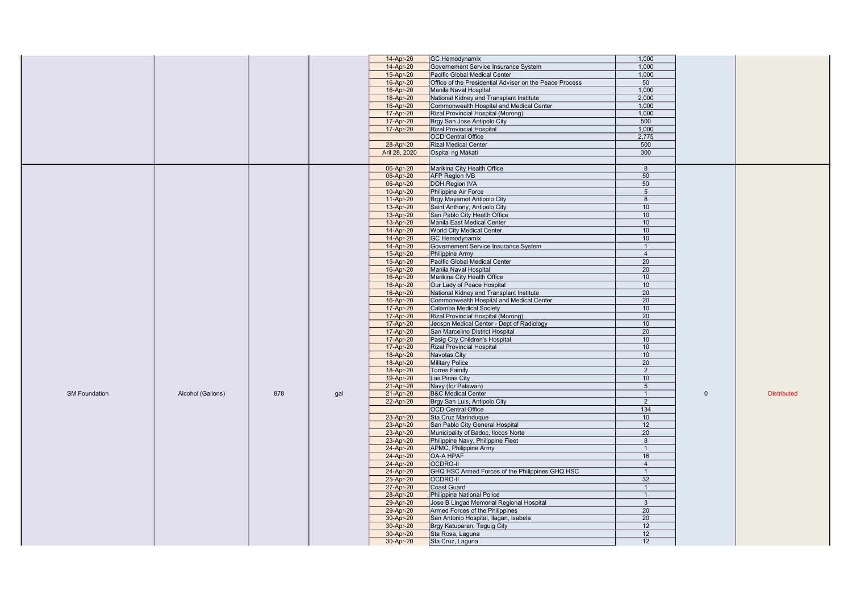|                      |                   |     |     | 14-Apr-20              | <b>GC Hemodynamix</b>                                                                | 1,000                 |              |                    |
|----------------------|-------------------|-----|-----|------------------------|--------------------------------------------------------------------------------------|-----------------------|--------------|--------------------|
|                      |                   |     |     | 14-Apr-20              | Governement Service Insurance System                                                 | 1,000                 |              |                    |
|                      |                   |     |     | 15-Apr-20              | Pacific Global Medical Center                                                        | 1,000                 |              |                    |
|                      |                   |     |     | 16-Apr-20              | Office of the Presidential Adviser on the Peace Process                              | 50                    |              |                    |
|                      |                   |     |     | 16-Apr-20              | Manila Naval Hospital                                                                | 1,000                 |              |                    |
|                      |                   |     |     | 16-Apr-20              | National Kidney and Transplant Institute                                             | 2,000                 |              |                    |
|                      |                   |     |     | 16-Apr-20              | Commonwealth Hospital and Medical Center                                             | 1.000                 |              |                    |
|                      |                   |     |     | 17-Apr-20              | Rizal Provincial Hospital (Morong)                                                   | 1,000                 |              |                    |
|                      |                   |     |     | 17-Apr-20              | Brgy San Jose Antipolo City                                                          | 500                   |              |                    |
|                      |                   |     |     | 17-Apr-20              | <b>Rizal Provincial Hospital</b>                                                     | 1.000                 |              |                    |
|                      |                   |     |     |                        | <b>OCD Central Office</b>                                                            | 2,775                 |              |                    |
|                      |                   |     |     | 28-Apr-20              | <b>Rizal Medical Center</b>                                                          | 500                   |              |                    |
|                      |                   |     |     | Aril 28, 2020          | Ospital ng Makati                                                                    | 300                   |              |                    |
|                      |                   |     |     |                        |                                                                                      |                       |              |                    |
|                      |                   |     |     | 06-Apr-20              | Marikina City Health Office                                                          | $\overline{8}$        |              |                    |
|                      |                   |     |     | 06-Apr-20              | AFP Region IVB                                                                       | 50                    |              |                    |
|                      |                   |     |     | 06-Apr-20              | DOH Region IVA                                                                       | 50                    |              |                    |
|                      |                   |     |     | 10-Apr-20              | Philippine Air Force                                                                 | 5 <sup>5</sup>        |              |                    |
|                      |                   |     |     | 11-Apr-20              | Brgy Mayamot Antipolo City                                                           | 8                     |              |                    |
|                      |                   |     |     | 13-Apr-20              | Saint Anthony, Antipolo City                                                         | 10                    |              |                    |
|                      |                   |     |     | 13-Apr-20              | San Pablo City Health Office                                                         | 10                    |              |                    |
|                      |                   |     |     | 13-Apr-20              | Manila East Medical Center                                                           | 10                    |              |                    |
|                      |                   |     |     | 14-Apr-20              | <b>World City Medical Center</b>                                                     | 10                    |              |                    |
|                      |                   |     |     | 14-Apr-20              | <b>GC Hemodynamix</b>                                                                | 10 <sup>°</sup>       |              |                    |
|                      |                   |     |     | 14-Apr-20              | Governement Service Insurance System                                                 | $\mathbf{1}$          |              |                    |
|                      |                   |     |     | 15-Apr-20              | Philippine Army                                                                      | $\overline{4}$        |              |                    |
|                      |                   |     |     | 15-Apr-20              | Pacific Global Medical Center                                                        | $\overline{20}$       |              |                    |
|                      |                   |     |     | 16-Apr-20              | Manila Naval Hospital                                                                | 20                    |              |                    |
|                      |                   |     |     | 16-Apr-20              | Marikina City Health Office                                                          | 10<br>10 <sup>1</sup> |              |                    |
|                      |                   |     |     | 16-Apr-20              | Our Lady of Peace Hospital                                                           | 20                    |              |                    |
|                      |                   |     |     | 16-Apr-20<br>16-Apr-20 | National Kidney and Transplant Institute<br>Commonwealth Hospital and Medical Center | 20                    |              |                    |
|                      |                   |     |     | 17-Apr-20              | Calamba Medical Society                                                              | 10                    |              |                    |
|                      |                   |     |     | 17-Apr-20              | Rizal Provincial Hospital (Morong)                                                   | 20                    |              |                    |
|                      |                   |     |     | 17-Apr-20              | Jecson Medical Center - Dept of Radiology                                            | 10                    |              |                    |
|                      |                   |     |     | 17-Apr-20              | San Marcelino District Hospital                                                      | 20                    |              |                    |
|                      |                   |     |     | 17-Apr-20              | Pasig City Children's Hospital                                                       | 10                    |              |                    |
|                      |                   |     |     | 17-Apr-20              | <b>Rizal Provincial Hospital</b>                                                     | 10 <sup>1</sup>       |              |                    |
|                      |                   |     |     | 18-Apr-20              | Navotas City                                                                         | 10 <sup>1</sup>       |              |                    |
|                      |                   |     |     | 18-Apr-20              | <b>Military Police</b>                                                               | 20                    |              |                    |
|                      |                   |     |     | 18-Apr-20              | <b>Torres Family</b>                                                                 | 2                     |              |                    |
|                      |                   |     |     | 19-Apr-20              | Las Pinas City                                                                       | 10 <sup>°</sup>       |              |                    |
|                      |                   |     |     | 21-Apr-20              | Navy (for Palawan)                                                                   | 5 <sup>5</sup>        |              |                    |
| <b>SM Foundation</b> | Alcohol (Gallons) | 878 | gal | 21-Apr-20              | <b>B&amp;C Medical Center</b>                                                        | $\mathbf{1}$          | $\mathbf{0}$ | <b>Distributed</b> |
|                      |                   |     |     | 22-Apr-20              | Brgy San Luis, Antipolo City                                                         | 2                     |              |                    |
|                      |                   |     |     |                        | <b>OCD Central Office</b>                                                            | 134                   |              |                    |
|                      |                   |     |     | 23-Apr-20              | Sta Cruz Marinduque                                                                  | 10                    |              |                    |
|                      |                   |     |     | 23-Apr-20              | San Pablo City General Hospital                                                      | 12                    |              |                    |
|                      |                   |     |     | 23-Apr-20              | Municipality of Badoc, Ilocos Norte                                                  | 20                    |              |                    |
|                      |                   |     |     | 23-Apr-20              | Philippine Navy, Philippine Fleet                                                    | 8                     |              |                    |
|                      |                   |     |     | 24-Apr-20              | APMC, Philippine Army                                                                | $\mathbf{1}$          |              |                    |
|                      |                   |     |     | 24-Apr-20              | OA-A HPAF                                                                            | 16                    |              |                    |
|                      |                   |     |     | 24-Apr-20              | <b>OCDRO-II</b>                                                                      | $\overline{4}$        |              |                    |
|                      |                   |     |     | 24-Apr-20              | GHQ HSC Armed Forces of the Philippines GHQ HSC                                      | $\mathbf{1}$          |              |                    |
|                      |                   |     |     | 25-Apr-20              | <b>OCDRO-II</b>                                                                      | 32                    |              |                    |
|                      |                   |     |     | 27-Apr-20              | <b>Coast Guard</b>                                                                   | $\mathbf{1}$          |              |                    |
|                      |                   |     |     | 28-Apr-20              | Philippine National Police                                                           | $\mathbf{1}$          |              |                    |
|                      |                   |     |     | 29-Apr-20              | Jose B Lingad Memorial Regional Hospital                                             | $\mathbf{3}$          |              |                    |
|                      |                   |     |     | 29-Apr-20              | Armed Forces of the Philippines                                                      | 20<br>$\overline{20}$ |              |                    |
|                      |                   |     |     | 30-Apr-20              | San Antonio Hospital, Ilagan, Isabela                                                | 12                    |              |                    |
|                      |                   |     |     | 30-Apr-20              | Brgy Katuparan, Taguig City                                                          | 12                    |              |                    |
|                      |                   |     |     | 30-Apr-20              | Sta Rosa, Laguna                                                                     | 12                    |              |                    |
|                      |                   |     |     | 30-Apr-20              | Sta Cruz, Laguna                                                                     |                       |              |                    |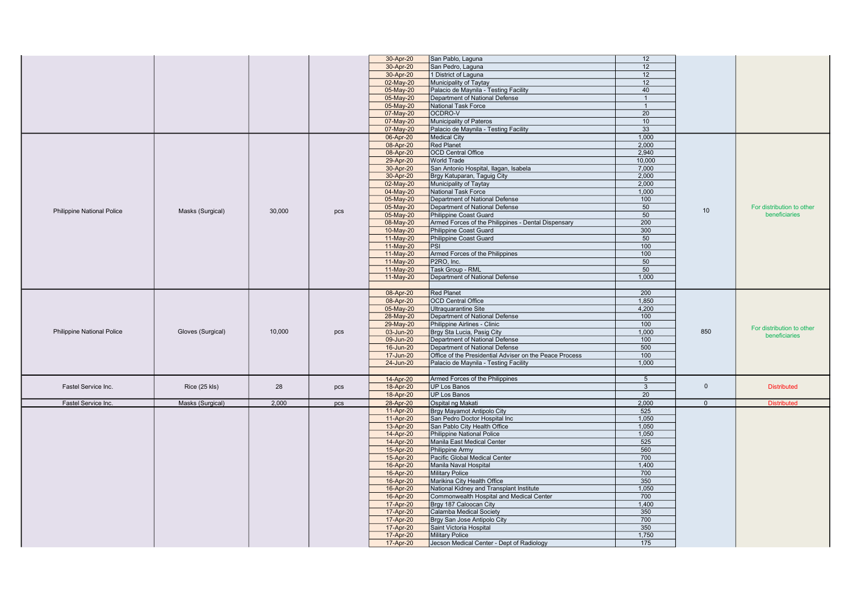|                                   |                   |        |     | 30-Apr-20 | San Pablo, Laguna                                       | 12             |              |                           |
|-----------------------------------|-------------------|--------|-----|-----------|---------------------------------------------------------|----------------|--------------|---------------------------|
|                                   |                   |        |     | 30-Apr-20 | San Pedro, Laguna                                       | 12             |              |                           |
|                                   |                   |        |     | 30-Apr-20 | 1 District of Laguna                                    | 12             |              |                           |
|                                   |                   |        |     | 02-May-20 | Municipality of Taytay                                  | 12             |              |                           |
|                                   |                   |        |     |           | Palacio de Maynila - Testing Facility                   | 40             |              |                           |
|                                   |                   |        |     | 05-May-20 |                                                         |                |              |                           |
|                                   |                   |        |     | 05-May-20 | Department of National Defense                          | $\overline{1}$ |              |                           |
|                                   |                   |        |     | 05-May-20 | <b>National Task Force</b>                              | $\overline{1}$ |              |                           |
|                                   |                   |        |     | 07-May-20 | OCDRO-V                                                 | 20             |              |                           |
|                                   |                   |        |     | 07-May-20 | Municipality of Pateros                                 | 10             |              |                           |
|                                   |                   |        |     | 07-May-20 | Palacio de Maynila - Testing Facility                   | 33             |              |                           |
|                                   |                   |        |     | 06-Apr-20 | <b>Medical City</b>                                     | 1.000          |              |                           |
|                                   |                   |        |     | 08-Apr-20 | <b>Red Planet</b>                                       | 2,000          |              |                           |
|                                   |                   |        |     | 08-Apr-20 | <b>OCD Central Office</b>                               | 2,940          |              |                           |
|                                   |                   |        |     | 29-Apr-20 | <b>World Trade</b>                                      | 10,000         |              |                           |
|                                   |                   |        |     | 30-Apr-20 | San Antonio Hospital, Ilagan, Isabela                   | 7,000          |              |                           |
|                                   |                   |        |     | 30-Apr-20 | Brgy Katuparan, Taguig City                             | 2.000          |              |                           |
|                                   |                   |        |     | 02-May-20 | Municipality of Taytay                                  | 2,000          |              |                           |
|                                   |                   |        |     |           | <b>National Task Force</b>                              |                |              |                           |
|                                   |                   |        |     | 04-May-20 |                                                         | 1,000          |              |                           |
|                                   |                   |        |     | 05-May-20 | Department of National Defense                          | 100            |              |                           |
| <b>Philippine National Police</b> | Masks (Surgical)  | 30,000 | pcs | 05-May-20 | Department of National Defense                          | 50             | 10           | For distribution to other |
|                                   |                   |        |     | 05-May-20 | Philippine Coast Guard                                  | 50             |              | beneficiaries             |
|                                   |                   |        |     | 08-May-20 | Armed Forces of the Philippines - Dental Dispensary     | 200            |              |                           |
|                                   |                   |        |     | 10-May-20 | Philippine Coast Guard                                  | 300            |              |                           |
|                                   |                   |        |     | 11-May-20 | Philippine Coast Guard                                  | 50             |              |                           |
|                                   |                   |        |     | 11-May-20 | PSI                                                     | 100            |              |                           |
|                                   |                   |        |     | 11-May-20 | Armed Forces of the Philippines                         | 100            |              |                           |
|                                   |                   |        |     | 11-May-20 | P2RO, Inc.                                              | 50             |              |                           |
|                                   |                   |        |     | 11-May-20 | Task Group - RML                                        | 50             |              |                           |
|                                   |                   |        |     | 11-May-20 | Department of National Defense                          | 1.000          |              |                           |
|                                   |                   |        |     |           |                                                         |                |              |                           |
|                                   |                   |        |     |           |                                                         |                |              |                           |
|                                   |                   |        |     | 08-Apr-20 | <b>Red Planet</b>                                       | 200            |              |                           |
|                                   |                   |        |     | 08-Apr-20 | <b>OCD Central Office</b>                               | 1,850          |              |                           |
|                                   |                   |        |     | 05-May-20 | Ultraquarantine Site                                    | 4,200          |              |                           |
|                                   |                   |        |     | 28-May-20 | Department of National Defense                          | 100            |              |                           |
|                                   |                   |        |     | 29-May-20 | Philippine Airlines - Clinic                            | 100            |              | For distribution to other |
| <b>Philippine National Police</b> | Gloves (Surgical) | 10,000 | pcs | 03-Jun-20 | Brgy Sta Lucia, Pasig City                              | 1,000          | 850          | beneficiaries             |
|                                   |                   |        |     | 09-Jun-20 | Department of National Defense                          | 100            |              |                           |
|                                   |                   |        |     | 16-Jun-20 | Department of National Defense                          | 500            |              |                           |
|                                   |                   |        |     | 17-Jun-20 | Office of the Presidential Adviser on the Peace Process | 100            |              |                           |
|                                   |                   |        |     | 24-Jun-20 | Palacio de Maynila - Testing Facility                   | 1,000          |              |                           |
|                                   |                   |        |     |           |                                                         |                |              |                           |
|                                   |                   |        |     | 14-Apr-20 | Armed Forces of the Philippines                         | $\overline{5}$ |              |                           |
| Fastel Service Inc.               | Rice (25 kls)     | 28     | pcs | 18-Apr-20 | <b>UP Los Banos</b>                                     | 3              | $\mathbf{0}$ | <b>Distributed</b>        |
|                                   |                   |        |     | 18-Apr-20 | UP Los Banos                                            | 20             |              |                           |
|                                   |                   |        |     |           |                                                         |                |              |                           |
| Fastel Service Inc.               | Masks (Surgical)  | 2.000  | pcs | 28-Apr-20 | Ospital ng Makati                                       | 2,000          | $\Omega$     | <b>Distributed</b>        |
|                                   |                   |        |     | 11-Apr-20 | Brgy Mayamot Antipolo City                              | 525            |              |                           |
|                                   |                   |        |     | 11-Apr-20 | San Pedro Doctor Hospital Inc                           | 1.050          |              |                           |
|                                   |                   |        |     | 13-Apr-20 | San Pablo City Health Office                            | 1,050          |              |                           |
|                                   |                   |        |     | 14-Apr-20 | Philippine National Police                              | 1,050          |              |                           |
|                                   |                   |        |     | 14-Apr-20 | Manila East Medical Center                              | 525            |              |                           |
|                                   |                   |        |     | 15-Apr-20 | Philippine Army                                         | 560            |              |                           |
|                                   |                   |        |     | 15-Apr-20 | Pacific Global Medical Center                           | 700            |              |                           |
|                                   |                   |        |     | 16-Apr-20 | Manila Naval Hospital                                   | 1,400          |              |                           |
|                                   |                   |        |     | 16-Apr-20 | <b>Military Police</b>                                  | 700            |              |                           |
|                                   |                   |        |     | 16-Apr-20 | Marikina City Health Office                             | 350            |              |                           |
|                                   |                   |        |     | 16-Apr-20 | National Kidney and Transplant Institute                | 1,050          |              |                           |
|                                   |                   |        |     |           |                                                         |                |              |                           |
|                                   |                   |        |     | 16-Apr-20 | Commonwealth Hospital and Medical Center                | 700            |              |                           |
|                                   |                   |        |     | 17-Apr-20 | Brgy 187 Caloocan City                                  | 1,400          |              |                           |
|                                   |                   |        |     | 17-Apr-20 | Calamba Medical Society                                 | 350            |              |                           |
|                                   |                   |        |     | 17-Apr-20 | Brgy San Jose Antipolo City                             | 700            |              |                           |
|                                   |                   |        |     | 17-Apr-20 | Saint Victoria Hospital                                 | 350            |              |                           |
|                                   |                   |        |     | 17-Apr-20 | <b>Military Police</b>                                  | 1,750          |              |                           |
|                                   |                   |        |     | 17-Apr-20 | Jecson Medical Center - Dept of Radiology               | 175            |              |                           |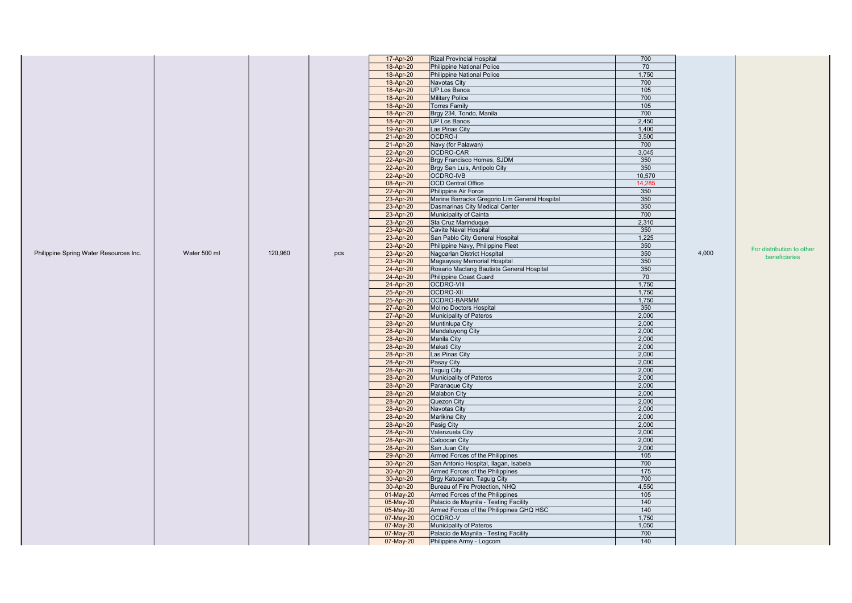|                                        |              |         |     | 17-Apr-20 | <b>Rizal Provincial Hospital</b>              | 700              |       |                           |
|----------------------------------------|--------------|---------|-----|-----------|-----------------------------------------------|------------------|-------|---------------------------|
|                                        |              |         |     | 18-Apr-20 | Philippine National Police                    | 70               |       |                           |
|                                        |              |         |     | 18-Apr-20 | Philippine National Police                    | 1,750            |       |                           |
|                                        |              |         |     | 18-Apr-20 | Navotas City                                  | 700              |       |                           |
|                                        |              |         |     | 18-Apr-20 | UP Los Banos                                  | 105              |       |                           |
|                                        |              |         |     | 18-Apr-20 | <b>Military Police</b>                        | 700              |       |                           |
|                                        |              |         |     | 18-Apr-20 | Torres Family                                 | 105              |       |                           |
|                                        |              |         |     | 18-Apr-20 | Brgy 234, Tondo, Manila                       | 700              |       |                           |
|                                        |              |         |     | 18-Apr-20 | UP Los Banos                                  | 2,450            |       |                           |
|                                        |              |         |     | 19-Apr-20 | Las Pinas City                                | 1,400            |       |                           |
|                                        |              |         |     |           | OCDRO-I                                       | 3,500            |       |                           |
|                                        |              |         |     | 21-Apr-20 |                                               | 700              |       |                           |
|                                        |              |         |     | 21-Apr-20 | Navy (for Palawan)                            |                  |       |                           |
|                                        |              |         |     | 22-Apr-20 | OCDRO-CAR                                     | 3,045            |       |                           |
|                                        |              |         |     | 22-Apr-20 | Brgy Francisco Homes, SJDM                    | 350              |       |                           |
|                                        |              |         |     | 22-Apr-20 | Brgy San Luis, Antipolo City                  | 350              |       |                           |
|                                        |              |         |     | 22-Apr-20 | OCDRO-IVB                                     | 10,570           |       |                           |
|                                        |              |         |     | 08-Apr-20 | <b>OCD Central Office</b>                     | 14,285           |       |                           |
|                                        |              |         |     | 22-Apr-20 | Philippine Air Force                          | 350              |       |                           |
|                                        |              |         |     | 23-Apr-20 | Marine Barracks Gregorio Lim General Hospital | 350              |       |                           |
|                                        |              |         |     | 23-Apr-20 | Dasmarinas City Medical Center                | 350              |       |                           |
|                                        |              |         |     | 23-Apr-20 | Municipality of Cainta                        | 700              |       |                           |
|                                        |              |         |     | 23-Apr-20 | Sta Cruz Marinduque                           | 2,310            |       |                           |
|                                        |              |         |     | 23-Apr-20 | Cavite Naval Hospital                         | 350              |       |                           |
|                                        |              |         |     | 23-Apr-20 | San Pablo City General Hospital               | 1,225            |       |                           |
|                                        |              |         |     | 23-Apr-20 | Philippine Navy, Philippine Fleet             | 350              |       |                           |
| Philippine Spring Water Resources Inc. | Water 500 ml | 120,960 | pcs | 23-Apr-20 | Nagcarlan District Hospital                   | 350              | 4,000 | For distribution to other |
|                                        |              |         |     |           | Magsaysay Memorial Hospital                   | 350              |       | beneficiaries             |
|                                        |              |         |     | 23-Apr-20 |                                               | 350              |       |                           |
|                                        |              |         |     | 24-Apr-20 | Rosario Maclang Bautista General Hospital     |                  |       |                           |
|                                        |              |         |     | 24-Apr-20 | Philippine Coast Guard                        | 70               |       |                           |
|                                        |              |         |     | 24-Apr-20 | OCDRO-VIII                                    | 1,750            |       |                           |
|                                        |              |         |     | 25-Apr-20 | OCDRO-XII                                     | 1,750            |       |                           |
|                                        |              |         |     | 25-Apr-20 | OCDRO-BARMM                                   | 1,750            |       |                           |
|                                        |              |         |     | 27-Apr-20 | Molino Doctors Hospital                       | 350              |       |                           |
|                                        |              |         |     | 27-Apr-20 | Municipality of Pateros                       | 2,000            |       |                           |
|                                        |              |         |     | 28-Apr-20 | Muntinlupa City                               | 2,000            |       |                           |
|                                        |              |         |     | 28-Apr-20 | Mandaluyong City                              | 2,000            |       |                           |
|                                        |              |         |     | 28-Apr-20 | Manila City                                   | 2,000            |       |                           |
|                                        |              |         |     | 28-Apr-20 | Makati City                                   | 2,000            |       |                           |
|                                        |              |         |     | 28-Apr-20 | Las Pinas City                                | 2,000            |       |                           |
|                                        |              |         |     | 28-Apr-20 | Pasay City                                    | 2,000            |       |                           |
|                                        |              |         |     | 28-Apr-20 | Taguig City                                   | 2,000            |       |                           |
|                                        |              |         |     | 28-Apr-20 | Municipality of Pateros                       | 2,000            |       |                           |
|                                        |              |         |     | 28-Apr-20 | Paranaque City                                | 2,000            |       |                           |
|                                        |              |         |     | 28-Apr-20 | Malabon City                                  | 2,000            |       |                           |
|                                        |              |         |     | 28-Apr-20 | Quezon City                                   | 2,000            |       |                           |
|                                        |              |         |     | 28-Apr-20 | Navotas City                                  | 2,000            |       |                           |
|                                        |              |         |     | 28-Apr-20 | Marikina City                                 | 2,000            |       |                           |
|                                        |              |         |     | 28-Apr-20 | Pasig City                                    | 2,000            |       |                           |
|                                        |              |         |     | 28-Apr-20 | Valenzuela City                               | 2,000            |       |                           |
|                                        |              |         |     | 28-Apr-20 | Caloocan City                                 | 2,000            |       |                           |
|                                        |              |         |     | 28-Apr-20 | San Juan City                                 | 2,000            |       |                           |
|                                        |              |         |     | 29-Apr-20 | Armed Forces of the Philippines               | 105              |       |                           |
|                                        |              |         |     | 30-Apr-20 | San Antonio Hospital, Ilagan, Isabela         | 700              |       |                           |
|                                        |              |         |     | 30-Apr-20 | Armed Forces of the Philippines               | $\overline{175}$ |       |                           |
|                                        |              |         |     | 30-Apr-20 | Brgy Katuparan, Taguig City                   | 700              |       |                           |
|                                        |              |         |     | 30-Apr-20 | Bureau of Fire Protection, NHQ                | 4,550            |       |                           |
|                                        |              |         |     |           |                                               |                  |       |                           |
|                                        |              |         |     | 01-May-20 | Armed Forces of the Philippines               | 105              |       |                           |
|                                        |              |         |     | 05-May-20 | Palacio de Maynila - Testing Facility         | 140              |       |                           |
|                                        |              |         |     | 05-May-20 | Armed Forces of the Philippines GHQ HSC       | 140              |       |                           |
|                                        |              |         |     | 07-May-20 | OCDRO-V                                       | 1,750            |       |                           |
|                                        |              |         |     | 07-May-20 | Municipality of Pateros                       | 1,050            |       |                           |
|                                        |              |         |     | 07-May-20 | Palacio de Maynila - Testing Facility         | 700              |       |                           |
|                                        |              |         |     | 07-May-20 | Philippine Army - Logcom                      | 140              |       |                           |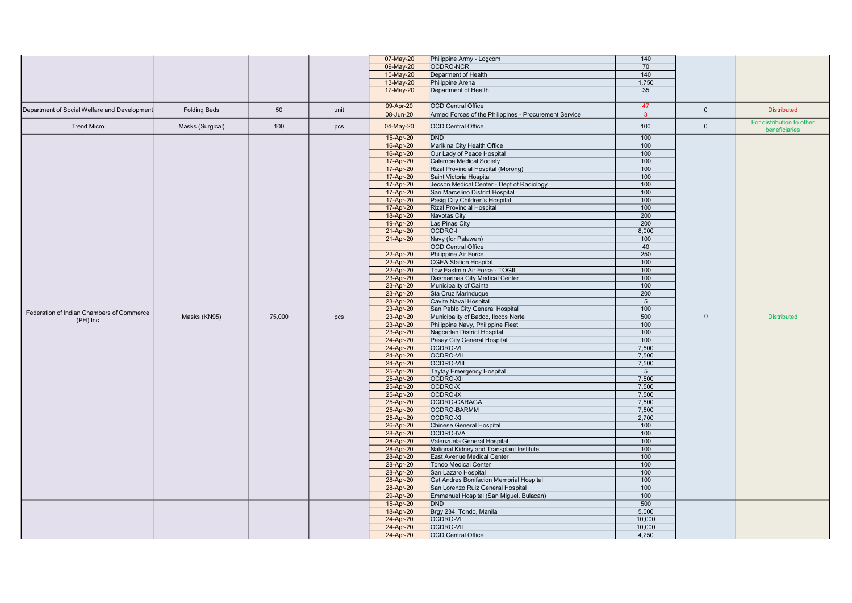|                                              |                     |        |      | 07-May-20 | Philippine Army - Logcom                              | 140             |              |                           |
|----------------------------------------------|---------------------|--------|------|-----------|-------------------------------------------------------|-----------------|--------------|---------------------------|
|                                              |                     |        |      | 09-May-20 | OCDRO-NCR                                             | 70              |              |                           |
|                                              |                     |        |      |           | Deparment of Health                                   | 140             |              |                           |
|                                              |                     |        |      | 10-May-20 |                                                       | 1,750           |              |                           |
|                                              |                     |        |      | 13-May-20 | Philippine Arena                                      |                 |              |                           |
|                                              |                     |        |      | 17-May-20 | Department of Health                                  | 35              |              |                           |
|                                              |                     |        |      | 09-Apr-20 | <b>OCD Central Office</b>                             | 47              |              |                           |
| Department of Social Welfare and Development | <b>Folding Beds</b> | 50     | unit | 08-Jun-20 | Armed Forces of the Philippines - Procurement Service | $\overline{3}$  | $\mathbf{0}$ | <b>Distributed</b>        |
|                                              |                     |        |      |           |                                                       |                 |              | For distribution to other |
| <b>Trend Micro</b>                           | Masks (Surgical)    | 100    | pcs  | 04-May-20 | <b>OCD Central Office</b>                             | 100             | $\mathbf{0}$ | beneficiaries             |
|                                              |                     |        |      | 15-Apr-20 | <b>IDND</b>                                           | 100             |              |                           |
|                                              |                     |        |      | 16-Apr-20 | Marikina City Health Office                           | 100             |              |                           |
|                                              |                     |        |      | 16-Apr-20 | Our Lady of Peace Hospital                            | 100             |              |                           |
|                                              |                     |        |      | 17-Apr-20 | Calamba Medical Society                               | 100             |              |                           |
|                                              |                     |        |      | 17-Apr-20 | Rizal Provincial Hospital (Morong)                    | 100             |              |                           |
|                                              |                     |        |      | 17-Apr-20 | Saint Victoria Hospital                               | 100             |              |                           |
|                                              |                     |        |      | 17-Apr-20 | Jecson Medical Center - Dept of Radiology             | 100             |              |                           |
|                                              |                     |        |      | 17-Apr-20 | San Marcelino District Hospital                       | 100             |              |                           |
|                                              |                     |        |      | 17-Apr-20 | Pasig City Children's Hospital                        | 100             |              |                           |
|                                              |                     |        |      | 17-Apr-20 | <b>Rizal Provincial Hospital</b>                      | 100             |              |                           |
|                                              |                     |        |      | 18-Apr-20 | Navotas City                                          | 200             |              |                           |
|                                              |                     |        |      | 19-Apr-20 | Las Pinas City                                        | 200             |              |                           |
|                                              |                     |        |      | 21-Apr-20 | OCDRO-I                                               | 8,000           |              |                           |
|                                              |                     |        |      | 21-Apr-20 | Navy (for Palawan)                                    | 100             |              |                           |
|                                              |                     |        |      |           | <b>OCD Central Office</b>                             | 40              |              |                           |
|                                              |                     |        |      | 22-Apr-20 | Philippine Air Force                                  | 250             |              |                           |
|                                              |                     |        |      | 22-Apr-20 | CGEA Station Hospital                                 | 100             |              |                           |
|                                              |                     |        |      | 22-Apr-20 | Tow Eastmin Air Force - TOGII                         | 100             |              |                           |
|                                              |                     |        |      | 23-Apr-20 | Dasmarinas City Medical Center                        | 100             |              |                           |
|                                              |                     |        |      | 23-Apr-20 | Municipality of Cainta                                | 100             |              |                           |
|                                              |                     |        |      | 23-Apr-20 | Sta Cruz Marinduque                                   | 200             |              |                           |
|                                              |                     |        |      | 23-Apr-20 | <b>Cavite Naval Hospital</b>                          | $5\overline{5}$ |              |                           |
|                                              |                     |        |      | 23-Apr-20 | San Pablo City General Hospital                       | 100             |              |                           |
| Federation of Indian Chambers of Commerce    | Masks (KN95)        | 75,000 | pcs  | 23-Apr-20 | Municipality of Badoc, Ilocos Norte                   | 500             | $\Omega$     | <b>Distributed</b>        |
| $(PH)$ Inc                                   |                     |        |      | 23-Apr-20 | Philippine Navy, Philippine Fleet                     | 100             |              |                           |
|                                              |                     |        |      | 23-Apr-20 | Nagcarlan District Hospital                           | 100             |              |                           |
|                                              |                     |        |      | 24-Apr-20 | Pasay City General Hospital                           | 100             |              |                           |
|                                              |                     |        |      | 24-Apr-20 | OCDRO-VI                                              | 7,500           |              |                           |
|                                              |                     |        |      | 24-Apr-20 | <b>OCDRO-VII</b>                                      | 7,500           |              |                           |
|                                              |                     |        |      | 24-Apr-20 | <b>OCDRO-VIII</b>                                     | 7,500           |              |                           |
|                                              |                     |        |      | 25-Apr-20 | <b>Taytay Emergency Hospital</b>                      | 5 <sup>5</sup>  |              |                           |
|                                              |                     |        |      | 25-Apr-20 | <b>OCDRO-XII</b>                                      | 7,500           |              |                           |
|                                              |                     |        |      | 25-Apr-20 | OCDRO-X                                               | 7,500           |              |                           |
|                                              |                     |        |      | 25-Apr-20 | OCDRO-IX                                              | 7,500           |              |                           |
|                                              |                     |        |      | 25-Apr-20 | OCDRO-CARAGA                                          | 7,500           |              |                           |
|                                              |                     |        |      | 25-Apr-20 | OCDRO-BARMM                                           | 7,500           |              |                           |
|                                              |                     |        |      | 25-Apr-20 | OCDRO-XI                                              | 2,700           |              |                           |
|                                              |                     |        |      | 26-Apr-20 | <b>Chinese General Hospital</b>                       | 100             |              |                           |
|                                              |                     |        |      | 28-Apr-20 | OCDRO-IVA                                             | 100             |              |                           |
|                                              |                     |        |      | 28-Apr-20 | Valenzuela General Hospital                           | 100             |              |                           |
|                                              |                     |        |      | 28-Apr-20 | National Kidney and Transplant Institute              | 100             |              |                           |
|                                              |                     |        |      | 28-Apr-20 | East Avenue Medical Center                            | 100             |              |                           |
|                                              |                     |        |      | 28-Apr-20 | <b>Tondo Medical Center</b>                           | 100             |              |                           |
|                                              |                     |        |      | 28-Apr-20 | San Lazaro Hospital                                   | 100             |              |                           |
|                                              |                     |        |      | 28-Apr-20 | Gat Andres Bonifacion Memorial Hospital               | 100             |              |                           |
|                                              |                     |        |      | 28-Apr-20 | San Lorenzo Ruiz General Hospital                     | 100             |              |                           |
|                                              |                     |        |      | 29-Apr-20 | Emmanuel Hospital (San Miguel, Bulacan)               | 100             |              |                           |
|                                              |                     |        |      | 15-Apr-20 | DND                                                   | 500             |              |                           |
|                                              |                     |        |      | 18-Apr-20 | Brgy 234, Tondo, Manila                               | 5,000           |              |                           |
|                                              |                     |        |      | 24-Apr-20 | OCDRO-VI                                              | 10,000          |              |                           |
|                                              |                     |        |      | 24-Apr-20 | <b>OCDRO-VII</b>                                      | 10,000          |              |                           |
|                                              |                     |        |      | 24-Apr-20 | <b>OCD</b> Central Office                             | 4,250           |              |                           |
|                                              |                     |        |      |           |                                                       |                 |              |                           |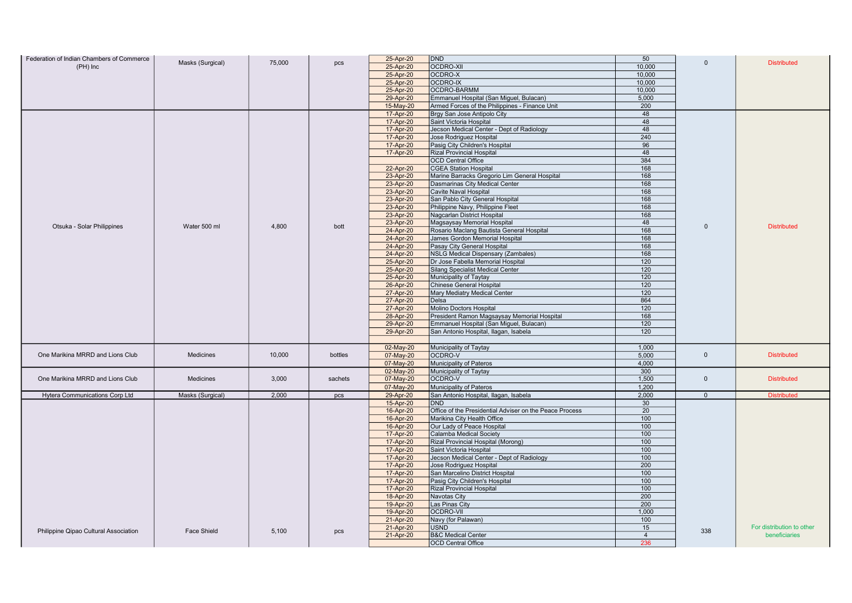| Federation of Indian Chambers of Commerce |                  |        |         | 25-Apr-20 | <b>DND</b>                                              | 50             |                |                           |
|-------------------------------------------|------------------|--------|---------|-----------|---------------------------------------------------------|----------------|----------------|---------------------------|
| $(PH)$ Inc                                | Masks (Surgical) | 75,000 | pcs     | 25-Apr-20 | OCDRO-XII                                               | 10,000         | $\Omega$       | <b>Distributed</b>        |
|                                           |                  |        |         | 25-Apr-20 | OCDRO-X                                                 | 10,000         |                |                           |
|                                           |                  |        |         | 25-Apr-20 | OCDRO-IX                                                | 10,000         |                |                           |
|                                           |                  |        |         | 25-Apr-20 | OCDRO-BARMM                                             | 10,000         |                |                           |
|                                           |                  |        |         | 29-Apr-20 | Emmanuel Hospital (San Miguel, Bulacan)                 | 5,000          |                |                           |
|                                           |                  |        |         | 15-May-20 |                                                         | 200            |                |                           |
|                                           |                  |        |         |           | Armed Forces of the Philippines - Finance Unit          |                |                |                           |
|                                           |                  |        |         | 17-Apr-20 | Brgy San Jose Antipolo City                             | 48             |                |                           |
|                                           |                  |        |         | 17-Apr-20 | Saint Victoria Hospital                                 | 48             |                |                           |
|                                           |                  |        |         | 17-Apr-20 | Jecson Medical Center - Dept of Radiology               | 48             |                |                           |
|                                           |                  |        |         | 17-Apr-20 | Jose Rodriguez Hospital                                 | 240            |                |                           |
|                                           |                  |        |         | 17-Apr-20 | Pasig City Children's Hospital                          | 96             |                |                           |
|                                           |                  |        |         | 17-Apr-20 | <b>Rizal Provincial Hospital</b>                        | 48             |                |                           |
|                                           |                  |        |         |           | <b>OCD Central Office</b>                               | 384            |                |                           |
|                                           |                  |        |         | 22-Apr-20 | <b>CGEA Station Hospital</b>                            | 168            |                |                           |
|                                           |                  |        |         | 23-Apr-20 | Marine Barracks Gregorio Lim General Hospital           | 168            |                |                           |
|                                           |                  |        |         | 23-Apr-20 | Dasmarinas City Medical Center                          | 168            |                |                           |
|                                           |                  |        |         | 23-Apr-20 | Cavite Naval Hospital                                   | 168            |                |                           |
|                                           |                  |        |         | 23-Apr-20 | San Pablo City General Hospital                         | 168            |                |                           |
|                                           |                  |        |         | 23-Apr-20 | Philippine Navy, Philippine Fleet                       | 168            |                |                           |
|                                           |                  |        |         | 23-Apr-20 | Nagcarlan District Hospital                             | 168            |                |                           |
|                                           |                  |        |         | 23-Apr-20 | Magsaysay Memorial Hospital                             | 48             | $\mathbf{0}$   |                           |
| Otsuka - Solar Philippines                | Water 500 ml     | 4,800  | bott    | 24-Apr-20 | Rosario Maclang Bautista General Hospital               | 168            |                | <b>Distributed</b>        |
|                                           |                  |        |         | 24-Apr-20 | James Gordon Memorial Hospital                          | 168            |                |                           |
|                                           |                  |        |         | 24-Apr-20 | Pasay City General Hospital                             | 168            |                |                           |
|                                           |                  |        |         | 24-Apr-20 | <b>NSLG Medical Dispensary (Zambales)</b>               | 168            |                |                           |
|                                           |                  |        |         | 25-Apr-20 | Dr Jose Fabella Memorial Hospital                       | 120            |                |                           |
|                                           |                  |        |         | 25-Apr-20 | Silang Specialist Medical Center                        | 120            |                |                           |
|                                           |                  |        |         | 25-Apr-20 | Municipality of Taytay                                  | 120            |                |                           |
|                                           |                  |        |         | 26-Apr-20 | Chinese General Hospital                                | 120            |                |                           |
|                                           |                  |        |         | 27-Apr-20 | Mary Mediatry Medical Center                            | 120            |                |                           |
|                                           |                  |        |         | 27-Apr-20 | Delsa                                                   | 864            |                |                           |
|                                           |                  |        |         |           | Molino Doctors Hospital                                 | 120            |                |                           |
|                                           |                  |        |         | 27-Apr-20 |                                                         |                |                |                           |
|                                           |                  |        |         | 28-Apr-20 | President Ramon Magsaysay Memorial Hospital             | 168            |                |                           |
|                                           |                  |        |         | 29-Apr-20 | Emmanuel Hospital (San Miguel, Bulacan)                 | 120            |                |                           |
|                                           |                  |        |         | 29-Apr-20 | San Antonio Hospital, Ilagan, Isabela                   | 120            |                |                           |
|                                           |                  |        |         |           |                                                         |                |                |                           |
|                                           |                  |        |         | 02-May-20 | Municipality of Taytay                                  | 1,000          |                |                           |
| One Marikina MRRD and Lions Club          | Medicines        | 10,000 | bottles | 07-May-20 | OCDRO-V                                                 | 5,000          | $\mathbf 0$    | <b>Distributed</b>        |
|                                           |                  |        |         | 07-May-20 | Municipality of Pateros                                 | 4.000          |                |                           |
|                                           |                  |        |         | 02-May-20 | Municipality of Taytay                                  | 300            |                |                           |
| One Marikina MRRD and Lions Club          | <b>Medicines</b> | 3,000  | sachets | 07-May-20 | OCDRO-V                                                 | 1,500          | $\Omega$       | <b>Distributed</b>        |
|                                           |                  |        |         | 07-May-20 | Municipality of Pateros                                 | 1,200          |                |                           |
| Hytera Communications Corp Ltd            | Masks (Surgical) | 2,000  | pcs     | 29-Apr-20 | San Antonio Hospital, Ilagan, Isabela                   | 2,000          | $\overline{0}$ | <b>Distributed</b>        |
|                                           |                  |        |         | 15-Apr-20 | DND                                                     | 30             |                |                           |
|                                           |                  |        |         | 16-Apr-20 | Office of the Presidential Adviser on the Peace Process | 20             |                |                           |
|                                           |                  |        |         | 16-Apr-20 | Marikina City Health Office                             | 100            |                |                           |
|                                           |                  |        |         | 16-Apr-20 | Our Lady of Peace Hospital                              | 100            |                |                           |
|                                           |                  |        |         | 17-Apr-20 | Calamba Medical Society                                 | 100            |                |                           |
|                                           |                  |        |         | 17-Apr-20 | Rizal Provincial Hospital (Morong)                      | 100            |                |                           |
|                                           |                  |        |         | 17-Apr-20 | Saint Victoria Hospital                                 | 100            |                |                           |
|                                           |                  |        |         | 17-Apr-20 | Jecson Medical Center - Dept of Radiology               | 100            |                |                           |
|                                           |                  |        |         | 17-Apr-20 | Jose Rodriguez Hospital                                 | 200            |                |                           |
|                                           |                  |        |         | 17-Apr-20 | San Marcelino District Hospital                         | 100            |                |                           |
|                                           |                  |        |         | 17-Apr-20 | Pasig City Children's Hospital                          | 100            |                |                           |
|                                           |                  |        |         | 17-Apr-20 | <b>Rizal Provincial Hospital</b>                        | 100            |                |                           |
|                                           |                  |        |         | 18-Apr-20 | Navotas City                                            | 200            |                |                           |
|                                           |                  |        |         | 19-Apr-20 | Las Pinas City                                          | 200            |                |                           |
|                                           |                  |        |         | 19-Apr-20 | OCDRO-VII                                               | 1,000          |                |                           |
|                                           |                  |        |         |           |                                                         | 100            |                |                           |
|                                           |                  |        |         | 21-Apr-20 | Navy (for Palawan)                                      | 15             |                | For distribution to other |
| Philippine Qipao Cultural Association     | Face Shield      | 5,100  | pcs     | 21-Apr-20 | USND                                                    |                | 338            |                           |
|                                           |                  |        |         | 21-Apr-20 | <b>B&amp;C Medical Center</b>                           | $\overline{4}$ |                | beneficiaries             |
|                                           |                  |        |         |           | <b>OCD Central Office</b>                               | 236            |                |                           |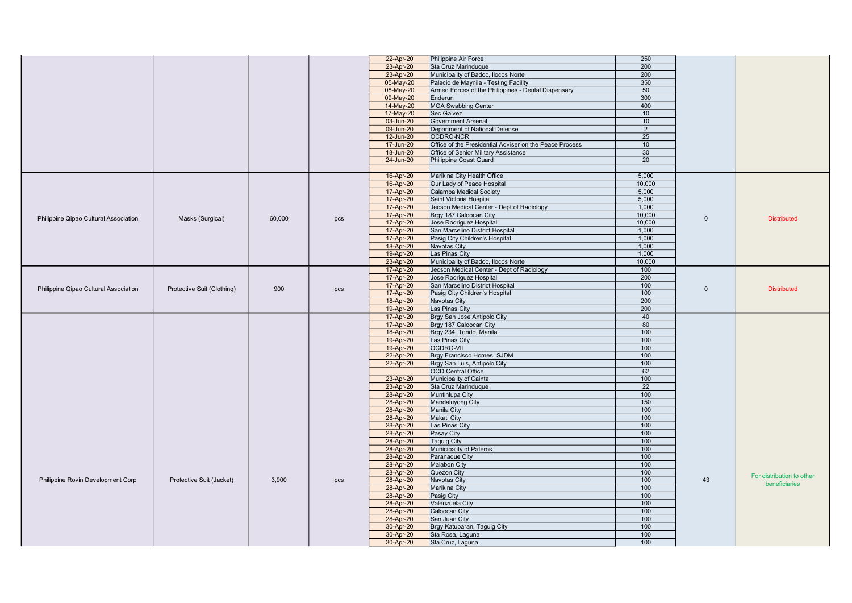|                                       |                            |        |     | 22-Apr-20              | Philippine Air Force                                    | 250        |              |                           |
|---------------------------------------|----------------------------|--------|-----|------------------------|---------------------------------------------------------|------------|--------------|---------------------------|
|                                       |                            |        |     |                        |                                                         |            |              |                           |
|                                       |                            |        |     | 23-Apr-20              | Sta Cruz Marinduque                                     | 200        |              |                           |
|                                       |                            |        |     | 23-Apr-20              | Municipality of Badoc, Ilocos Norte                     | 200        |              |                           |
|                                       |                            |        |     | 05-May-20              | Palacio de Maynila - Testing Facility                   | 350        |              |                           |
|                                       |                            |        |     | 08-May-20              | Armed Forces of the Philippines - Dental Dispensary     | 50         |              |                           |
|                                       |                            |        |     | 09-May-20              | Enderun                                                 | 300        |              |                           |
|                                       |                            |        |     |                        |                                                         |            |              |                           |
|                                       |                            |        |     | 14-May-20              | <b>MOA Swabbing Center</b>                              | 400        |              |                           |
|                                       |                            |        |     | 17-May-20              | Sec Galvez                                              | 10         |              |                           |
|                                       |                            |        |     | 03-Jun-20              | Government Arsenal                                      | 10         |              |                           |
|                                       |                            |        |     | 09-Jun-20              | Department of National Defense                          | 2          |              |                           |
|                                       |                            |        |     | 12-Jun-20              | OCDRO-NCR                                               | 25         |              |                           |
|                                       |                            |        |     | 17-Jun-20              | Office of the Presidential Adviser on the Peace Process | 10         |              |                           |
|                                       |                            |        |     |                        |                                                         |            |              |                           |
|                                       |                            |        |     | 18-Jun-20              | Office of Senior Military Assistance                    | 30         |              |                           |
|                                       |                            |        |     | 24-Jun-20              | Philippine Coast Guard                                  | 20         |              |                           |
|                                       |                            |        |     |                        |                                                         |            |              |                           |
|                                       |                            |        |     | 16-Apr-20              | Marikina City Health Office                             | 5,000      |              |                           |
|                                       |                            |        |     | 16-Apr-20              | Our Lady of Peace Hospital                              | 10,000     |              |                           |
|                                       |                            |        |     | 17-Apr-20              | Calamba Medical Society                                 | 5,000      |              |                           |
|                                       |                            |        |     |                        | Saint Victoria Hospital                                 | 5,000      |              |                           |
|                                       |                            |        |     | 17-Apr-20              |                                                         |            |              |                           |
|                                       |                            |        |     | 17-Apr-20              | Jecson Medical Center - Dept of Radiology               | 1,000      |              |                           |
| Philippine Qipao Cultural Association | Masks (Surgical)           | 60,000 | pcs | 17-Apr-20              | Brgy 187 Caloocan City                                  | 10.000     | $\mathbf{0}$ | <b>Distributed</b>        |
|                                       |                            |        |     | 17-Apr-20              | Jose Rodriguez Hospital                                 | 10,000     |              |                           |
|                                       |                            |        |     | 17-Apr-20              | San Marcelino District Hospital                         | 1,000      |              |                           |
|                                       |                            |        |     | 17-Apr-20              | Pasig City Children's Hospital                          | 1,000      |              |                           |
|                                       |                            |        |     | 18-Apr-20              | Navotas City                                            | 1,000      |              |                           |
|                                       |                            |        |     |                        |                                                         |            |              |                           |
|                                       |                            |        |     | 19-Apr-20              | Las Pinas City                                          | 1.000      |              |                           |
|                                       |                            |        |     | 23-Apr-20              | Municipality of Badoc, Ilocos Norte                     | 10,000     |              |                           |
|                                       |                            |        |     | 17-Apr-20              | Jecson Medical Center - Dept of Radiology               | 100        |              |                           |
|                                       |                            |        |     | 17-Apr-20              | Jose Rodriguez Hospital                                 | 200        |              |                           |
|                                       |                            |        |     | 17-Apr-20              | San Marcelino District Hospital                         | 100        |              |                           |
| Philippine Qipao Cultural Association | Protective Suit (Clothing) | 900    | pcs | 17-Apr-20              | Pasig City Children's Hospital                          | 100        | $\Omega$     | <b>Distributed</b>        |
|                                       |                            |        |     | 18-Apr-20              | Navotas City                                            | 200        |              |                           |
|                                       |                            |        |     |                        |                                                         |            |              |                           |
|                                       |                            |        |     | 19-Apr-20              | Las Pinas City                                          | 200        |              |                           |
|                                       |                            |        |     | 17-Apr-20              | Brgy San Jose Antipolo City                             | 40         |              |                           |
|                                       |                            |        |     | 17-Apr-20              | Brgy 187 Caloocan City                                  | 80         |              |                           |
|                                       |                            |        |     | 18-Apr-20              | Brgy 234, Tondo, Manila                                 | 100        |              |                           |
|                                       |                            |        |     | 19-Apr-20              | Las Pinas City                                          | 100        |              |                           |
|                                       |                            |        |     | 19-Apr-20              | <b>OCDRO-VII</b>                                        | 100        |              |                           |
|                                       |                            |        |     | 22-Apr-20              | Brgy Francisco Homes, SJDM                              | 100        |              |                           |
|                                       |                            |        |     |                        |                                                         | 100        |              |                           |
|                                       |                            |        |     | 22-Apr-20              | Brgy San Luis, Antipolo City                            |            |              |                           |
|                                       |                            |        |     |                        | <b>OCD</b> Central Office                               | 62         |              |                           |
|                                       |                            |        |     | 23-Apr-20              | Municipality of Cainta                                  | 100        |              |                           |
|                                       |                            |        |     | 23-Apr-20              | Sta Cruz Marinduque                                     | 22         |              |                           |
|                                       |                            |        |     | 28-Apr-20              | Muntinlupa City                                         | 100        |              |                           |
|                                       |                            |        |     | 28-Apr-20              | Mandaluyong City                                        | 150        |              |                           |
|                                       |                            |        |     | 28-Apr-20              | Manila City                                             | 100        |              |                           |
|                                       |                            |        |     | 28-Apr-20              | Makati City                                             | 100        |              |                           |
|                                       |                            |        |     |                        |                                                         |            |              |                           |
|                                       |                            |        |     | 28-Apr-20              | Las Pinas City                                          | 100        |              |                           |
|                                       |                            |        |     | 28-Apr-20              | Pasay City                                              | 100        |              |                           |
|                                       |                            |        |     | 28-Apr-20              | Taguig City                                             | 100        |              |                           |
|                                       |                            |        |     | 28-Apr-20              | Municipality of Pateros                                 | 100        |              |                           |
|                                       |                            |        |     | 28-Apr-20              | Paranaque City                                          | 100        |              |                           |
|                                       |                            |        |     | 28-Apr-20              | Malabon City                                            | 100        |              |                           |
|                                       |                            |        |     | 28-Apr-20              | Quezon City                                             | 100        |              |                           |
|                                       |                            | 3.900  | pcs |                        |                                                         | 100        | 43           | For distribution to other |
| Philippine Rovin Development Corp     | Protective Suit (Jacket)   |        |     | 28-Apr-20              | Navotas City                                            |            |              | beneficiaries             |
|                                       |                            |        |     |                        |                                                         |            |              |                           |
|                                       |                            |        |     | 28-Apr-20              | Marikina City                                           | 100        |              |                           |
|                                       |                            |        |     | 28-Apr-20              | Pasig City                                              | 100        |              |                           |
|                                       |                            |        |     | 28-Apr-20              | Valenzuela City                                         | 100        |              |                           |
|                                       |                            |        |     | 28-Apr-20              | Caloocan City                                           | 100        |              |                           |
|                                       |                            |        |     | 28-Apr-20              | San Juan City                                           | 100        |              |                           |
|                                       |                            |        |     |                        |                                                         |            |              |                           |
|                                       |                            |        |     | 30-Apr-20              | Brgy Katuparan, Taguig City                             | 100        |              |                           |
|                                       |                            |        |     | 30-Apr-20<br>30-Apr-20 | Sta Rosa, Laguna<br>Sta Cruz, Laguna                    | 100<br>100 |              |                           |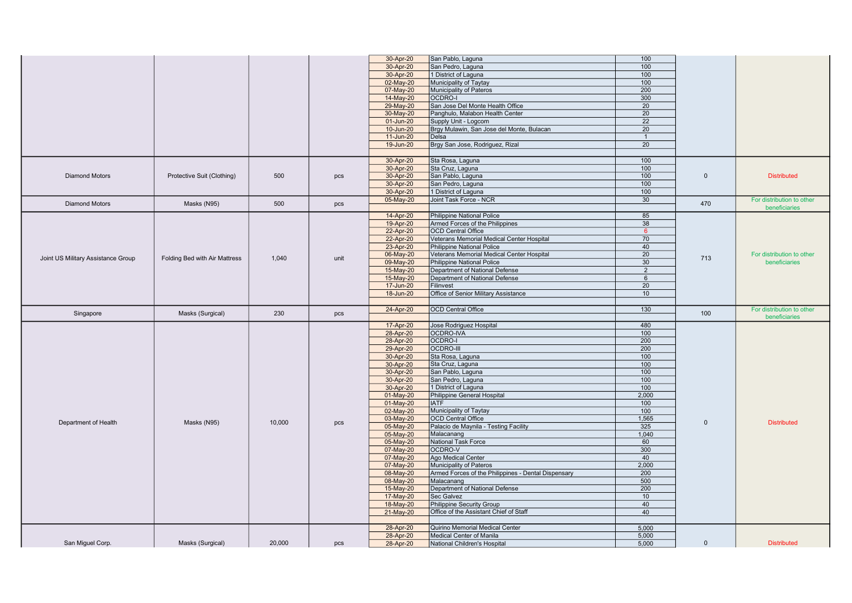|                                    |                               |        |      | 30-Apr-20              | San Pablo, Laguna                                                   | 100             |              |                           |
|------------------------------------|-------------------------------|--------|------|------------------------|---------------------------------------------------------------------|-----------------|--------------|---------------------------|
|                                    |                               |        |      | 30-Apr-20              | San Pedro, Laguna                                                   | 100             |              |                           |
|                                    |                               |        |      | 30-Apr-20              | 1 District of Laguna                                                | 100             |              |                           |
|                                    |                               |        |      | 02-May-20              | Municipality of Taytay                                              | 100             |              |                           |
|                                    |                               |        |      |                        | Municipality of Pateros                                             | 200             |              |                           |
|                                    |                               |        |      | 07-May-20              |                                                                     |                 |              |                           |
|                                    |                               |        |      | 14-May-20              | OCDRO-I                                                             | 300             |              |                           |
|                                    |                               |        |      | 29-May-20              | San Jose Del Monte Health Office                                    | $\overline{20}$ |              |                           |
|                                    |                               |        |      | 30-May-20              | Panghulo, Malabon Health Center                                     | 20              |              |                           |
|                                    |                               |        |      | 01-Jun-20              | Supply Unit - Logcom                                                | 22              |              |                           |
|                                    |                               |        |      | 10-Jun-20              | Brgy Mulawin, San Jose del Monte, Bulacan                           | 20              |              |                           |
|                                    |                               |        |      | 11-Jun-20              | Delsa                                                               | $\overline{1}$  |              |                           |
|                                    |                               |        |      | 19-Jun-20              | Brgy San Jose, Rodriguez, Rizal                                     | 20              |              |                           |
|                                    |                               |        |      |                        |                                                                     |                 |              |                           |
|                                    |                               |        |      | 30-Apr-20              | Sta Rosa, Laguna                                                    | 100             |              |                           |
|                                    |                               |        |      | 30-Apr-20              | Sta Cruz, Laguna                                                    | 100             |              |                           |
| <b>Diamond Motors</b>              | Protective Suit (Clothing)    | 500    | pcs  | 30-Apr-20              | San Pablo, Laguna                                                   | 100             | $\mathbf{0}$ | <b>Distributed</b>        |
|                                    |                               |        |      | 30-Apr-20              | San Pedro, Laguna                                                   | 100             |              |                           |
|                                    |                               |        |      | 30-Apr-20              | 1 District of Laguna                                                | 100             |              |                           |
|                                    |                               |        |      | 05-May-20              | Joint Task Force - NCR                                              | 30              |              |                           |
| <b>Diamond Motors</b>              | Masks (N95)                   | 500    | pcs  |                        |                                                                     |                 | 470          | For distribution to other |
|                                    |                               |        |      |                        |                                                                     |                 |              | beneficiaries             |
|                                    |                               |        |      | 14-Apr-20              | <b>Philippine National Police</b>                                   | 85              |              |                           |
|                                    |                               |        |      | 19-Apr-20              | Armed Forces of the Philippines                                     | 38              |              |                           |
|                                    |                               |        |      | 22-Apr-20              | <b>OCD Central Office</b>                                           | 6               |              |                           |
|                                    |                               |        |      | 22-Apr-20              | Veterans Memorial Medical Center Hospital                           | 70              |              |                           |
|                                    |                               |        |      | 23-Apr-20              | Philippine National Police                                          | 40              |              |                           |
|                                    |                               |        |      | 06-May-20              | Veterans Memorial Medical Center Hospital                           | 20              | 713          | For distribution to other |
| Joint US Military Assistance Group | Folding Bed with Air Mattress | 1,040  | unit | 09-May-20              | <b>Philippine National Police</b>                                   | 30              |              | beneficiaries             |
|                                    |                               |        |      | 15-May-20              | Department of National Defense                                      | $\overline{2}$  |              |                           |
|                                    |                               |        |      | 15-May-20              | Department of National Defense                                      | 6               |              |                           |
|                                    |                               |        |      | 17-Jun-20              | Filinvest                                                           | $\overline{20}$ |              |                           |
|                                    |                               |        |      | 18-Jun-20              | Office of Senior Military Assistance                                | 10              |              |                           |
|                                    |                               |        |      |                        |                                                                     |                 |              |                           |
|                                    |                               |        |      |                        |                                                                     |                 |              |                           |
|                                    |                               |        |      |                        |                                                                     |                 |              |                           |
| Singapore                          | Masks (Surgical)              | 230    | pcs  | 24-Apr-20              | <b>OCD Central Office</b>                                           | 130             | 100          | For distribution to other |
|                                    |                               |        |      |                        |                                                                     |                 |              | beneficiaries             |
|                                    |                               |        |      | 17-Apr-20              | Jose Rodriguez Hospital                                             | 480             |              |                           |
|                                    |                               |        |      | 28-Apr-20              | OCDRO-IVA                                                           | 100             |              |                           |
|                                    |                               |        |      | 28-Apr-20              | OCDRO-I                                                             | 200             |              |                           |
|                                    |                               |        |      | 29-Apr-20              | <b>OCDRO-III</b>                                                    | 200             |              |                           |
|                                    |                               |        |      | 30-Apr-20              | Sta Rosa, Laguna                                                    | 100             |              |                           |
|                                    |                               |        |      | 30-Apr-20              | Sta Cruz, Laguna                                                    | 100             |              |                           |
|                                    |                               |        |      |                        |                                                                     | 100             |              |                           |
|                                    |                               |        |      | 30-Apr-20              | San Pablo, Laguna<br>San Pedro, Laguna                              | 100             |              |                           |
|                                    |                               |        |      | 30-Apr-20              |                                                                     |                 |              |                           |
|                                    |                               |        |      | 30-Apr-20              | 1 District of Laguna                                                | 100             |              |                           |
|                                    |                               |        |      | 01-May-20              | Philippine General Hospital                                         | 2,000           |              |                           |
|                                    |                               |        |      | 01-May-20              | <b>IATF</b>                                                         | 100             |              |                           |
|                                    |                               |        |      | 02-May-20              | Municipality of Taytay                                              | 100             |              |                           |
| Department of Health               | Masks (N95)                   | 10,000 | pcs  | 03-May-20              | <b>OCD Central Office</b>                                           | 1,565           | $\mathbf{0}$ | <b>Distributed</b>        |
|                                    |                               |        |      | 05-May-20              | Palacio de Maynila - Testing Facility                               | 325             |              |                           |
|                                    |                               |        |      | 05-May-20              | Malacanang                                                          | 1,040           |              |                           |
|                                    |                               |        |      | 05-May-20              | National Task Force                                                 | 60              |              |                           |
|                                    |                               |        |      | 07-May-20              | OCDRO-V                                                             | 300             |              |                           |
|                                    |                               |        |      | 07-May-20              | Ago Medical Center                                                  | 40              |              |                           |
|                                    |                               |        |      | 07-May-20              | Municipality of Pateros                                             | 2,000           |              |                           |
|                                    |                               |        |      | 08-May-20              | Armed Forces of the Philippines - Dental Dispensary                 | 200             |              |                           |
|                                    |                               |        |      |                        | Malacanang                                                          | 500             |              |                           |
|                                    |                               |        |      | 08-May-20              | Department of National Defense                                      | 200             |              |                           |
|                                    |                               |        |      | 15-May-20<br>17-May-20 | Sec Galvez                                                          | 10              |              |                           |
|                                    |                               |        |      |                        |                                                                     | 40              |              |                           |
|                                    |                               |        |      | 18-May-20              | Philippine Security Group<br>Office of the Assistant Chief of Staff | 40              |              |                           |
|                                    |                               |        |      | 21-May-20              |                                                                     |                 |              |                           |
|                                    |                               |        |      |                        |                                                                     |                 |              |                           |
|                                    |                               |        |      | 28-Apr-20              | Quirino Memorial Medical Center                                     | 5,000           |              |                           |
| San Miguel Corp.                   | Masks (Surgical)              | 20,000 | pcs  | 28-Apr-20<br>28-Apr-20 | Medical Center of Manila<br>National Children's Hospital            | 5,000<br>5.000  | $\mathbf{0}$ | <b>Distributed</b>        |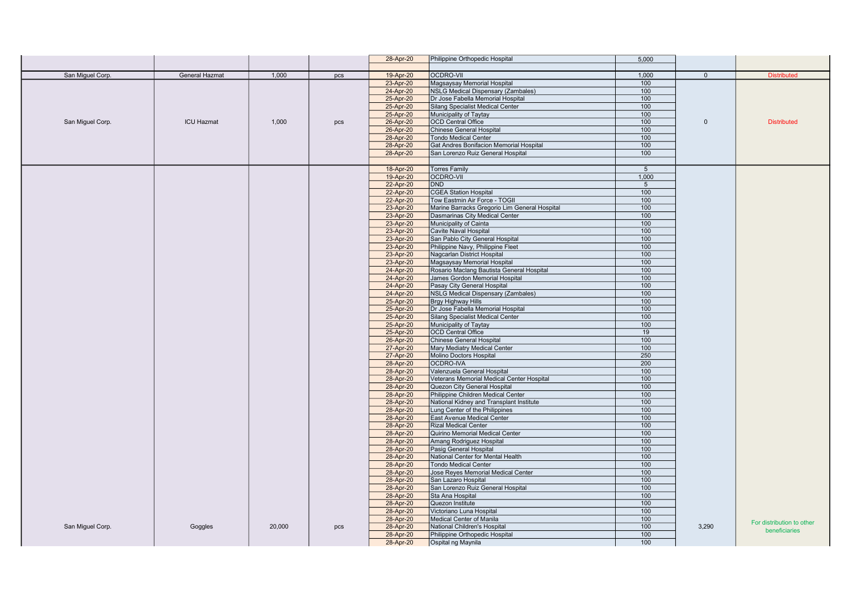|                  |                   |        |     | 28-Apr-20              | Philippine Orthopedic Hospital                                   | 5,000           |          |                           |
|------------------|-------------------|--------|-----|------------------------|------------------------------------------------------------------|-----------------|----------|---------------------------|
|                  |                   |        |     |                        |                                                                  |                 |          |                           |
| San Miguel Corp. | General Hazmat    | 1,000  | pcs | 19-Apr-20              | <b>OCDRO-VII</b>                                                 | 1,000           | $\Omega$ | <b>Distributed</b>        |
|                  |                   |        |     | 23-Apr-20              | Magsaysay Memorial Hospital                                      | 100             |          |                           |
|                  |                   |        |     | 24-Apr-20              | <b>NSLG Medical Dispensary (Zambales)</b>                        | 100             |          |                           |
|                  |                   |        |     | 25-Apr-20              | Dr Jose Fabella Memorial Hospital                                | 100             |          |                           |
|                  |                   |        |     | 25-Apr-20              | Silang Specialist Medical Center                                 | 100             |          |                           |
|                  |                   |        |     | 25-Apr-20              | Municipality of Taytay                                           | 100             |          |                           |
| San Miguel Corp. | <b>ICU Hazmat</b> | 1,000  | pcs | 26-Apr-20              | <b>OCD Central Office</b>                                        | 100             | $\Omega$ | <b>Distributed</b>        |
|                  |                   |        |     | 26-Apr-20              | Chinese General Hospital                                         | 100             |          |                           |
|                  |                   |        |     | 28-Apr-20              | <b>Tondo Medical Center</b>                                      | 100             |          |                           |
|                  |                   |        |     | 28-Apr-20              | Gat Andres Bonifacion Memorial Hospital                          | 100             |          |                           |
|                  |                   |        |     | 28-Apr-20              | San Lorenzo Ruiz General Hospital                                | 100             |          |                           |
|                  |                   |        |     |                        |                                                                  |                 |          |                           |
|                  |                   |        |     | 18-Apr-20              | <b>Torres Family</b>                                             | $5\overline{5}$ |          |                           |
|                  |                   |        |     | 19-Apr-20              | <b>OCDRO-VII</b>                                                 | 1.000           |          |                           |
|                  |                   |        |     | 22-Apr-20              | <b>DND</b>                                                       | $5\overline{5}$ |          |                           |
|                  |                   |        |     | 22-Apr-20              | <b>CGEA Station Hospital</b>                                     | 100             |          |                           |
|                  |                   |        |     | 22-Apr-20              | Tow Eastmin Air Force - TOGII                                    | 100             |          |                           |
|                  |                   |        |     | 23-Apr-20              | Marine Barracks Gregorio Lim General Hospital                    | 100             |          |                           |
|                  |                   |        |     | 23-Apr-20              | Dasmarinas City Medical Center                                   | 100             |          |                           |
|                  |                   |        |     | 23-Apr-20              | Municipality of Cainta                                           | 100             |          |                           |
|                  |                   |        |     | 23-Apr-20              | Cavite Naval Hospital                                            | 100             |          |                           |
|                  |                   |        |     | 23-Apr-20              | San Pablo City General Hospital                                  | 100             |          |                           |
|                  |                   |        |     | 23-Apr-20              | Philippine Navy, Philippine Fleet                                | 100             |          |                           |
|                  |                   |        |     | 23-Apr-20              | Nagcarlan District Hospital                                      | 100             |          |                           |
|                  |                   |        |     | 23-Apr-20              | Magsaysay Memorial Hospital                                      | 100             |          |                           |
|                  |                   |        |     | 24-Apr-20              | Rosario Maclang Bautista General Hospital                        | 100             |          |                           |
|                  |                   |        |     | 24-Apr-20              | James Gordon Memorial Hospital                                   | 100             |          |                           |
|                  |                   |        |     | 24-Apr-20              | Pasay City General Hospital                                      | 100             |          |                           |
|                  |                   |        |     | 24-Apr-20              | <b>NSLG Medical Dispensary (Zambales)</b>                        | 100             |          |                           |
|                  |                   |        |     | 25-Apr-20              | <b>Brgy Highway Hills</b>                                        | 100             |          |                           |
|                  |                   |        |     | 25-Apr-20              | Dr Jose Fabella Memorial Hospital                                | 100             |          |                           |
|                  |                   |        |     | 25-Apr-20              | Silang Specialist Medical Center                                 | 100             |          |                           |
|                  |                   |        |     | 25-Apr-20              | Municipality of Taytay                                           | 100             |          |                           |
|                  |                   |        |     | 25-Apr-20              | <b>OCD Central Office</b>                                        | 19              |          |                           |
|                  |                   |        |     | 26-Apr-20              | Chinese General Hospital                                         | 100             |          |                           |
|                  |                   |        |     | 27-Apr-20              | Mary Mediatry Medical Center                                     | 100             |          |                           |
|                  |                   |        |     | 27-Apr-20              | <b>Molino Doctors Hospital</b>                                   | 250             |          |                           |
|                  |                   |        |     | 28-Apr-20              | <b>OCDRO-IVA</b>                                                 | 200             |          |                           |
|                  |                   |        |     | 28-Apr-20              | Valenzuela General Hospital                                      | 100             |          |                           |
|                  |                   |        |     | 28-Apr-20              | Veterans Memorial Medical Center Hospital                        | 100             |          |                           |
|                  |                   |        |     | 28-Apr-20              | Quezon City General Hospital                                     | 100             |          |                           |
|                  |                   |        |     | 28-Apr-20              | Philippine Children Medical Center                               | 100             |          |                           |
|                  |                   |        |     | 28-Apr-20              | National Kidney and Transplant Institute                         | 100             |          |                           |
|                  |                   |        |     | 28-Apr-20              | Lung Center of the Philippines                                   | 100             |          |                           |
|                  |                   |        |     | 28-Apr-20              | East Avenue Medical Center                                       | 100             |          |                           |
|                  |                   |        |     | 28-Apr-20              | <b>Rizal Medical Center</b>                                      | 100             |          |                           |
|                  |                   |        |     | 28-Apr-20              | Quirino Memorial Medical Center                                  | 100<br>100      |          |                           |
|                  |                   |        |     | 28-Apr-20              | Amang Rodriguez Hospital                                         | 100             |          |                           |
|                  |                   |        |     | 28-Apr-20              | Pasig General Hospital                                           | 100             |          |                           |
|                  |                   |        |     | 28-Apr-20<br>28-Apr-20 | National Center for Mental Health<br><b>Tondo Medical Center</b> | 100             |          |                           |
|                  |                   |        |     | 28-Apr-20              | Jose Reyes Memorial Medical Center                               | 100             |          |                           |
|                  |                   |        |     | 28-Apr-20              | San Lazaro Hospital                                              | 100             |          |                           |
|                  |                   |        |     | 28-Apr-20              | San Lorenzo Ruiz General Hospital                                | 100             |          |                           |
|                  |                   |        |     | 28-Apr-20              | Sta Ana Hospital                                                 | 100             |          |                           |
|                  |                   |        |     | 28-Apr-20              | Quezon Institute                                                 | 100             |          |                           |
|                  |                   |        |     | 28-Apr-20              | Victoriano Luna Hospital                                         | 100             |          |                           |
|                  |                   |        |     | 28-Apr-20              | Medical Center of Manila                                         | 100             |          |                           |
| San Miguel Corp. | Goggles           | 20,000 | pcs | 28-Apr-20              | National Children's Hospital                                     | 100             | 3,290    | For distribution to other |
|                  |                   |        |     | 28-Apr-20              | Philippine Orthopedic Hospital                                   | 100             |          | beneficiaries             |
|                  |                   |        |     | 28-Apr-20              | Ospital ng Maynila                                               | 100             |          |                           |
|                  |                   |        |     |                        |                                                                  |                 |          |                           |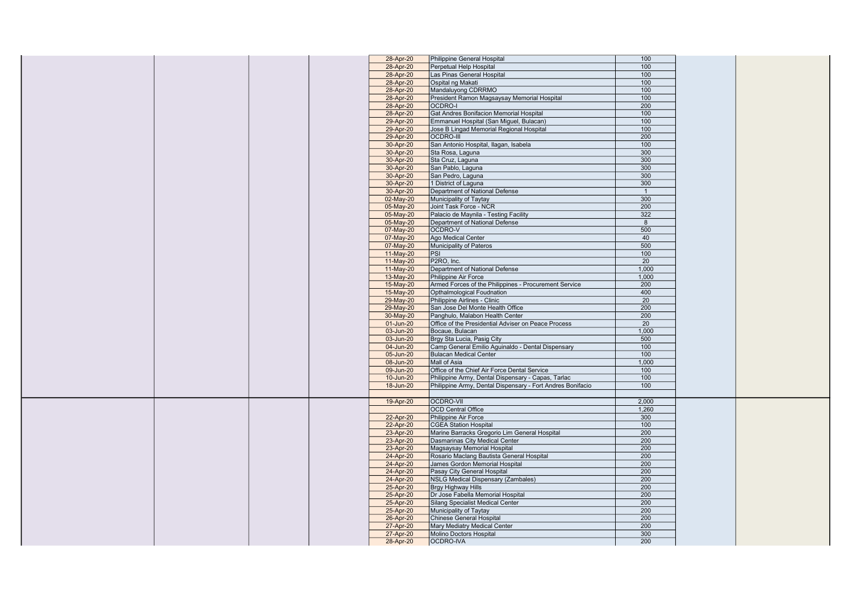|  |  | 28-Apr-20              | Philippine General Hospital                                | 100              |
|--|--|------------------------|------------------------------------------------------------|------------------|
|  |  | 28-Apr-20              | Perpetual Help Hospital                                    | 100              |
|  |  | 28-Apr-20              | Las Pinas General Hospital                                 | 100              |
|  |  | 28-Apr-20              | Ospital ng Makati                                          | 100              |
|  |  | 28-Apr-20              | Mandaluyong CDRRMO                                         | 100              |
|  |  |                        |                                                            | 100              |
|  |  | 28-Apr-20              | President Ramon Magsaysay Memorial Hospital                |                  |
|  |  | 28-Apr-20              | OCDRO-I                                                    | 200              |
|  |  | 28-Apr-20              | Gat Andres Bonifacion Memorial Hospital                    | 100              |
|  |  | 29-Apr-20              | Emmanuel Hospital (San Miguel, Bulacan)                    | 100              |
|  |  | 29-Apr-20              | Jose B Lingad Memorial Regional Hospital                   | 100              |
|  |  | 29-Apr-20              | <b>OCDRO-III</b>                                           | 200              |
|  |  |                        |                                                            | 100              |
|  |  | 30-Apr-20              | San Antonio Hospital, Ilagan, Isabela                      |                  |
|  |  | 30-Apr-20              | Sta Rosa, Laguna                                           | 300              |
|  |  | 30-Apr-20              | Sta Cruz, Laguna                                           | 300              |
|  |  | 30-Apr-20              | San Pablo, Laguna                                          | 300              |
|  |  | 30-Apr-20              | San Pedro, Laguna                                          | 300              |
|  |  |                        |                                                            | 300              |
|  |  | 30-Apr-20              | 1 District of Laguna                                       |                  |
|  |  | 30-Apr-20              | Department of National Defense                             | $\overline{1}$   |
|  |  | 02-May-20              | Municipality of Taytay                                     | 300              |
|  |  | 05-May-20              | Joint Task Force - NCR                                     | 200              |
|  |  | 05-May-20              | Palacio de Maynila - Testing Facility                      | 322              |
|  |  | 05-May-20              | Department of National Defense                             | 8                |
|  |  |                        |                                                            |                  |
|  |  | 07-May-20              | OCDRO-V                                                    | 500              |
|  |  | 07-May-20              | Ago Medical Center                                         | 40               |
|  |  | 07-May-20              | Municipality of Pateros                                    | 500              |
|  |  | 11-May-20              | PSI                                                        | 100              |
|  |  | 11-May-20              | P2RO, Inc.                                                 | $\overline{20}$  |
|  |  |                        | Department of National Defense                             |                  |
|  |  | 11-May-20              |                                                            | 1,000            |
|  |  | 13-May-20              | Philippine Air Force                                       | 1,000            |
|  |  | 15-May-20              | Armed Forces of the Philippines - Procurement Service      | 200              |
|  |  | 15-May-20              | <b>Opthalmological Foudnation</b>                          | 400              |
|  |  | 29-May-20              | Philippine Airlines - Clinic                               | 20               |
|  |  |                        |                                                            |                  |
|  |  |                        |                                                            |                  |
|  |  | 29-May-20              | San Jose Del Monte Health Office                           | 200              |
|  |  | 30-May-20              | Panghulo, Malabon Health Center                            | 200              |
|  |  | 01-Jun-20              | Office of the Presidential Adviser on Peace Process        | 20               |
|  |  |                        |                                                            |                  |
|  |  | 03-Jun-20              | Bocaue, Bulacan                                            | 1,000            |
|  |  | 03-Jun-20              | Brgy Sta Lucia, Pasig City                                 | 500              |
|  |  | 04-Jun-20              | Camp General Emilio Aguinaldo - Dental Dispensary          | 100              |
|  |  | 05-Jun-20              | <b>Bulacan Medical Center</b>                              | 100              |
|  |  | 08-Jun-20              | Mall of Asia                                               | 1,000            |
|  |  | 09-Jun-20              | Office of the Chief Air Force Dental Service               | 100              |
|  |  |                        |                                                            |                  |
|  |  | 10-Jun-20              | Philippine Army, Dental Dispensary - Capas, Tarlac         | 100              |
|  |  | 18-Jun-20              | Philippine Army, Dental Dispensary - Fort Andres Bonifacio | 100              |
|  |  |                        |                                                            |                  |
|  |  | 19-Apr-20              | <b>OCDRO-VII</b>                                           | 2,000            |
|  |  |                        | <b>OCD Central Office</b>                                  | 1,260            |
|  |  |                        |                                                            |                  |
|  |  | 22-Apr-20              | Philippine Air Force                                       | 300              |
|  |  | 22-Apr-20              | <b>CGEA Station Hospital</b>                               | 100              |
|  |  | 23-Apr-20              | Marine Barracks Gregorio Lim General Hospital              | 200              |
|  |  | 23-Apr-20              | Dasmarinas City Medical Center                             | 200              |
|  |  | 23-Apr-20              | Magsaysay Memorial Hospital                                | 200              |
|  |  |                        | Rosario Maclang Bautista General Hospital                  | $\overline{200}$ |
|  |  | 24-Apr-20              |                                                            |                  |
|  |  | 24-Apr-20              | James Gordon Memorial Hospital                             | 200              |
|  |  | 24-Apr-20              | Pasay City General Hospital                                | 200              |
|  |  | 24-Apr-20              | <b>NSLG Medical Dispensary (Zambales)</b>                  | 200              |
|  |  | 25-Apr-20              | Brgy Highway Hills                                         | 200              |
|  |  |                        |                                                            | 200              |
|  |  | 25-Apr-20              | Dr Jose Fabella Memorial Hospital                          |                  |
|  |  | 25-Apr-20              | Silang Specialist Medical Center                           | 200              |
|  |  | 25-Apr-20              | Municipality of Taytay                                     | 200              |
|  |  | 26-Apr-20              | Chinese General Hospital                                   | 200              |
|  |  | 27-Apr-20              | Mary Mediatry Medical Center                               | 200              |
|  |  |                        | Molino Doctors Hospital                                    | 300              |
|  |  | 27-Apr-20<br>28-Apr-20 | OCDRO-IVA                                                  | 200              |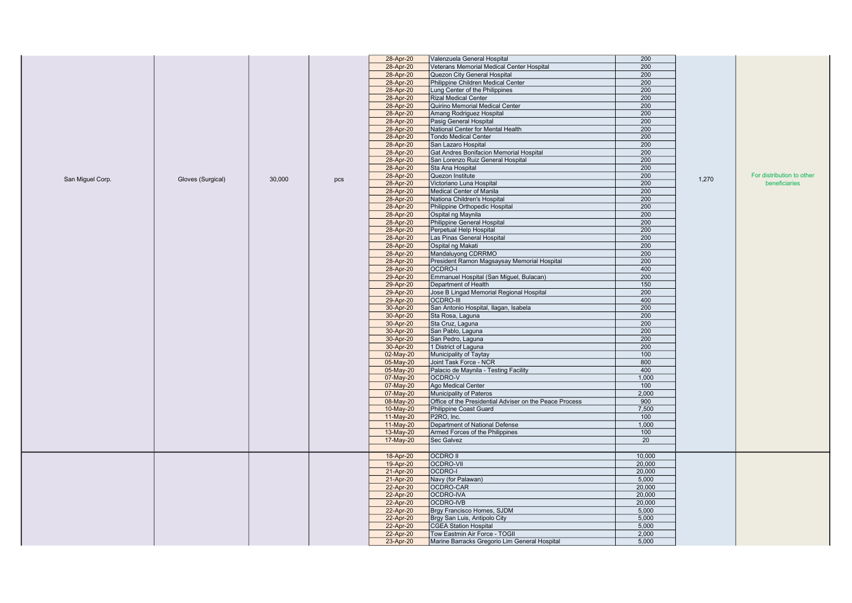|                  |                   |        |     | 28-Apr-20   | Valenzuela General Hospital                             | 200    |       |                           |
|------------------|-------------------|--------|-----|-------------|---------------------------------------------------------|--------|-------|---------------------------|
|                  |                   |        |     | 28-Apr-20   | Veterans Memorial Medical Center Hospital               | 200    |       |                           |
|                  |                   |        |     | 28-Apr-20   | Quezon City General Hospital                            | 200    |       |                           |
|                  |                   |        |     | 28-Apr-20   | Philippine Children Medical Center                      | 200    |       |                           |
|                  |                   |        |     | 28-Apr-20   | Lung Center of the Philippines                          | 200    |       |                           |
|                  |                   |        |     | 28-Apr-20   | <b>Rizal Medical Center</b>                             | 200    |       |                           |
|                  |                   |        |     | 28-Apr-20   | Quirino Memorial Medical Center                         | 200    |       |                           |
|                  |                   |        |     | 28-Apr-20   | Amang Rodriguez Hospital                                | 200    |       |                           |
|                  |                   |        |     | 28-Apr-20   | Pasig General Hospital                                  | 200    |       |                           |
|                  |                   |        |     |             | National Center for Mental Health                       | 200    |       |                           |
|                  |                   |        |     | 28-Apr-20   | <b>Tondo Medical Center</b>                             | 200    |       |                           |
|                  |                   |        |     | 28-Apr-20   |                                                         |        |       |                           |
|                  |                   |        |     | 28-Apr-20   | San Lazaro Hospital                                     | 200    |       |                           |
|                  |                   |        |     | 28-Apr-20   | Gat Andres Bonifacion Memorial Hospital                 | 200    |       |                           |
|                  |                   |        |     | 28-Apr-20   | San Lorenzo Ruiz General Hospital                       | 200    |       |                           |
|                  |                   |        |     | 28-Apr-20   | Sta Ana Hospital                                        | 200    |       |                           |
| San Miguel Corp. | Gloves (Surgical) | 30,000 | pcs | 28-Apr-20   | Quezon Institute                                        | 200    | 1,270 | For distribution to other |
|                  |                   |        |     | 28-Apr-20   | Victoriano Luna Hospital                                | 200    |       | beneficiaries             |
|                  |                   |        |     | 28-Apr-20   | Medical Center of Manila                                | 200    |       |                           |
|                  |                   |        |     | 28-Apr-20   | Nationa Children's Hospital                             | 200    |       |                           |
|                  |                   |        |     | 28-Apr-20   | Philippine Orthopedic Hospital                          | 200    |       |                           |
|                  |                   |        |     | 28-Apr-20   | Ospital ng Maynila                                      | 200    |       |                           |
|                  |                   |        |     | 28-Apr-20   | Philippine General Hospital                             | 200    |       |                           |
|                  |                   |        |     | 28-Apr-20   | Perpetual Help Hospital                                 | 200    |       |                           |
|                  |                   |        |     | 28-Apr-20   | Las Pinas General Hospital                              | 200    |       |                           |
|                  |                   |        |     | 28-Apr-20   | Ospital ng Makati                                       | 200    |       |                           |
|                  |                   |        |     | 28-Apr-20   | Mandaluyong CDRRMO                                      | 200    |       |                           |
|                  |                   |        |     | 28-Apr-20   | President Ramon Magsaysay Memorial Hospital             | 200    |       |                           |
|                  |                   |        |     | 28-Apr-20   | <b>OCDRO-I</b>                                          | 400    |       |                           |
|                  |                   |        |     | 29-Apr-20   | Emmanuel Hospital (San Miguel, Bulacan)                 | 200    |       |                           |
|                  |                   |        |     | 29-Apr-20   | Department of Health                                    | 150    |       |                           |
|                  |                   |        |     | 29-Apr-20   | Jose B Lingad Memorial Regional Hospital                | 200    |       |                           |
|                  |                   |        |     | 29-Apr-20   | <b>OCDRO-III</b>                                        | 400    |       |                           |
|                  |                   |        |     | 30-Apr-20   | San Antonio Hospital, Ilagan, Isabela                   | 200    |       |                           |
|                  |                   |        |     | 30-Apr-20   | Sta Rosa, Laguna                                        | 200    |       |                           |
|                  |                   |        |     | 30-Apr-20   | Sta Cruz, Laguna                                        | 200    |       |                           |
|                  |                   |        |     | 30-Apr-20   | San Pablo, Laguna                                       | 200    |       |                           |
|                  |                   |        |     | 30-Apr-20   | San Pedro, Laguna                                       | 200    |       |                           |
|                  |                   |        |     | 30-Apr-20   | 1 District of Laguna                                    | 200    |       |                           |
|                  |                   |        |     | 02-May-20   | Municipality of Taytay                                  | 100    |       |                           |
|                  |                   |        |     | 05-May-20   | Joint Task Force - NCR                                  | 800    |       |                           |
|                  |                   |        |     | 05-May-20   | Palacio de Maynila - Testing Facility                   | 400    |       |                           |
|                  |                   |        |     | 07-May-20   | OCDRO-V                                                 | 1,000  |       |                           |
|                  |                   |        |     | 07-May-20   | Ago Medical Center                                      | 100    |       |                           |
|                  |                   |        |     | 07-May-20   | Municipality of Pateros                                 | 2,000  |       |                           |
|                  |                   |        |     | 08-May-20   | Office of the Presidential Adviser on the Peace Process | 900    |       |                           |
|                  |                   |        |     | 10-May-20   | Philippine Coast Guard                                  | 7,500  |       |                           |
|                  |                   |        |     | $11-May-20$ | P2RO. Inc.                                              | 100    |       |                           |
|                  |                   |        |     | 11-May-20   | Department of National Defense                          | 1,000  |       |                           |
|                  |                   |        |     | 13-May-20   | Armed Forces of the Philippines                         | 100    |       |                           |
|                  |                   |        |     | 17-May-20   | Sec Galvez                                              | 20     |       |                           |
|                  |                   |        |     |             |                                                         |        |       |                           |
|                  |                   |        |     | 18-Apr-20   | <b>OCDRO II</b>                                         | 10,000 |       |                           |
|                  |                   |        |     | 19-Apr-20   | OCDRO-VII                                               | 20,000 |       |                           |
|                  |                   |        |     | 21-Apr-20   | OCDRO-I                                                 | 20,000 |       |                           |
|                  |                   |        |     | 21-Apr-20   | Navy (for Palawan)                                      | 5,000  |       |                           |
|                  |                   |        |     | 22-Apr-20   | OCDRO-CAR                                               | 20,000 |       |                           |
|                  |                   |        |     |             | OCDRO-IVA                                               | 20,000 |       |                           |
|                  |                   |        |     | 22-Apr-20   |                                                         |        |       |                           |
|                  |                   |        |     | 22-Apr-20   | OCDRO-IVB                                               | 20,000 |       |                           |
|                  |                   |        |     | 22-Apr-20   | Brgy Francisco Homes, SJDM                              | 5,000  |       |                           |
|                  |                   |        |     | 22-Apr-20   | Brgy San Luis, Antipolo City                            | 5,000  |       |                           |
|                  |                   |        |     | 22-Apr-20   | <b>CGEA Station Hospital</b>                            | 5,000  |       |                           |
|                  |                   |        |     | 22-Apr-20   | Tow Eastmin Air Force - TOGII                           | 2,000  |       |                           |
|                  |                   |        |     | 23-Apr-20   | Marine Barracks Gregorio Lim General Hospital           | 5,000  |       |                           |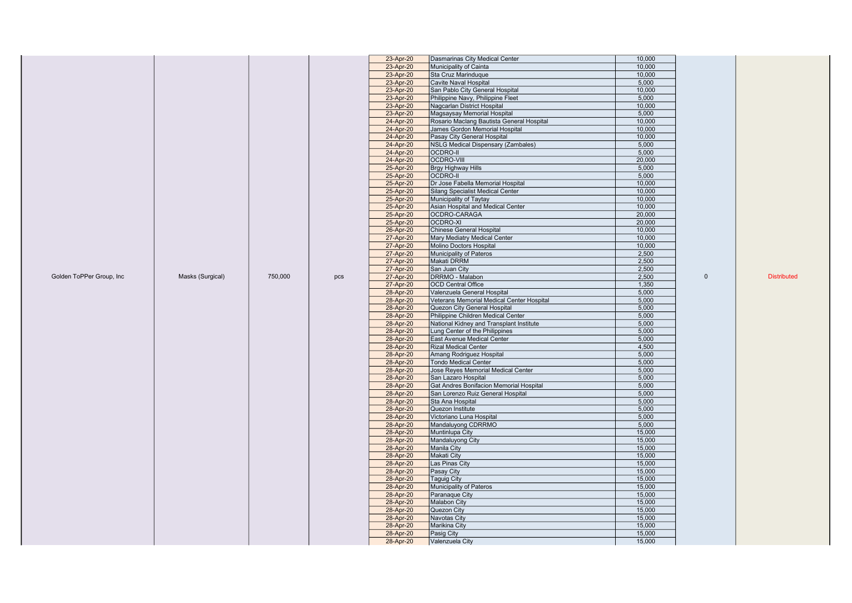|                          |                  |         |           | 23-Apr-20                         | Dasmarinas City Medical Center                   | 10,000 |              |                    |
|--------------------------|------------------|---------|-----------|-----------------------------------|--------------------------------------------------|--------|--------------|--------------------|
|                          |                  |         |           | 23-Apr-20                         | Municipality of Cainta                           | 10,000 |              |                    |
|                          |                  |         |           | 23-Apr-20                         | Sta Cruz Marinduque                              | 10,000 |              |                    |
|                          |                  |         |           | 23-Apr-20                         | Cavite Naval Hospital                            | 5,000  |              |                    |
|                          |                  |         |           | 23-Apr-20                         | San Pablo City General Hospital                  | 10,000 |              |                    |
|                          |                  |         |           | 23-Apr-20                         | Philippine Navy, Philippine Fleet                | 5,000  |              |                    |
|                          |                  |         |           | 23-Apr-20                         | Nagcarlan District Hospital                      | 10,000 |              |                    |
|                          |                  |         |           | 23-Apr-20                         | Magsaysay Memorial Hospital                      | 5,000  |              |                    |
|                          |                  |         |           | 24-Apr-20                         | Rosario Maclang Bautista General Hospital        | 10.000 |              |                    |
|                          |                  |         |           | 24-Apr-20                         | James Gordon Memorial Hospital                   | 10,000 |              |                    |
|                          |                  |         |           | 24-Apr-20                         | Pasay City General Hospital                      | 10,000 |              |                    |
|                          |                  |         |           | 24-Apr-20                         | <b>NSLG Medical Dispensary (Zambales)</b>        | 5,000  |              |                    |
|                          |                  |         |           | 24-Apr-20                         | <b>OCDRO-II</b>                                  | 5,000  |              |                    |
|                          |                  |         |           | 24-Apr-20                         | <b>OCDRO-VIII</b>                                | 20,000 |              |                    |
|                          |                  |         | 25-Apr-20 | Brgy Highway Hills                | 5,000                                            |        |              |                    |
|                          |                  |         | 25-Apr-20 | <b>OCDRO-II</b>                   | 5,000                                            |        |              |                    |
|                          |                  |         | 25-Apr-20 | Dr Jose Fabella Memorial Hospital | 10,000                                           |        |              |                    |
|                          |                  |         | 25-Apr-20 | Silang Specialist Medical Center  | 10,000                                           |        |              |                    |
|                          |                  |         |           | 25-Apr-20                         | Municipality of Taytay                           | 10,000 |              |                    |
|                          |                  |         |           | 25-Apr-20                         | Asian Hospital and Medical Center                | 10.000 |              |                    |
|                          |                  |         |           | 25-Apr-20                         | OCDRO-CARAGA                                     | 20,000 |              |                    |
|                          |                  |         |           | 25-Apr-20                         | OCDRO-XI                                         | 20,000 |              |                    |
|                          |                  |         |           | 26-Apr-20                         | <b>Chinese General Hospital</b>                  | 10,000 |              |                    |
|                          |                  |         |           | 27-Apr-20                         | Mary Mediatry Medical Center                     | 10,000 |              |                    |
|                          |                  |         |           | 27-Apr-20                         | Molino Doctors Hospital                          | 10,000 |              |                    |
|                          |                  |         |           | 27-Apr-20                         | Municipality of Pateros                          | 2,500  |              |                    |
|                          |                  |         |           | 27-Apr-20                         | Makati DRRM                                      | 2,500  |              |                    |
|                          |                  |         |           | 27-Apr-20                         | San Juan City                                    | 2,500  |              |                    |
| Golden ToPPer Group, Inc | Masks (Surgical) | 750,000 | pcs       | 27-Apr-20                         | DRRMO - Malabon                                  | 2,500  | $\mathbf{0}$ | <b>Distributed</b> |
|                          |                  |         |           | 27-Apr-20                         | <b>OCD Central Office</b>                        | 1,350  |              |                    |
|                          |                  |         |           | 28-Apr-20                         | Valenzuela General Hospital                      | 5,000  |              |                    |
|                          |                  |         |           | 28-Apr-20                         | Veterans Memorial Medical Center Hospital        | 5,000  |              |                    |
|                          |                  |         |           | 28-Apr-20                         | Quezon City General Hospital                     | 5,000  |              |                    |
|                          |                  |         |           | 28-Apr-20                         | Philippine Children Medical Center               | 5,000  |              |                    |
|                          |                  |         |           | 28-Apr-20                         | National Kidney and Transplant Institute         | 5,000  |              |                    |
|                          |                  |         |           | 28-Apr-20                         | Lung Center of the Philippines                   | 5,000  |              |                    |
|                          |                  |         |           |                                   | 28-Apr-20<br>East Avenue Medical Center<br>5,000 |        |              |                    |
|                          |                  |         |           | 28-Apr-20                         | <b>Rizal Medical Center</b>                      | 4,500  |              |                    |
|                          |                  |         |           | 28-Apr-20                         | Amang Rodriguez Hospital                         | 5,000  |              |                    |
|                          |                  |         |           | 28-Apr-20                         | <b>Tondo Medical Center</b>                      | 5,000  |              |                    |
|                          |                  |         |           | 28-Apr-20                         | Jose Reyes Memorial Medical Center               | 5,000  |              |                    |
|                          |                  |         |           | 28-Apr-20                         | San Lazaro Hospital                              | 5,000  |              |                    |
|                          |                  |         |           | 28-Apr-20                         | Gat Andres Bonifacion Memorial Hospital          | 5,000  |              |                    |
|                          |                  |         |           | 28-Apr-20                         | San Lorenzo Ruiz General Hospital                | 5,000  |              |                    |
|                          |                  |         |           | 28-Apr-20                         | Sta Ana Hospital                                 | 5,000  |              |                    |
|                          |                  |         |           | 28-Apr-20                         | Quezon Institute                                 | 5,000  |              |                    |
|                          |                  |         |           | 28-Apr-20                         | Victoriano Luna Hospital                         | 5,000  |              |                    |
|                          |                  |         |           | 28-Apr-20                         | Mandaluyong CDRRMO                               | 5,000  |              |                    |
|                          |                  |         |           | 28-Apr-20                         | Muntinlupa City                                  | 15,000 |              |                    |
|                          |                  |         |           | 28-Apr-20                         | Mandaluyong City                                 | 15,000 |              |                    |
|                          |                  |         |           | 28-Apr-20                         | Manila City                                      | 15,000 |              |                    |
|                          |                  |         |           | 28-Apr-20                         | Makati City                                      | 15,000 |              |                    |
|                          |                  |         |           | 28-Apr-20                         | Las Pinas City                                   | 15,000 |              |                    |
|                          |                  |         |           | 28-Apr-20                         | Pasay City                                       | 15,000 |              |                    |
|                          |                  |         |           | 28-Apr-20                         | <b>Taguig City</b>                               | 15,000 |              |                    |
|                          |                  |         |           | 28-Apr-20                         | Municipality of Pateros                          | 15,000 |              |                    |
|                          |                  |         |           | 28-Apr-20                         | Paranaque City                                   | 15,000 |              |                    |
|                          |                  |         |           | 28-Apr-20                         | <b>Malabon City</b>                              | 15,000 |              |                    |
|                          |                  |         |           | 28-Apr-20                         | Quezon City                                      | 15,000 |              |                    |
|                          |                  |         |           | 28-Apr-20                         | <b>Navotas City</b>                              | 15,000 |              |                    |
|                          |                  |         |           | 28-Apr-20                         | <b>Marikina City</b>                             | 15,000 |              |                    |
|                          |                  |         |           | 28-Apr-20                         | Pasig City                                       | 15,000 |              |                    |
|                          |                  |         |           | 28-Apr-20                         | Valenzuela City                                  | 15,000 |              |                    |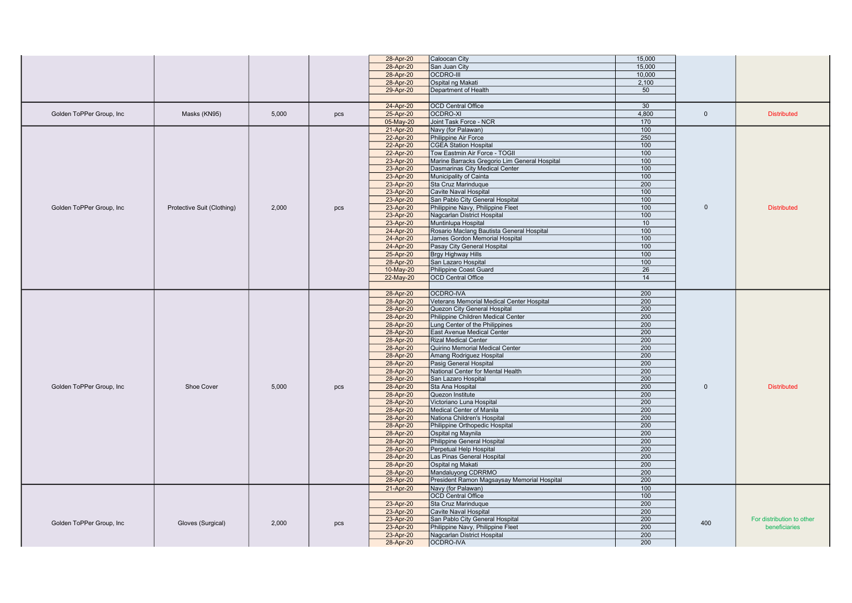|                                               |                            |       |           | 28-Apr-20                         | Caloocan City                                 | 15,000           |                                            |                    |
|-----------------------------------------------|----------------------------|-------|-----------|-----------------------------------|-----------------------------------------------|------------------|--------------------------------------------|--------------------|
|                                               |                            |       |           | 28-Apr-20                         | San Juan City                                 | 15,000           |                                            |                    |
|                                               |                            |       |           | 28-Apr-20                         | <b>OCDRO-III</b>                              | 10.000           |                                            |                    |
|                                               |                            |       |           | 28-Apr-20                         | Ospital ng Makati                             | 2,100            |                                            |                    |
|                                               |                            |       |           | 29-Apr-20                         | Department of Health                          | 50               |                                            |                    |
|                                               |                            |       |           |                                   |                                               |                  |                                            |                    |
|                                               |                            |       |           | 24-Apr-20                         | <b>OCD Central Office</b>                     | 30               |                                            |                    |
| Golden ToPPer Group, Inc                      | Masks (KN95)               | 5,000 | pcs       | 25-Apr-20                         | OCDRO-XI                                      | 4.800            | $\mathbf{0}$                               | <b>Distributed</b> |
|                                               |                            |       |           | 05-May-20                         | Joint Task Force - NCR                        | 170              |                                            |                    |
|                                               |                            |       |           | 21-Apr-20                         | Navy (for Palawan)                            | 100              |                                            |                    |
|                                               |                            |       |           | 22-Apr-20                         | Philippine Air Force                          | 250              |                                            |                    |
|                                               |                            |       |           | 22-Apr-20                         | <b>CGEA Station Hospital</b>                  | 100              |                                            |                    |
|                                               |                            |       |           | 22-Apr-20                         | Tow Eastmin Air Force - TOGII                 | 100              |                                            |                    |
|                                               |                            |       |           | 23-Apr-20                         | Marine Barracks Gregorio Lim General Hospital | 100              |                                            |                    |
|                                               |                            |       |           | 23-Apr-20                         | Dasmarinas City Medical Center                | 100              |                                            |                    |
|                                               |                            |       |           | 23-Apr-20                         | Municipality of Cainta                        | 100              |                                            |                    |
|                                               |                            |       |           | 23-Apr-20                         | Sta Cruz Marinduque                           | $\overline{200}$ |                                            |                    |
|                                               |                            |       |           | 23-Apr-20                         | Cavite Naval Hospital                         | 100              |                                            |                    |
|                                               |                            |       |           | 23-Apr-20                         | San Pablo City General Hospital               | 100              |                                            |                    |
| Golden ToPPer Group, Inc                      | Protective Suit (Clothing) | 2,000 | pcs       | 23-Apr-20                         | Philippine Navy, Philippine Fleet             | 100              | $\mathbf{0}$                               | <b>Distributed</b> |
|                                               |                            |       |           | 23-Apr-20                         | Nagcarlan District Hospital                   | 100              |                                            |                    |
|                                               |                            |       |           | 23-Apr-20                         | Muntinlupa Hospital                           | 10               |                                            |                    |
|                                               |                            |       |           | 24-Apr-20                         | Rosario Maclang Bautista General Hospital     | 100              |                                            |                    |
|                                               |                            |       |           | 24-Apr-20                         | James Gordon Memorial Hospital                | 100              |                                            |                    |
|                                               |                            |       |           | 24-Apr-20                         | Pasay City General Hospital                   | 100              |                                            |                    |
|                                               |                            |       |           | 25-Apr-20                         | <b>Brgy Highway Hills</b>                     | 100              |                                            |                    |
|                                               |                            |       |           | 28-Apr-20                         | San Lazaro Hospital                           | 100              |                                            |                    |
|                                               |                            |       |           | 10-May-20                         | Philippine Coast Guard                        | 26               |                                            |                    |
|                                               |                            |       |           | 22-May-20                         | <b>OCD Central Office</b>                     | 14               |                                            |                    |
|                                               |                            |       |           |                                   |                                               |                  |                                            |                    |
|                                               |                            |       |           | 28-Apr-20                         | <b>OCDRO-IVA</b>                              | 200              |                                            |                    |
|                                               |                            |       |           | 28-Apr-20                         | Veterans Memorial Medical Center Hospital     | 200              |                                            |                    |
|                                               |                            |       |           | 28-Apr-20                         | Quezon City General Hospital                  | 200              |                                            |                    |
|                                               |                            |       |           | 28-Apr-20                         | Philippine Children Medical Center            | 200              |                                            |                    |
|                                               |                            |       |           | 28-Apr-20                         | Lung Center of the Philippines                | 200              |                                            |                    |
|                                               |                            |       |           | 28-Apr-20                         | East Avenue Medical Center                    | 200              |                                            |                    |
|                                               |                            |       |           | 28-Apr-20                         | <b>Rizal Medical Center</b>                   | 200              |                                            |                    |
|                                               |                            |       |           | 28-Apr-20                         | Quirino Memorial Medical Center               | 200              |                                            |                    |
|                                               |                            |       |           | 28-Apr-20                         | Amang Rodriguez Hospital                      | 200              |                                            |                    |
|                                               |                            |       |           | 28-Apr-20                         | Pasig General Hospital                        | 200              |                                            |                    |
|                                               |                            |       |           | 28-Apr-20                         | National Center for Mental Health             | 200              |                                            |                    |
|                                               |                            |       |           | 28-Apr-20                         | San Lazaro Hospital                           | 200              |                                            |                    |
| Golden ToPPer Group, Inc                      | Shoe Cover                 | 5.000 | pcs       | 28-Apr-20                         | Sta Ana Hospital                              | 200              | $\Omega$                                   | <b>Distributed</b> |
|                                               |                            |       |           | 28-Apr-20                         | Quezon Institute                              | 200              |                                            |                    |
|                                               |                            |       |           | 28-Apr-20                         | Victoriano Luna Hospital                      | 200              |                                            |                    |
|                                               |                            |       |           | 28-Apr-20                         | Medical Center of Manila                      | 200              |                                            |                    |
|                                               |                            |       |           | 28-Apr-20                         | Nationa Children's Hospital                   | 200              |                                            |                    |
|                                               |                            |       |           | 28-Apr-20                         | Philippine Orthopedic Hospital                | 200              |                                            |                    |
|                                               |                            |       |           | 28-Apr-20                         | Ospital ng Maynila                            | 200              |                                            |                    |
|                                               |                            |       |           | 28-Apr-20                         | Philippine General Hospital                   | 200              |                                            |                    |
|                                               |                            |       |           | 28-Apr-20                         | Perpetual Help Hospital                       | 200              |                                            |                    |
|                                               |                            |       |           | 28-Apr-20                         | Las Pinas General Hospital                    | 200              |                                            |                    |
|                                               |                            |       |           | 28-Apr-20                         | Ospital ng Makati                             | 200              |                                            |                    |
|                                               |                            |       |           | 28-Apr-20                         | Mandaluyong CDRRMO                            | $\overline{200}$ |                                            |                    |
|                                               |                            |       |           | 28-Apr-20                         | President Ramon Magsaysay Memorial Hospital   | 200              |                                            |                    |
|                                               |                            |       |           | 21-Apr-20                         | Navy (for Palawan)                            | 100              |                                            |                    |
|                                               |                            |       |           |                                   | <b>OCD Central Office</b>                     | 100              |                                            |                    |
|                                               |                            |       |           | 23-Apr-20                         | Sta Cruz Marinduque                           | 200              |                                            |                    |
|                                               |                            |       |           | 23-Apr-20                         | <b>Cavite Naval Hospital</b>                  | 200              |                                            |                    |
| Golden ToPPer Group, Inc<br>Gloves (Surgical) |                            | pcs   | 23-Apr-20 | San Pablo City General Hospital   | 200                                           | 400              | For distribution to other<br>beneficiaries |                    |
|                                               | 2.000                      |       | 23-Apr-20 | Philippine Navy, Philippine Fleet | 200                                           |                  |                                            |                    |
|                                               |                            |       |           | 23-Apr-20                         | Nagcarlan District Hospital                   | 200              |                                            |                    |
|                                               |                            |       |           | 28-Apr-20                         | OCDRO-IVA                                     | 200              |                                            |                    |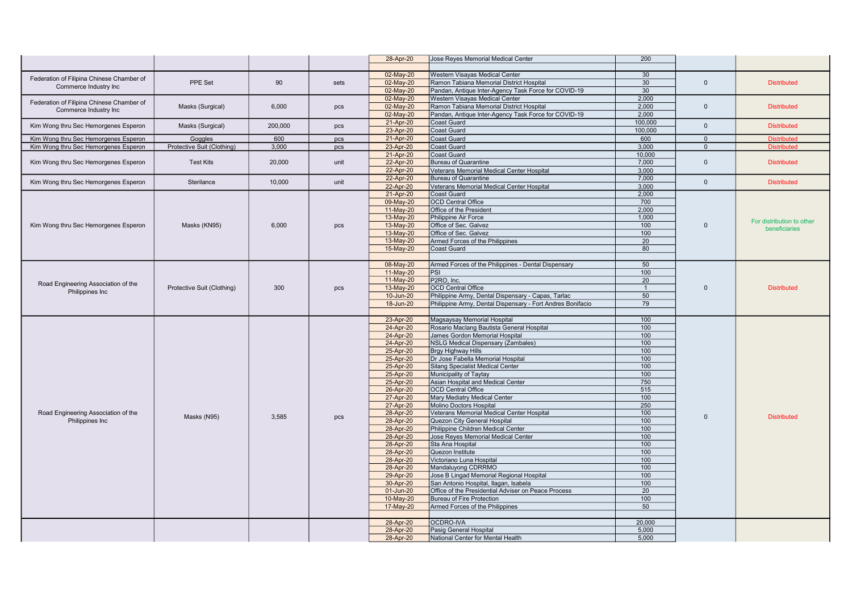|                                           |                            |         |      | 28-Apr-20              | Jose Reyes Memorial Medical Center                                                               | 200            |                |                           |
|-------------------------------------------|----------------------------|---------|------|------------------------|--------------------------------------------------------------------------------------------------|----------------|----------------|---------------------------|
|                                           |                            |         |      |                        |                                                                                                  |                |                |                           |
| Federation of Filipina Chinese Chamber of |                            |         |      | 02-May-20              | Western Visayas Medical Center                                                                   | 30             |                |                           |
| Commerce Industry Inc                     | PPE Set                    | 90      | sets | 02-May-20              | Ramon Tabiana Memorial District Hospital                                                         | 30             | $\Omega$       | <b>Distributed</b>        |
|                                           |                            |         |      | 02-May-20              | Pandan, Antique Inter-Agency Task Force for COVID-19                                             | 30             |                |                           |
| Federation of Filipina Chinese Chamber of |                            |         |      | 02-May-20              | Western Visayas Medical Center                                                                   | 2.000          | $\mathbf{0}$   | <b>Distributed</b>        |
| Commerce Industry Inc                     | Masks (Surgical)           | 6,000   | pcs  | 02-May-20<br>02-May-20 | Ramon Tabiana Memorial District Hospital<br>Pandan, Antique Inter-Agency Task Force for COVID-19 | 2,000<br>2.000 |                |                           |
|                                           |                            |         |      | 21-Apr-20              | <b>Coast Guard</b>                                                                               | 100,000        |                |                           |
| Kim Wong thru Sec Hemorgenes Esperon      | Masks (Surgical)           | 200,000 | pcs  | 23-Apr-20              | Coast Guard                                                                                      | 100,000        | $\Omega$       | <b>Distributed</b>        |
| Kim Wong thru Sec Hemorgenes Esperon      | Goggles                    | 600     | pcs  | 21-Apr-20              | <b>Coast Guard</b>                                                                               | 600            | $\overline{0}$ | <b>Distributed</b>        |
| Kim Wong thru Sec Hemorgenes Esperon      | Protective Suit (Clothing) | 3.000   | pcs  | 23-Apr-20              | Coast Guard                                                                                      | 3.000          | $\Omega$       | <b>Distributed</b>        |
|                                           |                            |         |      | 21-Apr-20              | Coast Guard                                                                                      | 10.000         |                |                           |
| Kim Wong thru Sec Hemorgenes Esperon      | <b>Test Kits</b>           | 20,000  | unit | 22-Apr-20              | <b>Bureau of Quarantine</b>                                                                      | 7.000          | $\mathbf{0}$   | <b>Distributed</b>        |
|                                           |                            |         |      | 22-Apr-20              | Veterans Memorial Medical Center Hospital                                                        | 3,000          |                |                           |
|                                           | Sterilance                 |         | unit | 22-Apr-20              | <b>Bureau of Quarantine</b>                                                                      | 7.000          | $\mathbf{0}$   | <b>Distributed</b>        |
| Kim Wong thru Sec Hemorgenes Esperon      |                            | 10,000  |      | 22-Apr-20              | Veterans Memorial Medical Center Hospital                                                        | 3,000          |                |                           |
|                                           |                            |         |      | 21-Apr-20              | <b>Coast Guard</b>                                                                               | 2,000          |                |                           |
|                                           |                            |         |      | 09-May-20              | <b>OCD Central Office</b>                                                                        | 700            |                |                           |
|                                           |                            |         |      | 11-May-20              | Office of the President                                                                          | 2.000          |                |                           |
|                                           |                            |         |      | 13-May-20              | Philippine Air Force                                                                             | 1,000          |                | For distribution to other |
| Kim Wong thru Sec Hemorgenes Esperon      | Masks (KN95)               | 6,000   | pcs  | 13-May-20              | Office of Sec. Galvez                                                                            | 100            | $\Omega$       | beneficiaries             |
|                                           |                            |         |      | 13-May-20              | Office of Sec. Galvez                                                                            | 100            |                |                           |
|                                           |                            |         |      | 13-May-20<br>15-May-20 | Armed Forces of the Philippines<br>Coast Guard                                                   | 20<br>80       |                |                           |
|                                           |                            |         |      |                        |                                                                                                  |                |                |                           |
|                                           |                            |         |      | 08-May-20              | Armed Forces of the Philippines - Dental Dispensary                                              | 50             |                |                           |
|                                           |                            |         |      | 11-May-20              | <b>PSI</b>                                                                                       | 100            |                |                           |
|                                           |                            |         |      | 11-May-20              | P2RO, Inc.                                                                                       | 20             |                |                           |
| Road Engineering Association of the       | Protective Suit (Clothing) | 300     | pcs  | 13-May-20              | <b>OCD Central Office</b>                                                                        | $\overline{1}$ | $\Omega$       | <b>Distributed</b>        |
| Philippines Inc                           |                            |         |      | 10-Jun-20              | Philippine Army, Dental Dispensary - Capas, Tarlac                                               | 50             |                |                           |
|                                           |                            |         |      | 18-Jun-20              | Philippine Army, Dental Dispensary - Fort Andres Bonifacio                                       | 79             |                |                           |
|                                           |                            |         |      |                        |                                                                                                  |                |                |                           |
|                                           |                            |         |      | 23-Apr-20              | Magsaysay Memorial Hospital                                                                      | 100            |                |                           |
|                                           |                            |         |      | 24-Apr-20              | Rosario Maclang Bautista General Hospital                                                        | 100            |                |                           |
|                                           |                            |         |      | 24-Apr-20              | James Gordon Memorial Hospital                                                                   | 100            |                |                           |
|                                           |                            |         |      | 24-Apr-20              | NSLG Medical Dispensary (Zambales)                                                               | 100            |                |                           |
|                                           |                            |         |      | 25-Apr-20              | <b>Brgy Highway Hills</b>                                                                        | 100            |                |                           |
|                                           |                            |         |      | 25-Apr-20<br>25-Apr-20 | Dr Jose Fabella Memorial Hospital<br><b>Silang Specialist Medical Center</b>                     | 100<br>100     |                |                           |
|                                           |                            |         |      | 25-Apr-20              | Municipality of Taytay                                                                           | 100            |                |                           |
|                                           |                            |         |      | 25-Apr-20              | Asian Hospital and Medical Center                                                                | 750            |                |                           |
|                                           |                            |         |      | 26-Apr-20              | <b>OCD Central Office</b>                                                                        | 515            |                |                           |
|                                           |                            |         |      | 27-Apr-20              | Mary Mediatry Medical Center                                                                     | 100            |                |                           |
|                                           |                            |         |      | 27-Apr-20              | Molino Doctors Hospital                                                                          | 250            |                |                           |
| Road Engineering Association of the       | Masks (N95)                | 3,585   |      | 28-Apr-20              | Veterans Memorial Medical Center Hospital                                                        | 100            | $\Omega$       | <b>Distributed</b>        |
| Philippines Inc                           |                            |         | pcs  | 28-Apr-20              | Quezon City General Hospital                                                                     | 100            |                |                           |
|                                           |                            |         |      | 28-Apr-20              | Philippine Children Medical Center                                                               | 100            |                |                           |
|                                           |                            |         |      | 28-Apr-20              | Jose Reyes Memorial Medical Center                                                               | 100            |                |                           |
|                                           |                            |         |      | 28-Apr-20              | Sta Ana Hospital                                                                                 | 100            |                |                           |
|                                           |                            |         |      | 28-Apr-20              | Quezon Institute                                                                                 | 100            |                |                           |
|                                           |                            |         |      | 28-Apr-20<br>28-Apr-20 | Victoriano Luna Hospital<br>Mandaluyong CDRRMO                                                   | 100<br>100     |                |                           |
|                                           |                            |         |      | 29-Apr-20              | Jose B Lingad Memorial Regional Hospital                                                         | 100            |                |                           |
|                                           |                            |         |      | 30-Apr-20              | San Antonio Hospital, Ilagan, Isabela                                                            | 100            |                |                           |
|                                           |                            |         |      | 01-Jun-20              | Office of the Presidential Adviser on Peace Process                                              | 20             |                |                           |
|                                           |                            |         |      | 10-May-20              | <b>Bureau of Fire Protection</b>                                                                 | 100            |                |                           |
|                                           |                            |         |      | 17-May-20              | Armed Forces of the Philippines                                                                  | 50             |                |                           |
|                                           |                            |         |      |                        |                                                                                                  |                |                |                           |
|                                           |                            |         |      | 28-Apr-20              | <b>OCDRO-IVA</b>                                                                                 | 20,000         |                |                           |
|                                           |                            |         |      | 28-Apr-20              | Pasig General Hospital                                                                           | 5,000          |                |                           |
|                                           |                            |         |      | 28-Apr-20              | National Center for Mental Health                                                                | 5,000          |                |                           |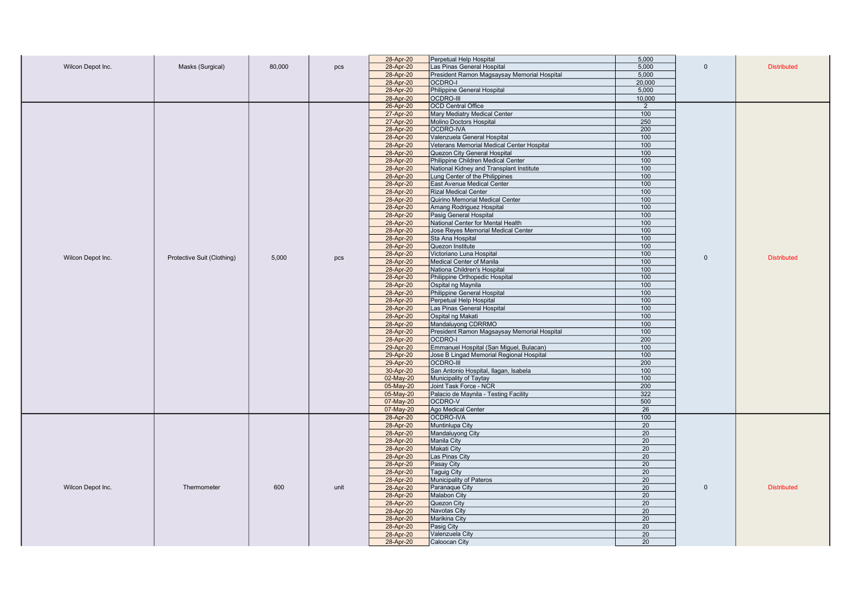|                   |                            |        |      | 28-Apr-20 | Perpetual Help Hospital                     | 5,000           |              |                    |
|-------------------|----------------------------|--------|------|-----------|---------------------------------------------|-----------------|--------------|--------------------|
| Wilcon Depot Inc. | Masks (Surgical)           | 80,000 | pcs  | 28-Apr-20 | Las Pinas General Hospital                  | 5,000           | $\mathbf{0}$ | <b>Distributed</b> |
|                   |                            |        |      | 28-Apr-20 | President Ramon Magsaysay Memorial Hospital | 5,000           |              |                    |
|                   |                            |        |      | 28-Apr-20 | OCDRO-I                                     | 20,000          |              |                    |
|                   |                            |        |      | 28-Apr-20 | Philippine General Hospital                 | 5,000           |              |                    |
|                   |                            |        |      | 28-Apr-20 | <b>OCDRO-III</b>                            | 10,000          |              |                    |
|                   |                            |        |      | 26-Apr-20 | <b>OCD Central Office</b>                   | $\overline{2}$  |              |                    |
|                   |                            |        |      | 27-Apr-20 | Mary Mediatry Medical Center                | 100             |              |                    |
|                   |                            |        |      | 27-Apr-20 | Molino Doctors Hospital                     | 250             |              |                    |
|                   |                            |        |      | 28-Apr-20 | <b>OCDRO-IVA</b>                            | 200             |              |                    |
|                   |                            |        |      | 28-Apr-20 | Valenzuela General Hospital                 | 100             |              |                    |
|                   |                            |        |      | 28-Apr-20 | Veterans Memorial Medical Center Hospital   | 100             |              |                    |
|                   |                            |        |      | 28-Apr-20 | <b>Quezon City General Hospital</b>         | 100             |              |                    |
|                   |                            |        |      | 28-Apr-20 | Philippine Children Medical Center          | 100             |              |                    |
|                   |                            |        |      | 28-Apr-20 | National Kidney and Transplant Institute    | 100             |              |                    |
|                   |                            |        |      | 28-Apr-20 | Lung Center of the Philippines              | 100             |              |                    |
|                   |                            |        |      | 28-Apr-20 | East Avenue Medical Center                  | 100             |              |                    |
|                   |                            |        |      | 28-Apr-20 | <b>Rizal Medical Center</b>                 | 100             |              |                    |
|                   |                            |        |      | 28-Apr-20 | Quirino Memorial Medical Center             | 100             |              |                    |
|                   |                            |        |      | 28-Apr-20 | Amang Rodriguez Hospital                    | 100             |              |                    |
|                   |                            |        |      | 28-Apr-20 | Pasig General Hospital                      | 100             |              |                    |
|                   |                            |        |      | 28-Apr-20 | National Center for Mental Health           | 100             |              |                    |
|                   |                            |        |      | 28-Apr-20 | Jose Reyes Memorial Medical Center          | 100             |              |                    |
|                   |                            |        |      | 28-Apr-20 | Sta Ana Hospital                            | 100             |              |                    |
|                   |                            |        |      | 28-Apr-20 | Quezon Institute                            | 100             |              |                    |
|                   |                            |        |      | 28-Apr-20 | Victoriano Luna Hospital                    | 100             |              |                    |
| Wilcon Depot Inc. | Protective Suit (Clothing) | 5.000  | pcs  | 28-Apr-20 | Medical Center of Manila                    | 100             | $\Omega$     | <b>Distributed</b> |
|                   |                            |        |      | 28-Apr-20 | Nationa Children's Hospital                 | 100             |              |                    |
|                   |                            |        |      | 28-Apr-20 | Philippine Orthopedic Hospital              | 100             |              |                    |
|                   |                            |        |      | 28-Apr-20 | Ospital ng Maynila                          | 100             |              |                    |
|                   |                            |        |      | 28-Apr-20 | Philippine General Hospital                 | 100             |              |                    |
|                   |                            |        |      | 28-Apr-20 | Perpetual Help Hospital                     | 100             |              |                    |
|                   |                            |        |      | 28-Apr-20 | Las Pinas General Hospital                  | 100             |              |                    |
|                   |                            |        |      | 28-Apr-20 | Ospital ng Makati                           | 100             |              |                    |
|                   |                            |        |      | 28-Apr-20 | Mandaluyong CDRRMO                          | 100             |              |                    |
|                   |                            |        |      | 28-Apr-20 | President Ramon Magsaysay Memorial Hospital | 100             |              |                    |
|                   |                            |        |      | 28-Apr-20 | <b>OCDRO-I</b>                              | 200             |              |                    |
|                   |                            |        |      | 29-Apr-20 | Emmanuel Hospital (San Miguel, Bulacan)     | 100             |              |                    |
|                   |                            |        |      | 29-Apr-20 | Jose B Lingad Memorial Regional Hospital    | 100             |              |                    |
|                   |                            |        |      | 29-Apr-20 | <b>OCDRO-III</b>                            | 200             |              |                    |
|                   |                            |        |      | 30-Apr-20 | San Antonio Hospital, Ilagan, Isabela       | 100             |              |                    |
|                   |                            |        |      | 02-May-20 | Municipality of Taytay                      | 100             |              |                    |
|                   |                            |        |      | 05-May-20 | Joint Task Force - NCR                      | 200             |              |                    |
|                   |                            |        |      | 05-May-20 | Palacio de Maynila - Testing Facility       | 322             |              |                    |
|                   |                            |        |      | 07-May-20 | OCDRO-V                                     | 500             |              |                    |
|                   |                            |        |      | 07-May-20 | Ago Medical Center                          | 26              |              |                    |
|                   |                            |        |      | 28-Apr-20 | OCDRO-IVA                                   | 100             |              |                    |
|                   |                            |        |      | 28-Apr-20 | Muntinlupa City                             | 20              |              |                    |
|                   |                            |        |      | 28-Apr-20 | Mandaluyong City                            | 20              |              |                    |
|                   |                            |        |      | 28-Apr-20 | Manila City                                 | 20              |              |                    |
|                   |                            |        |      | 28-Apr-20 | <b>Makati City</b>                          | 20              |              |                    |
|                   |                            |        |      | 28-Apr-20 | Las Pinas City                              | 20              |              |                    |
|                   |                            |        |      | 28-Apr-20 | Pasay City                                  | 20              |              |                    |
|                   |                            |        |      | 28-Apr-20 | <b>Taguig City</b>                          | 20              |              |                    |
|                   |                            |        |      | 28-Apr-20 | Municipality of Pateros                     | 20              |              |                    |
| Wilcon Depot Inc. | Thermometer                | 600    | unit | 28-Apr-20 | Paranaque City                              | 20              | $\mathbf{0}$ | <b>Distributed</b> |
|                   |                            |        |      | 28-Apr-20 | <b>Malabon City</b>                         | 20              |              |                    |
|                   |                            |        |      | 28-Apr-20 | Quezon City                                 | $\overline{20}$ |              |                    |
|                   |                            |        |      | 28-Apr-20 | Navotas City                                | 20              |              |                    |
|                   |                            |        |      | 28-Apr-20 | Marikina City                               | 20              |              |                    |
|                   |                            |        |      | 28-Apr-20 | Pasig City                                  | 20              |              |                    |
|                   |                            |        |      | 28-Apr-20 | Valenzuela City                             | 20              |              |                    |
|                   |                            |        |      | 28-Apr-20 | Caloocan City                               | 20              |              |                    |
|                   |                            |        |      |           |                                             |                 |              |                    |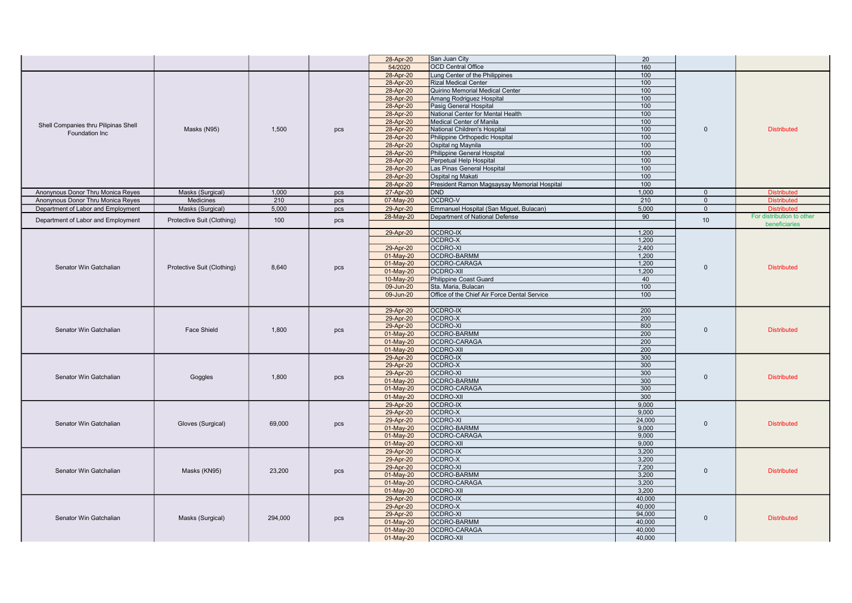|                                                      |                            |         |                               | 28-Apr-20<br>San Juan City                                | 20       |                    |                           |
|------------------------------------------------------|----------------------------|---------|-------------------------------|-----------------------------------------------------------|----------|--------------------|---------------------------|
|                                                      |                            |         |                               | <b>OCD Central Office</b><br>54/2020                      | 160      |                    |                           |
|                                                      |                            |         |                               | 28-Apr-20<br>Lung Center of the Philippines               | 100      |                    |                           |
|                                                      |                            |         |                               | <b>Rizal Medical Center</b>                               | 100      |                    |                           |
|                                                      |                            |         |                               | 28-Apr-20                                                 | 100      |                    |                           |
|                                                      |                            |         |                               | Quirino Memorial Medical Center<br>28-Apr-20              | 100      |                    |                           |
|                                                      |                            |         |                               | 28-Apr-20<br>Amang Rodriguez Hospital                     |          |                    |                           |
|                                                      |                            |         |                               | 28-Apr-20<br>Pasig General Hospital                       | 100      |                    |                           |
|                                                      |                            |         |                               | 28-Apr-20<br>National Center for Mental Health            | 100      |                    |                           |
| Shell Companies thru Pilipinas Shell                 |                            |         |                               | Medical Center of Manila<br>28-Apr-20                     | 100      |                    |                           |
| Foundation Inc                                       | Masks (N95)                | 1,500   | pcs                           | 28-Apr-20<br>National Children's Hospital                 | 100      | $\mathbf{0}$       | <b>Distributed</b>        |
|                                                      |                            |         |                               | Philippine Orthopedic Hospital<br>28-Apr-20               | 100      |                    |                           |
|                                                      |                            |         |                               | 28-Apr-20<br>Ospital ng Maynila                           | 100      |                    |                           |
|                                                      |                            |         |                               | 28-Apr-20<br>Philippine General Hospital                  | 100      |                    |                           |
|                                                      |                            |         |                               | 28-Apr-20<br>Perpetual Help Hospital                      | 100      |                    |                           |
|                                                      |                            |         |                               | 28-Apr-20<br>Las Pinas General Hospital                   | 100      |                    |                           |
|                                                      |                            |         |                               | Ospital ng Makati<br>28-Apr-20                            | 100      |                    |                           |
|                                                      |                            |         |                               | President Ramon Magsaysay Memorial Hospital<br>28-Apr-20  | 100      |                    |                           |
| Anonynous Donor Thru Monica Reyes                    | Masks (Surgical)           | 1,000   | pcs                           | 27-Apr-20<br>DND                                          | 1,000    | $\mathbf{0}$       | <b>Distributed</b>        |
| Anonynous Donor Thru Monica Reyes                    | Medicines                  | 210     | pcs                           | OCDRO-V<br>07-May-20                                      | 210      | $\mathbf{0}$       | <b>Distributed</b>        |
| Department of Labor and Employment                   | Masks (Surgical)           | 5,000   | pcs                           | 29-Apr-20<br>Emmanuel Hospital (San Miguel, Bulacan)      | 5,000    | $\mathbf{0}$       | <b>Distributed</b>        |
|                                                      |                            | 100     |                               | Department of National Defense<br>28-May-20               | 90       | 10 <sup>°</sup>    | For distribution to other |
| Department of Labor and Employment                   | Protective Suit (Clothing) |         | pcs                           |                                                           |          |                    | beneficiaries             |
|                                                      |                            |         |                               | <b>OCDRO-IX</b><br>29-Apr-20                              | 1,200    |                    |                           |
|                                                      |                            |         |                               | OCDRO-X                                                   | 1,200    |                    |                           |
| Senator Win Gatchalian<br>Protective Suit (Clothing) |                            |         | <b>OCDRO-XI</b><br>29-Apr-20  | 2,400                                                     |          |                    |                           |
|                                                      |                            |         | 01-May-20<br>OCDRO-BARMM      | 1,200                                                     |          |                    |                           |
|                                                      |                            |         | 01-May-20<br>OCDRO-CARAGA     | 1,200                                                     | $\Omega$ |                    |                           |
|                                                      | 8.640                      | pcs     | 01-May-20<br><b>OCDRO-XII</b> | 1,200                                                     |          | <b>Distributed</b> |                           |
|                                                      |                            |         |                               | 10-May-20<br>Philippine Coast Guard                       | 40       |                    |                           |
|                                                      |                            |         |                               | 09-Jun-20<br>Sta. Maria, Bulacan                          | 100      |                    |                           |
|                                                      |                            |         |                               | Office of the Chief Air Force Dental Service<br>09-Jun-20 | 100      |                    |                           |
|                                                      |                            |         |                               |                                                           |          |                    |                           |
|                                                      |                            |         |                               | 29-Apr-20<br>OCDRO-IX                                     | 200      |                    |                           |
|                                                      |                            |         |                               | OCDRO-X<br>29-Apr-20                                      | 200      |                    | <b>Distributed</b>        |
|                                                      |                            |         |                               | OCDRO-XI<br>29-Apr-20                                     | 800      |                    |                           |
| Senator Win Gatchalian                               | <b>Face Shield</b>         | 1.800   | pcs                           | OCDRO-BARMM<br>01-May-20                                  | 200      | $\Omega$           |                           |
|                                                      |                            |         |                               | 01-May-20<br>OCDRO-CARAGA                                 | 200      |                    |                           |
|                                                      |                            |         |                               | 01-May-20<br><b>OCDRO-XII</b>                             | 200      |                    |                           |
|                                                      |                            |         |                               | <b>OCDRO-IX</b><br>29-Apr-20                              | 300      |                    |                           |
|                                                      |                            |         |                               | 29-Apr-20<br>OCDRO-X                                      | 300      |                    |                           |
|                                                      |                            |         |                               | 29-Apr-20<br><b>OCDRO-XI</b>                              | 300      |                    |                           |
| Senator Win Gatchalian                               | Goggles                    | 1,800   | pcs                           | 01-May-20<br>OCDRO-BARMM                                  | 300      | $\mathbf{0}$       | <b>Distributed</b>        |
|                                                      |                            |         |                               | 01-May-20<br>OCDRO-CARAGA                                 | 300      |                    |                           |
|                                                      |                            |         |                               | 01-May-20<br><b>OCDRO-XII</b>                             | 300      |                    |                           |
|                                                      |                            |         |                               | <b>OCDRO-IX</b><br>29-Apr-20                              | 9,000    |                    |                           |
|                                                      |                            |         |                               | OCDRO-X<br>29-Apr-20                                      | 9,000    |                    |                           |
|                                                      |                            |         |                               | 29-Apr-20<br>OCDRO-XI                                     | 24,000   |                    |                           |
| Senator Win Gatchalian                               | Gloves (Surgical)          | 69,000  | pcs                           | 01-May-20<br><b>OCDRO-BARMM</b>                           | 9.000    | $\mathbf{0}$       | <b>Distributed</b>        |
|                                                      |                            |         |                               | 01-May-20<br>OCDRO-CARAGA                                 | 9.000    |                    |                           |
|                                                      |                            |         |                               | 01-May-20<br><b>OCDRO-XII</b>                             | 9,000    |                    |                           |
|                                                      |                            |         |                               | <b>OCDRO-IX</b><br>29-Apr-20                              | 3,200    |                    |                           |
|                                                      |                            |         |                               | OCDRO-X<br>29-Apr-20                                      | 3,200    |                    |                           |
|                                                      |                            |         |                               | 29-Apr-20<br>OCDRO-XI                                     | 7,200    |                    |                           |
| Senator Win Gatchalian                               | Masks (KN95)               | 23,200  | pcs                           | OCDRO-BARMM<br>01-May-20                                  | 3,200    | $\mathbf{0}$       | <b>Distributed</b>        |
|                                                      |                            |         |                               | 01-May-20<br>OCDRO-CARAGA                                 | 3.200    |                    |                           |
|                                                      |                            |         |                               | 01-May-20<br><b>OCDRO-XII</b>                             | 3,200    |                    |                           |
|                                                      |                            |         |                               | <b>OCDRO-IX</b><br>29-Apr-20                              | 40,000   |                    |                           |
|                                                      |                            |         |                               | 29-Apr-20<br>OCDRO-X                                      | 40,000   |                    |                           |
|                                                      |                            |         |                               | 29-Apr-20<br><b>OCDRO-XI</b>                              | 94,000   |                    | <b>Distributed</b>        |
| Senator Win Gatchalian                               | Masks (Surgical)           | 294.000 | pcs                           | OCDRO-BARMM<br>01-May-20                                  | 40.000   | $\Omega$           |                           |
|                                                      |                            |         |                               | 01-May-20<br>OCDRO-CARAGA                                 | 40,000   |                    |                           |
|                                                      |                            |         |                               | OCDRO-XII<br>01-May-20                                    | 40,000   |                    |                           |
|                                                      |                            |         |                               |                                                           |          |                    |                           |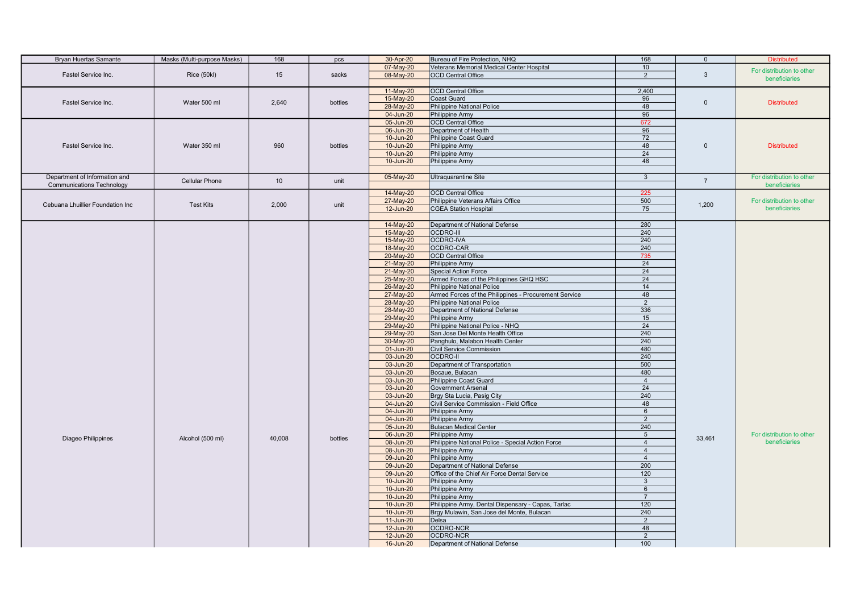| <b>Bryan Huertas Samante</b>     | Masks (Multi-purpose Masks) | 168             | pcs     | 30-Apr-20 | Bureau of Fire Protection, NHQ                        | 168             | $\mathbf{0}$   | <b>Distributed</b>        |
|----------------------------------|-----------------------------|-----------------|---------|-----------|-------------------------------------------------------|-----------------|----------------|---------------------------|
|                                  |                             |                 |         | 07-May-20 | Veterans Memorial Medical Center Hospital             | 10              |                |                           |
| Fastel Service Inc.              | Rice (50kl)                 | 15              | sacks   | 08-May-20 | <b>OCD Central Office</b>                             | 2               | $\mathbf{3}$   | For distribution to other |
|                                  |                             |                 |         |           |                                                       |                 |                | beneficiaries             |
|                                  |                             |                 |         | 11-May-20 | <b>OCD Central Office</b>                             | 2,400           |                |                           |
|                                  |                             |                 |         | 15-May-20 | Coast Guard                                           | 96              |                |                           |
| Fastel Service Inc.              | Water 500 ml                | 2.640           | bottles | 28-May-20 | Philippine National Police                            | 48              | $\mathbf{0}$   | <b>Distributed</b>        |
|                                  |                             |                 |         | 04-Jun-20 | Philippine Army                                       | 96              |                |                           |
|                                  |                             |                 |         | 05-Jun-20 | <b>OCD Central Office</b>                             | 672             |                |                           |
|                                  |                             |                 |         | 06-Jun-20 | Department of Health                                  | 96              |                |                           |
|                                  |                             |                 |         | 10-Jun-20 | Philippine Coast Guard                                | 72              |                |                           |
| Fastel Service Inc.              | Water 350 ml                | 960             | bottles | 10-Jun-20 | Philippine Army                                       | 48              | $\Omega$       | <b>Distributed</b>        |
|                                  |                             |                 |         | 10-Jun-20 | Philippine Army                                       | 24              |                |                           |
|                                  |                             |                 |         | 10-Jun-20 | Philippine Army                                       | 48              |                |                           |
|                                  |                             |                 |         |           |                                                       |                 |                |                           |
| Department of Information and    |                             |                 |         | 05-May-20 | <b>Ultraquarantine Site</b>                           | $\mathbf{3}$    |                | For distribution to other |
| <b>Communications Technology</b> | <b>Cellular Phone</b>       | 10 <sup>1</sup> | unit    |           |                                                       |                 | $\overline{7}$ | beneficiaries             |
|                                  |                             |                 |         | 14-May-20 | <b>OCD Central Office</b>                             | 225             |                |                           |
|                                  |                             |                 |         |           |                                                       |                 |                | For distribution to other |
| Cebuana Lhuillier Foundation Inc | <b>Test Kits</b>            | 2,000           | unit    | 27-May-20 | Philippine Veterans Affairs Office                    | 500<br>75       | 1,200          | beneficiaries             |
|                                  |                             |                 |         | 12-Jun-20 | <b>CGEA Station Hospital</b>                          |                 |                |                           |
|                                  |                             |                 |         |           |                                                       |                 |                |                           |
|                                  |                             |                 |         | 14-May-20 | Department of National Defense                        | 280             |                |                           |
|                                  |                             |                 |         | 15-May-20 | <b>OCDRO-III</b>                                      | 240             |                |                           |
|                                  |                             |                 |         | 15-May-20 | OCDRO-IVA                                             | 240             |                |                           |
|                                  |                             |                 |         | 18-May-20 | OCDRO-CAR                                             | 240             |                |                           |
|                                  |                             |                 |         | 20-May-20 | OCD Central Office                                    | 735             |                |                           |
|                                  |                             |                 |         | 21-May-20 | Philippine Army                                       | 24              |                |                           |
|                                  |                             |                 |         | 21-May-20 | Special Action Force                                  | 24              |                |                           |
|                                  |                             |                 |         | 25-May-20 | Armed Forces of the Philippines GHQ HSC               | 24              |                |                           |
|                                  |                             |                 |         | 26-May-20 | <b>Philippine National Police</b>                     | 14              |                |                           |
|                                  |                             |                 |         | 27-May-20 | Armed Forces of the Philippines - Procurement Service | 48              |                |                           |
|                                  |                             |                 |         | 28-May-20 | <b>Philippine National Police</b>                     | 2               |                |                           |
|                                  |                             |                 |         | 28-May-20 | Department of National Defense                        | 336             |                |                           |
|                                  |                             |                 |         | 29-May-20 | Philippine Army                                       | 15              |                |                           |
|                                  |                             |                 |         | 29-May-20 | Philippine National Police - NHQ                      | 24              |                |                           |
|                                  |                             |                 |         | 29-May-20 | San Jose Del Monte Health Office                      | 240             |                |                           |
|                                  |                             |                 |         | 30-May-20 | Panghulo, Malabon Health Center                       | 240             |                |                           |
|                                  |                             |                 |         | 01-Jun-20 | Civil Service Commission                              | 480             |                |                           |
|                                  |                             |                 |         | 03-Jun-20 | OCDRO-II                                              | 240             |                |                           |
|                                  |                             |                 |         | 03-Jun-20 | Department of Transportation                          | 500             |                |                           |
|                                  |                             |                 |         | 03-Jun-20 | Bocaue, Bulacan                                       | 480             |                |                           |
|                                  |                             |                 |         | 03-Jun-20 | Philippine Coast Guard                                | $\overline{4}$  |                |                           |
|                                  |                             |                 |         | 03-Jun-20 | <b>Government Arsenal</b>                             | 24              |                |                           |
|                                  |                             |                 |         | 03-Jun-20 | Brgy Sta Lucia, Pasig City                            | 240             |                |                           |
|                                  |                             |                 |         | 04-Jun-20 | Civil Service Commission - Field Office               | 48              |                |                           |
|                                  |                             |                 |         | 04-Jun-20 | Philippine Army                                       | 6               |                |                           |
|                                  |                             |                 |         | 04-Jun-20 | Philippine Army                                       | $\overline{2}$  |                |                           |
|                                  |                             |                 |         | 05-Jun-20 | <b>Bulacan Medical Center</b>                         | 240             |                |                           |
| Diageo Philippines               | Alcohol (500 ml)            | 40,008          | bottles | 06-Jun-20 | Philippine Army                                       | $5\overline{5}$ | 33,461         | For distribution to other |
|                                  |                             |                 |         | 08-Jun-20 | Philippine National Police - Special Action Force     | $\overline{4}$  |                | beneficiaries             |
|                                  |                             |                 |         | 08-Jun-20 | Philippine Army                                       | $\overline{4}$  |                |                           |
|                                  |                             |                 |         | 09-Jun-20 | Philippine Army                                       | $\overline{4}$  |                |                           |
|                                  |                             |                 |         | 09-Jun-20 | Department of National Defense                        | 200             |                |                           |
|                                  |                             |                 |         | 09-Jun-20 | Office of the Chief Air Force Dental Service          | 120             |                |                           |
|                                  |                             |                 |         | 10-Jun-20 | Philippine Army                                       | $\mathbf{3}$    |                |                           |
|                                  |                             |                 |         | 10-Jun-20 | Philippine Army                                       | $6\phantom{.}6$ |                |                           |
|                                  |                             |                 |         | 10-Jun-20 | Philippine Army                                       | $\overline{7}$  |                |                           |
|                                  |                             |                 |         | 10-Jun-20 | Philippine Army, Dental Dispensary - Capas, Tarlac    | 120             |                |                           |
|                                  |                             |                 |         | 10-Jun-20 | Brgy Mulawin, San Jose del Monte, Bulacan             | 240             |                |                           |
|                                  |                             |                 |         | 11-Jun-20 | Delsa                                                 | 2               |                |                           |
|                                  |                             |                 |         | 12-Jun-20 | OCDRO-NCR                                             | 48              |                |                           |
|                                  |                             |                 |         | 12-Jun-20 | <b>OCDRO-NCR</b>                                      | 2               |                |                           |
|                                  |                             |                 |         | 16-Jun-20 | Department of National Defense                        | 100             |                |                           |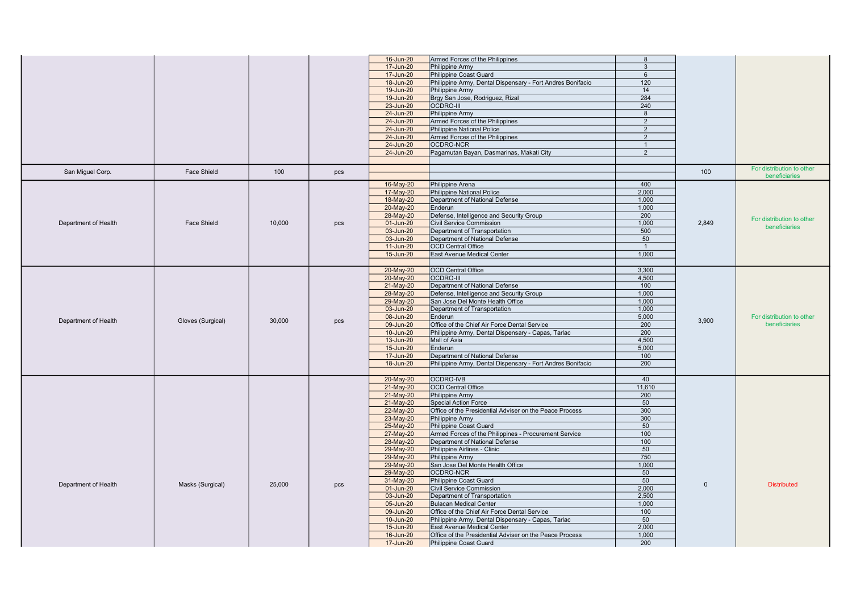|                      |                    |        |     | 16-Jun-20 | Armed Forces of the Philippines                            | 8              |          |                           |
|----------------------|--------------------|--------|-----|-----------|------------------------------------------------------------|----------------|----------|---------------------------|
|                      |                    |        |     | 17-Jun-20 | Philippine Army                                            | $\mathbf{3}$   |          |                           |
|                      |                    |        |     | 17-Jun-20 | Philippine Coast Guard                                     |                |          |                           |
|                      |                    |        |     |           |                                                            | 6              |          |                           |
|                      |                    |        |     | 18-Jun-20 | Philippine Army, Dental Dispensary - Fort Andres Bonifacio | 120            |          |                           |
|                      |                    |        |     | 19-Jun-20 | Philippine Army                                            | 14             |          |                           |
|                      |                    |        |     | 19-Jun-20 | Brgy San Jose, Rodriguez, Rizal                            | 284            |          |                           |
|                      |                    |        |     | 23-Jun-20 | <b>OCDRO-III</b>                                           | 240            |          |                           |
|                      |                    |        |     | 24-Jun-20 | Philippine Army                                            | 8              |          |                           |
|                      |                    |        |     | 24-Jun-20 | Armed Forces of the Philippines                            | 2              |          |                           |
|                      |                    |        |     | 24-Jun-20 | <b>Philippine National Police</b>                          | 2              |          |                           |
|                      |                    |        |     | 24-Jun-20 | Armed Forces of the Philippines                            | 2              |          |                           |
|                      |                    |        |     | 24-Jun-20 | OCDRO-NCR                                                  | $\overline{1}$ |          |                           |
|                      |                    |        |     | 24-Jun-20 | Pagamutan Bayan, Dasmarinas, Makati City                   | 2              |          |                           |
|                      |                    |        |     |           |                                                            |                |          |                           |
|                      |                    |        |     |           |                                                            |                |          | For distribution to other |
| San Miguel Corp.     | <b>Face Shield</b> | 100    | pcs |           |                                                            |                | 100      | beneficiaries             |
|                      |                    |        |     | 16-May-20 | Philippine Arena                                           | 400            |          |                           |
|                      |                    |        |     | 17-May-20 | <b>Philippine National Police</b>                          | 2,000          |          |                           |
|                      |                    |        |     | 18-May-20 | Department of National Defense                             | 1.000          |          |                           |
|                      |                    |        |     | 20-May-20 | Enderun                                                    | 1,000          |          |                           |
|                      |                    |        |     | 28-May-20 | Defense, Intelligence and Security Group                   | 200            |          |                           |
| Department of Health | <b>Face Shield</b> | 10,000 |     |           | <b>Civil Service Commission</b>                            | 1.000          | 2.849    | For distribution to other |
|                      |                    |        | pcs | 01-Jun-20 |                                                            |                |          | beneficiaries             |
|                      |                    |        |     | 03-Jun-20 | Department of Transportation                               | 500            |          |                           |
|                      |                    |        |     | 03-Jun-20 | Department of National Defense                             | 50             |          |                           |
|                      |                    |        |     | 11-Jun-20 | <b>OCD Central Office</b>                                  | $\overline{1}$ |          |                           |
|                      |                    |        |     | 15-Jun-20 | East Avenue Medical Center                                 | 1,000          |          |                           |
|                      |                    |        |     |           |                                                            |                |          |                           |
|                      |                    |        |     | 20-May-20 | <b>OCD Central Office</b>                                  | 3,300          |          |                           |
|                      |                    |        |     | 20-May-20 | <b>OCDRO-III</b>                                           | 4,500          |          |                           |
|                      |                    |        |     | 21-May-20 | Department of National Defense                             | 100            |          |                           |
|                      |                    |        |     | 28-May-20 | Defense, Intelligence and Security Group                   | 1,000          |          |                           |
|                      |                    |        |     | 29-May-20 | San Jose Del Monte Health Office                           | 1,000          |          |                           |
|                      |                    |        |     | 03-Jun-20 | Department of Transportation                               | 1.000          |          |                           |
|                      |                    |        |     | 08-Jun-20 | Enderun                                                    | 5,000          |          | For distribution to other |
| Department of Health | Gloves (Surgical)  | 30,000 | pcs | 09-Jun-20 | Office of the Chief Air Force Dental Service               | 200            | 3,900    | beneficiaries             |
|                      |                    |        |     | 10-Jun-20 | Philippine Army, Dental Dispensary - Capas, Tarlac         | 200            |          |                           |
|                      |                    |        |     | 13-Jun-20 | Mall of Asia                                               | 4,500          |          |                           |
|                      |                    |        |     | 15-Jun-20 | Enderun                                                    | 5,000          |          |                           |
|                      |                    |        |     | 17-Jun-20 | Department of National Defense                             | 100            |          |                           |
|                      |                    |        |     | 18-Jun-20 | Philippine Army, Dental Dispensary - Fort Andres Bonifacio | 200            |          |                           |
|                      |                    |        |     |           |                                                            |                |          |                           |
|                      |                    |        |     | 20-May-20 | OCDRO-IVB                                                  | 40             |          |                           |
|                      |                    |        |     | 21-May-20 | OCD Central Office                                         | 11,610         |          |                           |
|                      |                    |        |     | 21-May-20 | Philippine Army                                            | 200            |          |                           |
|                      |                    |        |     | 21-May-20 | <b>Special Action Force</b>                                | 50             |          |                           |
|                      |                    |        |     |           |                                                            |                |          |                           |
|                      |                    |        |     | 22-May-20 | Office of the Presidential Adviser on the Peace Process    | 300<br>300     |          |                           |
|                      |                    |        |     | 23-May-20 | Philippine Army                                            |                |          |                           |
|                      |                    |        |     | 25-May-20 | Philippine Coast Guard                                     | 50             |          |                           |
|                      |                    |        |     | 27-May-20 | Armed Forces of the Philippines - Procurement Service      | 100            |          |                           |
|                      |                    |        |     | 28-May-20 | Department of National Defense                             | 100            |          |                           |
|                      |                    |        |     | 29-May-20 | Philippine Airlines - Clinic                               | 50             |          |                           |
|                      |                    |        |     | 29-May-20 | Philippine Army                                            | 750            |          |                           |
|                      |                    |        |     | 29-May-20 | San Jose Del Monte Health Office                           | 1,000          |          |                           |
|                      |                    |        |     | 29-May-20 | OCDRO-NCR                                                  | 50             |          |                           |
| Department of Health | Masks (Surgical)   | 25.000 | pcs | 31-May-20 | Philippine Coast Guard                                     | 50             | $\Omega$ | <b>Distributed</b>        |
|                      |                    |        |     | 01-Jun-20 | Civil Service Commission                                   | 2,000          |          |                           |
|                      |                    |        |     | 03-Jun-20 | Department of Transportation                               | 2,500          |          |                           |
|                      |                    |        |     | 05-Jun-20 | <b>Bulacan Medical Center</b>                              | 1,000          |          |                           |
|                      |                    |        |     | 09-Jun-20 | Office of the Chief Air Force Dental Service               | 100            |          |                           |
|                      |                    |        |     | 10-Jun-20 | Philippine Army, Dental Dispensary - Capas, Tarlac         | 50             |          |                           |
|                      |                    |        |     | 15-Jun-20 | East Avenue Medical Center                                 | 2,000          |          |                           |
|                      |                    |        |     | 16-Jun-20 | Office of the Presidential Adviser on the Peace Process    | 1,000          |          |                           |
|                      |                    |        |     | 17-Jun-20 | Philippine Coast Guard                                     | 200            |          |                           |
|                      |                    |        |     |           |                                                            |                |          |                           |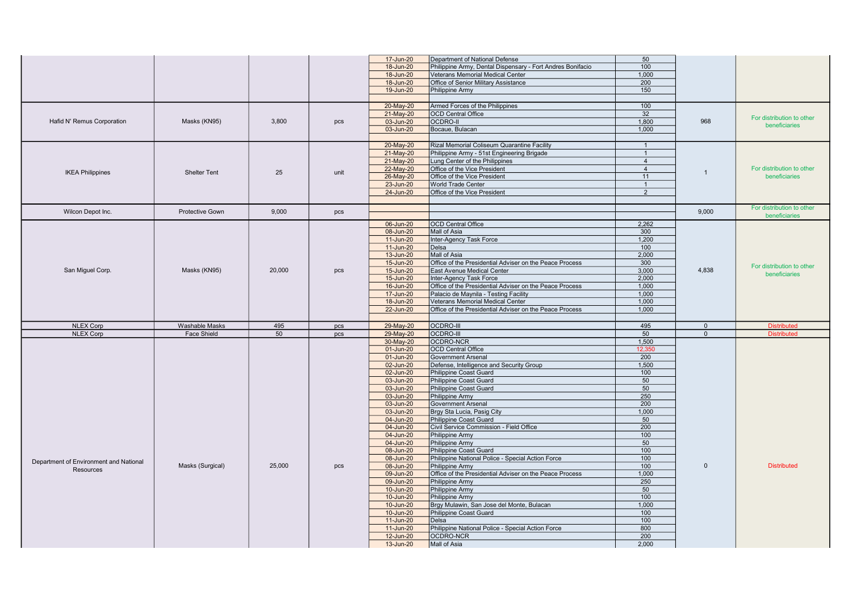|                                        |                        |        |      | 17-Jun-20              | Department of National Defense                                            | 50             |             |                           |
|----------------------------------------|------------------------|--------|------|------------------------|---------------------------------------------------------------------------|----------------|-------------|---------------------------|
|                                        |                        |        |      | 18-Jun-20              | Philippine Army, Dental Dispensary - Fort Andres Bonifacio                | 100            |             |                           |
|                                        |                        |        |      | 18-Jun-20              | Veterans Memorial Medical Center                                          | 1.000          |             |                           |
|                                        |                        |        |      | 18-Jun-20              | Office of Senior Military Assistance                                      | 200            |             |                           |
|                                        |                        |        |      | 19-Jun-20              | Philippine Army                                                           | 150            |             |                           |
|                                        |                        |        |      |                        |                                                                           |                |             |                           |
|                                        |                        |        |      | 20-May-20              | Armed Forces of the Philippines                                           | 100            |             |                           |
|                                        |                        |        |      | 21-May-20              | OCD Central Office                                                        | 32             |             |                           |
| Hafid N' Remus Corporation             | Masks (KN95)           | 3.800  | pcs  | 03-Jun-20              | <b>OCDRO-II</b>                                                           | 1.800          | 968         | For distribution to other |
|                                        |                        |        |      | 03-Jun-20              | Bocaue, Bulacan                                                           | 1,000          |             | beneficiaries             |
|                                        |                        |        |      |                        |                                                                           |                |             |                           |
|                                        |                        |        |      | 20-May-20              | Rizal Memorial Coliseum Quarantine Facility                               | $\overline{1}$ |             |                           |
|                                        |                        |        |      | 21-May-20              | Philippine Army - 51st Engineering Brigade                                | $\overline{1}$ |             |                           |
|                                        |                        |        |      | 21-May-20              | Lung Center of the Philippines                                            | $\overline{4}$ |             |                           |
|                                        |                        |        |      | 22-May-20              | Office of the Vice President                                              | $\overline{4}$ |             | For distribution to other |
| <b>IKEA Philippines</b>                | <b>Shelter Tent</b>    | 25     | unit | 26-May-20              | Office of the Vice President                                              | 11             |             | beneficiaries             |
|                                        |                        |        |      | 23-Jun-20              | <b>World Trade Center</b>                                                 | $\mathbf{1}$   |             |                           |
|                                        |                        |        |      | 24-Jun-20              | Office of the Vice President                                              | $\overline{2}$ |             |                           |
|                                        |                        |        |      |                        |                                                                           |                |             |                           |
|                                        |                        |        |      |                        |                                                                           |                |             | For distribution to other |
| Wilcon Depot Inc.                      | <b>Protective Gown</b> | 9,000  | pcs  |                        |                                                                           |                | 9,000       | beneficiaries             |
|                                        |                        |        |      | 06-Jun-20              | <b>OCD</b> Central Office                                                 | 2,262          |             |                           |
|                                        |                        |        |      | 08-Jun-20              | Mall of Asia                                                              | 300            |             |                           |
|                                        |                        |        |      | 11-Jun-20              | Inter-Agency Task Force                                                   | 1.200          |             |                           |
|                                        |                        |        |      | 11-Jun-20              | Delsa                                                                     | 100            |             |                           |
|                                        |                        |        |      | 13-Jun-20              | Mall of Asia                                                              | 2,000          |             |                           |
|                                        |                        |        |      | 15-Jun-20              | Office of the Presidential Adviser on the Peace Process                   | 300            |             |                           |
| San Miguel Corp.                       | Masks (KN95)           | 20,000 | pcs  | 15-Jun-20              | East Avenue Medical Center                                                | 3,000          | 4.838       | For distribution to other |
|                                        |                        |        |      | 15-Jun-20              | Inter-Agency Task Force                                                   | 2,000          |             | beneficiaries             |
|                                        |                        |        |      | 16-Jun-20              | Office of the Presidential Adviser on the Peace Process                   | 1,000          |             |                           |
|                                        |                        |        |      |                        |                                                                           | 1,000          |             |                           |
|                                        |                        |        |      | 17-Jun-20<br>18-Jun-20 | Palacio de Maynila - Testing Facility<br>Veterans Memorial Medical Center | 1,000          |             |                           |
|                                        |                        |        |      |                        |                                                                           |                |             |                           |
|                                        |                        |        |      |                        |                                                                           |                |             |                           |
|                                        |                        |        |      | 22-Jun-20              | Office of the Presidential Adviser on the Peace Process                   | 1,000          |             |                           |
|                                        |                        |        |      |                        |                                                                           |                |             |                           |
| <b>NLEX Corp</b>                       | Washable Masks         | 495    | pcs  | 29-May-20              | <b>OCDRO-III</b>                                                          | 495            | $\mathbf 0$ | <b>Distributed</b>        |
| <b>NLEX Corp</b>                       | <b>Face Shield</b>     | 50     | pcs  | 29-May-20              | <b>OCDRO-III</b>                                                          | 50             | $\Omega$    | <b>Distributed</b>        |
|                                        |                        |        |      | 30-May-20              | OCDRO-NCR                                                                 | 1,500          |             |                           |
|                                        |                        |        |      | 01-Jun-20              | OCD Central Office                                                        | 12.350         |             |                           |
|                                        |                        |        |      | 01-Jun-20              | Government Arsenal                                                        | 200            |             |                           |
|                                        |                        |        |      | 02-Jun-20              | Defense, Intelligence and Security Group                                  | 1,500          |             |                           |
|                                        |                        |        |      | 02-Jun-20              | Philippine Coast Guard                                                    | 100            |             |                           |
|                                        |                        |        |      | 03-Jun-20              | Philippine Coast Guard                                                    | 50             |             |                           |
|                                        |                        |        |      | 03-Jun-20              | Philippine Coast Guard                                                    | 50             |             |                           |
|                                        |                        |        |      | 03-Jun-20              | Philippine Army                                                           | 250            |             |                           |
|                                        |                        |        |      | 03-Jun-20              | Government Arsenal                                                        | 200            |             |                           |
|                                        |                        |        |      | 03-Jun-20              | Brgy Sta Lucia, Pasig City                                                | 1,000          |             |                           |
|                                        |                        |        |      | 04-Jun-20              | Philippine Coast Guard                                                    | 50             |             |                           |
|                                        |                        |        |      | 04-Jun-20              | Civil Service Commission - Field Office                                   | 200            |             |                           |
|                                        |                        |        |      | 04-Jun-20              | Philippine Army                                                           | 100            |             |                           |
|                                        |                        |        |      | 04-Jun-20              | Philippine Army                                                           | 50             |             |                           |
|                                        |                        |        |      | 08-Jun-20              | Philippine Coast Guard                                                    | 100            |             |                           |
| Department of Environment and National |                        |        |      | 08-Jun-20              | Philippine National Police - Special Action Force                         | 100            |             |                           |
| Resources                              | Masks (Surgical)       | 25,000 | pcs  | 08-Jun-20              | Philippine Army                                                           | 100            | $\Omega$    | <b>Distributed</b>        |
|                                        |                        |        |      | 09-Jun-20              | Office of the Presidential Adviser on the Peace Process                   | 1.000          |             |                           |
|                                        |                        |        |      | 09-Jun-20              | Philippine Army                                                           | 250            |             |                           |
|                                        |                        |        |      | 10-Jun-20              | Philippine Army                                                           | 50             |             |                           |
|                                        |                        |        |      | 10-Jun-20              | Philippine Army                                                           | 100            |             |                           |
|                                        |                        |        |      | 10-Jun-20              | Brgy Mulawin, San Jose del Monte, Bulacan                                 | 1,000          |             |                           |
|                                        |                        |        |      | 10-Jun-20              | Philippine Coast Guard                                                    | 100            |             |                           |
|                                        |                        |        |      | 11-Jun-20              | Delsa                                                                     | 100            |             |                           |
|                                        |                        |        |      | 11-Jun-20              | Philippine National Police - Special Action Force                         | 800            |             |                           |
|                                        |                        |        |      | 12-Jun-20<br>13-Jun-20 | OCDRO-NCR<br>Mall of Asia                                                 | 200<br>2,000   |             |                           |